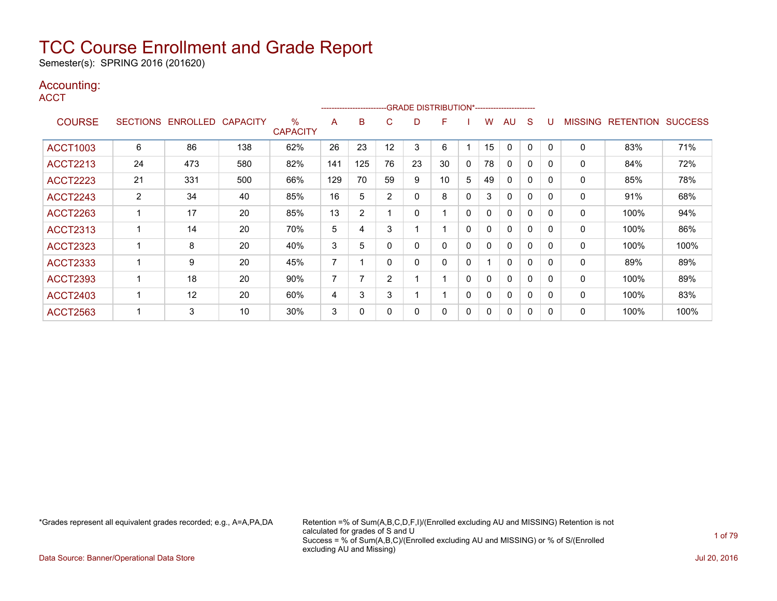Semester(s): SPRING 2016 (201620)

### Accounting:

**ACCT** 

|                 |                 |                 |                 |                         |     | --------------------- |                | -GRADE DISTRIBUTION*---------------------- |    |          |    |              |              |              |                |                  |                |
|-----------------|-----------------|-----------------|-----------------|-------------------------|-----|-----------------------|----------------|--------------------------------------------|----|----------|----|--------------|--------------|--------------|----------------|------------------|----------------|
| <b>COURSE</b>   | <b>SECTIONS</b> | <b>ENROLLED</b> | <b>CAPACITY</b> | $\%$<br><b>CAPACITY</b> | A   | B                     | C              | D                                          | F  |          | w  | AU           | S            |              | <b>MISSING</b> | <b>RETENTION</b> | <b>SUCCESS</b> |
| <b>ACCT1003</b> | 6               | 86              | 138             | 62%                     | 26  | 23                    | 12             | 3                                          | 6  |          | 15 | 0            | 0            | $\mathbf{0}$ | 0              | 83%              | 71%            |
| <b>ACCT2213</b> | 24              | 473             | 580             | 82%                     | 141 | 125                   | 76             | 23                                         | 30 | 0        | 78 | $\Omega$     | 0            | $\Omega$     | 0              | 84%              | 72%            |
| <b>ACCT2223</b> | 21              | 331             | 500             | 66%                     | 129 | 70                    | 59             | 9                                          | 10 | 5        | 49 | $\mathbf{0}$ | $\mathbf{0}$ | 0            | 0              | 85%              | 78%            |
| <b>ACCT2243</b> | $\overline{2}$  | 34              | 40              | 85%                     | 16  | 5                     | 2              | 0                                          | 8  | $\Omega$ | 3  | $\mathbf{0}$ | $\Omega$     | $\Omega$     | 0              | 91%              | 68%            |
| <b>ACCT2263</b> |                 | 17              | 20              | 85%                     | 13  | $\overline{2}$        |                | 0                                          |    | 0        | 0  | $\mathbf{0}$ | $\Omega$     | $\Omega$     | 0              | 100%             | 94%            |
| <b>ACCT2313</b> |                 | 14              | 20              | 70%                     | 5   | 4                     | 3              |                                            |    | 0        | 0  | $\Omega$     | $\mathbf{0}$ | $\Omega$     | $\mathbf 0$    | 100%             | 86%            |
| <b>ACCT2323</b> |                 | 8               | 20              | 40%                     | 3   | 5                     |                | 0                                          | 0  | $\Omega$ | 0  | 0            | 0            | 0            | 0              | 100%             | 100%           |
| <b>ACCT2333</b> |                 | 9               | 20              | 45%                     | 7   |                       | 0              | 0                                          | 0  | 0        |    | 0            | $\Omega$     | $\Omega$     | 0              | 89%              | 89%            |
| <b>ACCT2393</b> |                 | 18              | 20              | 90%                     | 7   | 7                     | $\overline{2}$ |                                            |    | 0        | 0  | $\Omega$     | 0            | $\Omega$     | 0              | 100%             | 89%            |
| <b>ACCT2403</b> |                 | 12              | 20              | 60%                     | 4   | 3                     | 3              |                                            |    | 0        | 0  | $\Omega$     | $\mathbf 0$  | $\Omega$     | 0              | 100%             | 83%            |
| <b>ACCT2563</b> |                 | 3               | 10              | 30%                     | 3   | 0                     |                | 0                                          | 0  | 0        | 0  | $\Omega$     | 0            | 0            | 0              | 100%             | 100%           |

\*Grades represent all equivalent grades recorded; e.g., A=A,PA,DA Retention =% of Sum(A,B,C,D,F,I)/(Enrolled excluding AU and MISSING) Retention is not calculated for grades of S and U Success = % of Sum(A,B,C)/(Enrolled excluding AU and MISSING) or % of S/(Enrolled excluding AU and Missing)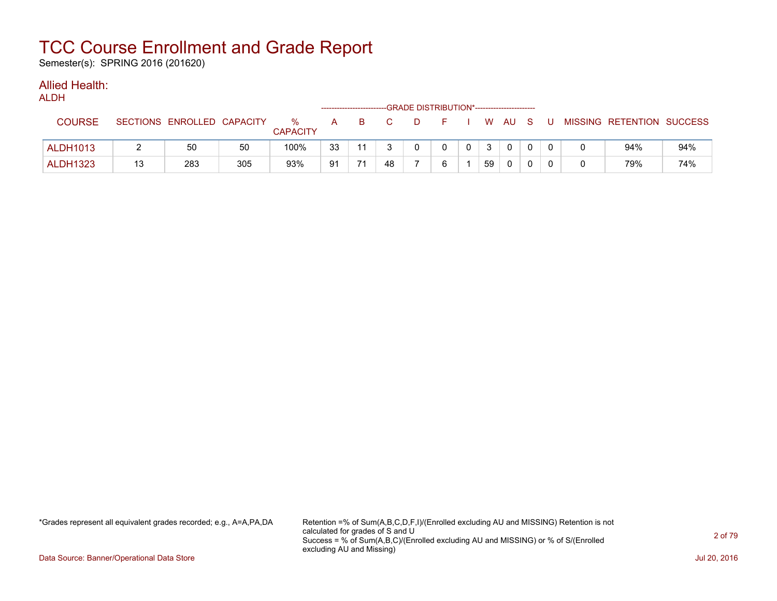Semester(s): SPRING 2016 (201620)

### Allied Health:

| <b>ALDH</b>     |    |                            |     |                      |              |    |    |              |          |                          |    |   |        |          |                           |     |
|-----------------|----|----------------------------|-----|----------------------|--------------|----|----|--------------|----------|--------------------------|----|---|--------|----------|---------------------------|-----|
| <b>COURSE</b>   |    | SECTIONS ENROLLED CAPACITY |     | %<br><b>CAPACITY</b> | $\mathsf{A}$ | B. | C. | D.           | F.       | <b>Contract Contract</b> |    |   | W AU S | -U       | MISSING RETENTION SUCCESS |     |
| <b>ALDH1013</b> |    | 50                         | 50  | 100%                 | 33           | 11 |    | $\mathbf{0}$ | $\Omega$ | $\mathbf{0}$             | 3  |   |        | $\Omega$ | 94%                       | 94% |
| <b>ALDH1323</b> | 13 | 283                        | 305 | 93%                  | 91           | 71 | 48 |              | 6        |                          | 59 | 0 |        | $\Omega$ | 79%                       | 74% |

\*Grades represent all equivalent grades recorded; e.g., A=A,PA,DA Retention =% of Sum(A,B,C,D,F,I)/(Enrolled excluding AU and MISSING) Retention is not calculated for grades of S and U Success = % of Sum(A,B,C)/(Enrolled excluding AU and MISSING) or % of S/(Enrolled excluding AU and Missing)

Data Source: Banner/Operational Data Store Jul 20, 2016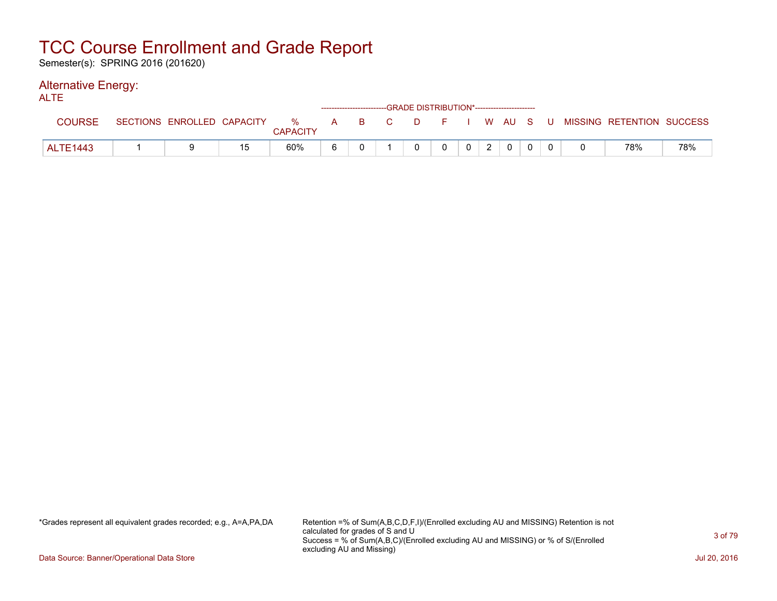Semester(s): SPRING 2016 (201620)

#### Alternative Energy: ALTE

| <b>NLIL</b>     |                            |    |                      |   |       |  | ------------------------GRADE DISTRIBUTION*----------------------- |                |   |              |  |                                          |     |
|-----------------|----------------------------|----|----------------------|---|-------|--|--------------------------------------------------------------------|----------------|---|--------------|--|------------------------------------------|-----|
| <b>COURSE</b>   | SECTIONS ENROLLED CAPACITY |    | %<br><b>CAPACITY</b> |   | A B C |  |                                                                    |                |   |              |  | D F I W AU S U MISSING RETENTION SUCCESS |     |
| <b>ALTE1443</b> |                            | 15 | 60%                  | 6 |       |  |                                                                    | 0 <sup>1</sup> | 2 | $\mathbf{0}$ |  | 78%                                      | 78% |

\*Grades represent all equivalent grades recorded; e.g., A=A,PA,DA Retention =% of Sum(A,B,C,D,F,I)/(Enrolled excluding AU and MISSING) Retention is not calculated for grades of S and U Success = % of Sum(A,B,C)/(Enrolled excluding AU and MISSING) or % of S/(Enrolled excluding AU and Missing)

Data Source: Banner/Operational Data Store Jul 20, 2016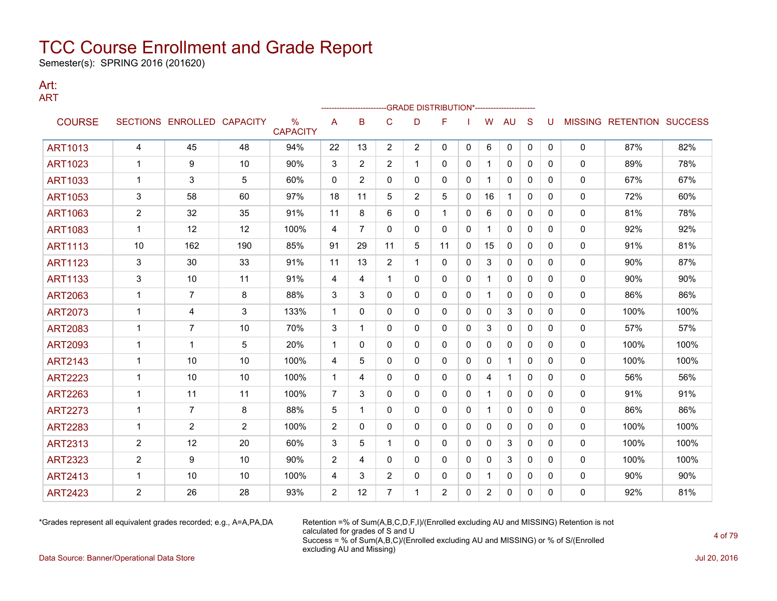Semester(s): SPRING 2016 (201620)

#### Art: ART

|                |                |                            |     |                         |                |                |                |                       | -GRADE DISTRIBUTION*---------------------- |              |                |              |              |              |              |                                  |      |
|----------------|----------------|----------------------------|-----|-------------------------|----------------|----------------|----------------|-----------------------|--------------------------------------------|--------------|----------------|--------------|--------------|--------------|--------------|----------------------------------|------|
| <b>COURSE</b>  |                | SECTIONS ENROLLED CAPACITY |     | $\%$<br><b>CAPACITY</b> | A              | в              | $\mathsf{C}$   | D                     | F                                          |              | W              | AU           | S            | U            |              | <b>MISSING RETENTION SUCCESS</b> |      |
| <b>ART1013</b> | 4              | 45                         | 48  | 94%                     | 22             | 13             | $\overline{2}$ | $\mathbf{2}^{\prime}$ | 0                                          | $\mathbf{0}$ | 6              | 0            | $\mathbf{0}$ | $\mathbf{0}$ | $\mathbf{0}$ | 87%                              | 82%  |
| <b>ART1023</b> | 1              | 9                          | 10  | 90%                     | 3              | $\overline{2}$ | $\overline{2}$ |                       | 0                                          | 0            |                | $\mathbf{0}$ | $\Omega$     | $\Omega$     | 0            | 89%                              | 78%  |
| <b>ART1033</b> | 1              | 3                          | 5   | 60%                     | 0              | $\overline{2}$ | $\mathbf{0}$   | 0                     | 0                                          | 0            | 1              | $\mathbf{0}$ | $\mathbf{0}$ | 0            | 0            | 67%                              | 67%  |
| <b>ART1053</b> | 3              | 58                         | 60  | 97%                     | 18             | 11             | 5              | 2                     | 5                                          | 0            | 16             | 1            | $\mathbf{0}$ | 0            | 0            | 72%                              | 60%  |
| <b>ART1063</b> | 2              | 32                         | 35  | 91%                     | 11             | 8              | 6              | 0                     | $\mathbf 1$                                | 0            | 6              | 0            | 0            | 0            | 0            | 81%                              | 78%  |
| <b>ART1083</b> | $\mathbf{1}$   | 12                         | 12  | 100%                    | 4              | $\overline{7}$ | $\Omega$       | $\Omega$              | $\Omega$                                   | $\Omega$     | $\mathbf{1}$   | $\mathbf{0}$ | $\Omega$     | $\Omega$     | 0            | 92%                              | 92%  |
| <b>ART1113</b> | 10             | 162                        | 190 | 85%                     | 91             | 29             | 11             | 5                     | 11                                         | 0            | 15             | $\mathbf{0}$ | $\mathbf{0}$ | 0            | 0            | 91%                              | 81%  |
| <b>ART1123</b> | 3              | 30                         | 33  | 91%                     | 11             | 13             | $\overline{2}$ | 1                     | 0                                          | $\mathbf{0}$ | 3              | $\mathbf{0}$ | $\Omega$     | 0            | 0            | 90%                              | 87%  |
| <b>ART1133</b> | 3              | 10                         | 11  | 91%                     | 4              | 4              | 1              | 0                     | 0                                          | 0            | $\mathbf 1$    | 0            | $\mathbf{0}$ | 0            | 0            | 90%                              | 90%  |
| <b>ART2063</b> | $\mathbf 1$    | $\overline{7}$             | 8   | 88%                     | 3              | 3              | $\mathbf{0}$   | 0                     | 0                                          | $\mathbf{0}$ |                | $\mathbf{0}$ | $\Omega$     | $\Omega$     | 0            | 86%                              | 86%  |
| <b>ART2073</b> | $\mathbf 1$    | 4                          | 3   | 133%                    | $\mathbf 1$    | 0              | $\mathbf{0}$   | 0                     | 0                                          | 0            | $\mathbf{0}$   | 3            | $\mathbf{0}$ | 0            | 0            | 100%                             | 100% |
| <b>ART2083</b> | 1              | 7                          | 10  | 70%                     | 3              | 1              | 0              | 0                     | 0                                          | 0            | 3              | 0            | $\mathbf{0}$ | 0            | 0            | 57%                              | 57%  |
| <b>ART2093</b> | 1              | 1                          | 5   | 20%                     | $\mathbf 1$    | 0              | 0              | 0                     | 0                                          | 0            | 0              | 0            | $\mathbf{0}$ | 0            | 0            | 100%                             | 100% |
| <b>ART2143</b> | $\mathbf{1}$   | 10                         | 10  | 100%                    | 4              | 5              | 0              | 0                     | 0                                          | $\Omega$     | $\Omega$       | $\mathbf{1}$ | $\mathbf{0}$ | 0            | $\mathbf{0}$ | 100%                             | 100% |
| <b>ART2223</b> | $\mathbf{1}$   | 10                         | 10  | 100%                    | $\mathbf{1}$   | 4              | $\mathbf{0}$   | 0                     | 0                                          | $\mathbf{0}$ | 4              | $\mathbf{1}$ | $\Omega$     | 0            | 0            | 56%                              | 56%  |
| <b>ART2263</b> | $\mathbf 1$    | 11                         | 11  | 100%                    | $\overline{7}$ | 3              | 0              | 0                     | 0                                          | 0            | $\mathbf{1}$   | 0            | $\mathbf{0}$ | 0            | 0            | 91%                              | 91%  |
| <b>ART2273</b> | 1              | $\overline{7}$             | 8   | 88%                     | 5              | 1              | 0              | 0                     | 0                                          | 0            | $\mathbf 1$    | 0            | $\mathbf{0}$ | 0            | 0            | 86%                              | 86%  |
| <b>ART2283</b> | $\mathbf{1}$   | $\overline{2}$             | 2   | 100%                    | $\overline{2}$ | $\mathbf{0}$   | $\mathbf{0}$   | 0                     | 0                                          | $\mathbf{0}$ | $\mathbf{0}$   | $\mathbf{0}$ | $\mathbf{0}$ | 0            | 0            | 100%                             | 100% |
| <b>ART2313</b> | $\overline{c}$ | 12                         | 20  | 60%                     | 3              | 5              | 1              | $\mathbf{0}$          | 0                                          | 0            | 0              | 3            | $\mathbf{0}$ | 0            | 0            | 100%                             | 100% |
| <b>ART2323</b> | $\overline{c}$ | 9                          | 10  | 90%                     | 2              | 4              | $\mathbf{0}$   | 0                     | 0                                          | 0            | 0              | 3            | $\mathbf{0}$ | 0            | 0            | 100%                             | 100% |
| <b>ART2413</b> | 1              | 10                         | 10  | 100%                    | 4              | 3              | 2              | 0                     | 0                                          | 0            | 1              | 0            | 0            | 0            | 0            | 90%                              | 90%  |
| <b>ART2423</b> | 2              | 26                         | 28  | 93%                     | 2              | 12             | 7              |                       | $\overline{2}$                             | $\Omega$     | $\overline{c}$ | $\mathbf{0}$ | 0            | $\Omega$     | 0            | 92%                              | 81%  |

\*Grades represent all equivalent grades recorded; e.g., A=A,PA,DA Retention =% of Sum(A,B,C,D,F,I)/(Enrolled excluding AU and MISSING) Retention is not calculated for grades of S and U Success = % of Sum(A,B,C)/(Enrolled excluding AU and MISSING) or % of S/(Enrolled excluding AU and Missing)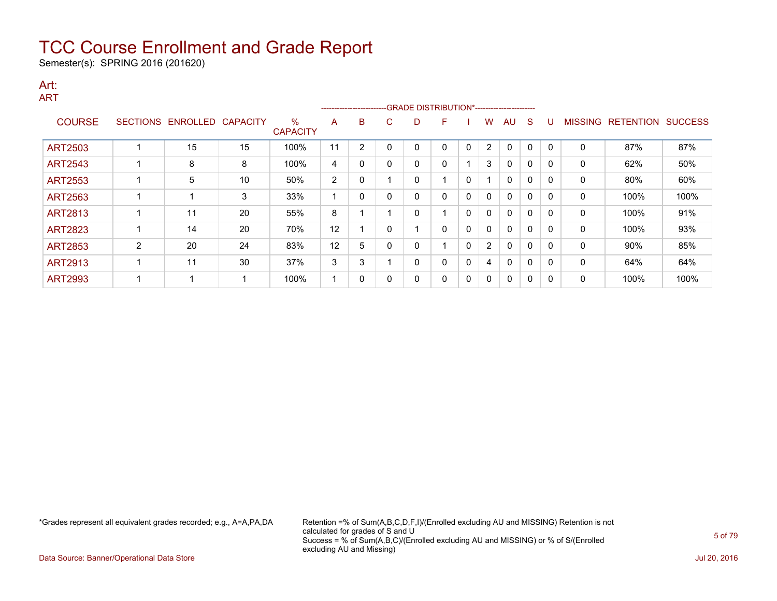Semester(s): SPRING 2016 (201620)

#### Art: ART

|                |   |                   |                 |                         | ------------------------- |              |   | --GRADE DISTRIBUTION*----------------------- |   |          |                       |    |             |              |                |                  |                |
|----------------|---|-------------------|-----------------|-------------------------|---------------------------|--------------|---|----------------------------------------------|---|----------|-----------------------|----|-------------|--------------|----------------|------------------|----------------|
| <b>COURSE</b>  |   | SECTIONS ENROLLED | <b>CAPACITY</b> | $\%$<br><b>CAPACITY</b> | A                         | B            | C | D                                            | F |          | w                     | AU | S           |              | <b>MISSING</b> | <b>RETENTION</b> | <b>SUCCESS</b> |
| <b>ART2503</b> |   | 15                | 15              | 100%                    | 11                        | 2            |   | 0                                            | 0 | $\Omega$ | 2                     | 0  | $\mathbf 0$ | $\Omega$     | 0              | 87%              | 87%            |
| <b>ART2543</b> |   | 8                 | 8               | 100%                    | 4                         | $\mathbf{0}$ | 0 | 0                                            | 0 |          | 3                     | 0  | $\mathbf 0$ | $\Omega$     | $\mathbf{0}$   | 62%              | 50%            |
| ART2553        |   | 5                 | 10              | 50%                     | 2                         | 0            |   | 0                                            |   | 0        |                       | 0  | 0           | $\mathsf{C}$ | 0              | 80%              | 60%            |
| <b>ART2563</b> |   |                   | 3               | 33%                     |                           | $\Omega$     |   | 0                                            | 0 | 0        | 0                     | 0  | 0           | $\mathsf{r}$ | 0              | 100%             | 100%           |
| <b>ART2813</b> |   | 11                | 20              | 55%                     | 8                         |              |   | $\Omega$                                     |   | 0        | 0                     | 0  | $\mathbf 0$ | <sup>0</sup> | $\mathbf{0}$   | 100%             | 91%            |
| <b>ART2823</b> |   | 14                | 20              | 70%                     | 12                        |              |   |                                              | 0 | 0        | 0                     | 0  | $\mathbf 0$ | 0            | 0              | 100%             | 93%            |
| <b>ART2853</b> | 2 | 20                | 24              | 83%                     | 12                        | 5            |   | 0                                            |   | 0        | $\mathbf{2}^{\prime}$ | 0  | 0           | $\Omega$     | 0              | 90%              | 85%            |
| <b>ART2913</b> |   | 11                | 30              | 37%                     | 3                         | 3            |   | $\Omega$                                     | 0 | 0        | 4                     | 0  | 0           | 0            | $\mathbf{0}$   | 64%              | 64%            |
| <b>ART2993</b> |   |                   |                 | 100%                    |                           | $\mathbf{0}$ |   | 0                                            | 0 | 0        | $\mathbf{0}$          | 0  | 0           | $\mathsf{C}$ | 0              | 100%             | 100%           |

\*Grades represent all equivalent grades recorded; e.g., A=A,PA,DA Retention =% of Sum(A,B,C,D,F,I)/(Enrolled excluding AU and MISSING) Retention is not calculated for grades of S and U Success = % of Sum(A,B,C)/(Enrolled excluding AU and MISSING) or % of S/(Enrolled excluding AU and Missing)

Data Source: Banner/Operational Data Store Jul 20, 2016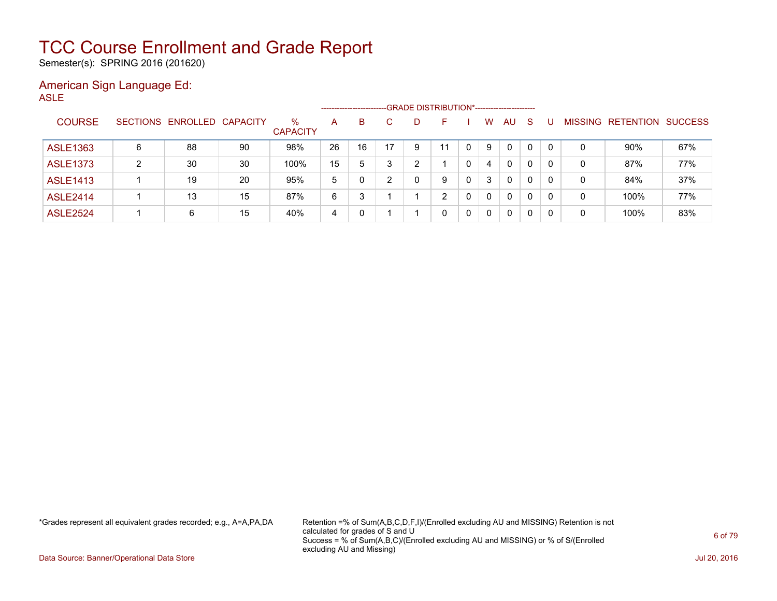Semester(s): SPRING 2016 (201620)

#### American Sign Language Ed: ASLE

|                 |   |                            |    |                         |    | --------------------- |   | -GRADE DISTRIBUTION*----------------------- |    |   |              |              |              |          |                |                  |                |
|-----------------|---|----------------------------|----|-------------------------|----|-----------------------|---|---------------------------------------------|----|---|--------------|--------------|--------------|----------|----------------|------------------|----------------|
| <b>COURSE</b>   |   | SECTIONS ENROLLED CAPACITY |    | $\%$<br><b>CAPACITY</b> | А  | B                     |   | D                                           |    |   | w            | AU           | <sub>S</sub> |          | <b>MISSING</b> | <b>RETENTION</b> | <b>SUCCESS</b> |
| <b>ASLE1363</b> | 6 | 88                         | 90 | 98%                     | 26 | 16                    |   | 9                                           | 11 | 0 | 9            | 0            |              | $\Omega$ | 0              | 90%              | 67%            |
| <b>ASLE1373</b> | 2 | 30                         | 30 | 100%                    | 15 | 5                     | 3 | っ                                           |    | 0 | 4            | $\mathbf{0}$ |              | 0        | 0              | 87%              | 77%            |
| <b>ASLE1413</b> |   | 19                         | 20 | 95%                     | 5  |                       | ົ | 0                                           | 9  | 0 | 3            | 0            | $\Omega$     | 0        | $\mathbf 0$    | 84%              | 37%            |
| <b>ASLE2414</b> |   | 13                         | 15 | 87%                     | 6  | ິ                     |   |                                             | ົ  | 0 | 0            | 0            |              | $\Omega$ | 0              | 100%             | 77%            |
| <b>ASLE2524</b> |   | 6                          | 15 | 40%                     | 4  |                       |   |                                             | 0  | 0 | $\mathbf{0}$ | 0            |              | 0        | 0              | 100%             | 83%            |

\*Grades represent all equivalent grades recorded; e.g., A=A,PA,DA Retention =% of Sum(A,B,C,D,F,I)/(Enrolled excluding AU and MISSING) Retention is not calculated for grades of S and U Success = % of Sum(A,B,C)/(Enrolled excluding AU and MISSING) or % of S/(Enrolled excluding AU and Missing)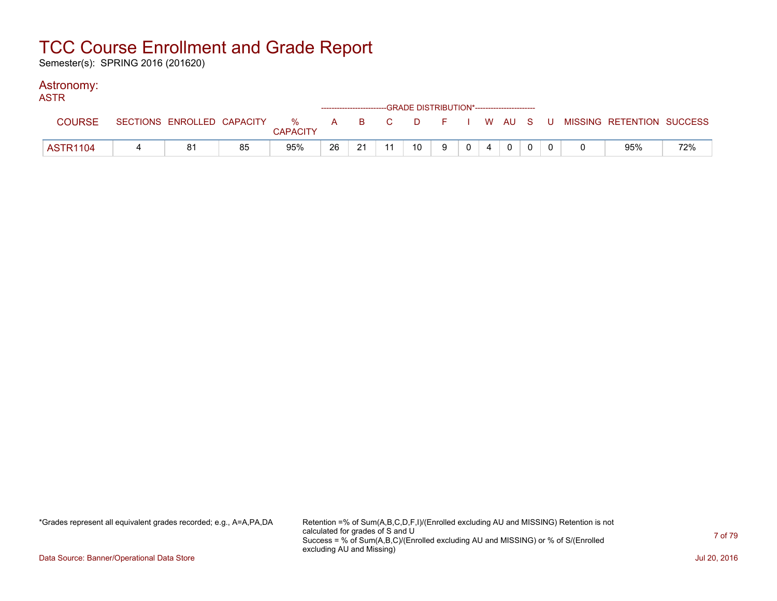Semester(s): SPRING 2016 (201620)

#### Astronomy:

| <b>ASTR</b>     |    |                 |    |    |    | -----------------------GRADE DISTRIBUTION*----------------------- |   |                |                |             |  |                                                                               |     |
|-----------------|----|-----------------|----|----|----|-------------------------------------------------------------------|---|----------------|----------------|-------------|--|-------------------------------------------------------------------------------|-----|
| <b>COURSE</b>   |    | <b>CAPACITY</b> |    |    |    |                                                                   |   |                |                |             |  | SECTIONS ENROLLED CAPACITY 3 % A B C D F I W AU S U MISSING RETENTION SUCCESS |     |
| <b>ASTR1104</b> | 81 | 95%             | 26 | 21 | 11 | 10                                                                | 9 | 0 <sup>1</sup> | $\overline{4}$ | $\mathbf 0$ |  | 95%                                                                           | 72% |

\*Grades represent all equivalent grades recorded; e.g., A=A,PA,DA Retention =% of Sum(A,B,C,D,F,I)/(Enrolled excluding AU and MISSING) Retention is not calculated for grades of S and U Success = % of Sum(A,B,C)/(Enrolled excluding AU and MISSING) or % of S/(Enrolled excluding AU and Missing)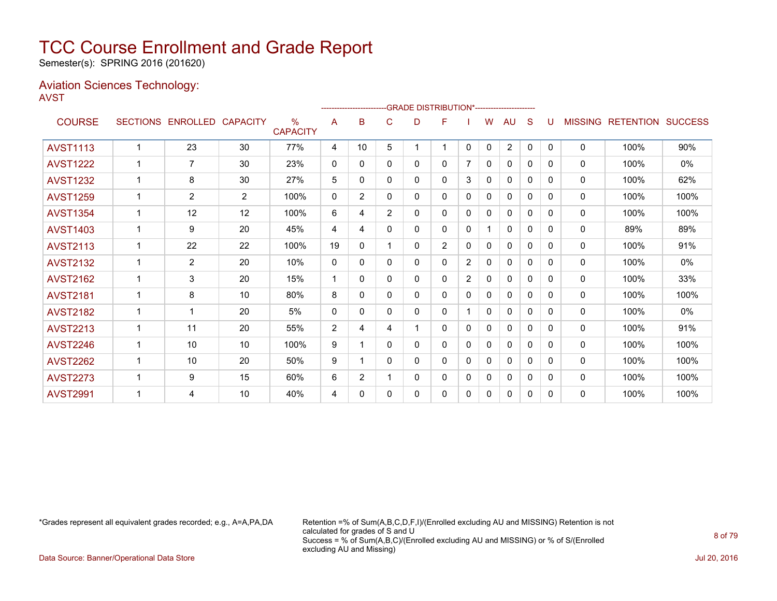Semester(s): SPRING 2016 (201620)

#### Aviation Sciences Technology: AVST

|                 |   |                            |                |                                  |                |                |                |   | ------------------------GRADE                DISTRIBUTION*---------------------- |                |              |                |          |          |                |                          |      |
|-----------------|---|----------------------------|----------------|----------------------------------|----------------|----------------|----------------|---|----------------------------------------------------------------------------------|----------------|--------------|----------------|----------|----------|----------------|--------------------------|------|
| <b>COURSE</b>   |   | SECTIONS ENROLLED CAPACITY |                | $\frac{0}{0}$<br><b>CAPACITY</b> | A              | в              | C              | D | F                                                                                |                | W            | AU             | S        | U        | <b>MISSING</b> | <b>RETENTION SUCCESS</b> |      |
| <b>AVST1113</b> | 1 | 23                         | 30             | 77%                              | 4              | 10             | 5              |   | 1                                                                                | 0              | $\mathbf{0}$ | $\overline{2}$ | 0        | $\Omega$ | 0              | 100%                     | 90%  |
| <b>AVST1222</b> |   | $\overline{7}$             | 30             | 23%                              | $\mathbf 0$    | 0              | 0              | 0 | 0                                                                                |                | 0            | 0              | 0        | 0        | 0              | 100%                     | 0%   |
| <b>AVST1232</b> | 1 | 8                          | 30             | 27%                              | 5              | 0              | $\mathbf{0}$   | 0 | 0                                                                                | 3              | 0            | $\mathbf{0}$   | 0        | 0        | 0              | 100%                     | 62%  |
| <b>AVST1259</b> |   | $\overline{2}$             | $\overline{2}$ | 100%                             | $\mathbf{0}$   | $\overline{2}$ | $\Omega$       | 0 | 0                                                                                | 0              | 0            | $\Omega$       | 0        | 0        | $\Omega$       | 100%                     | 100% |
| <b>AVST1354</b> |   | 12                         | 12             | 100%                             | 6              | 4              | $\overline{2}$ | 0 | 0                                                                                | 0              | $\Omega$     | $\mathbf{0}$   | 0        | 0        | $\Omega$       | 100%                     | 100% |
| <b>AVST1403</b> |   | 9                          | 20             | 45%                              | 4              | 4              | $\mathbf{0}$   | 0 | 0                                                                                | $\mathbf 0$    |              | $\mathbf{0}$   | $\Omega$ | 0        | $\mathbf{0}$   | 89%                      | 89%  |
| <b>AVST2113</b> |   | 22                         | 22             | 100%                             | 19             | $\Omega$       |                | 0 | 2                                                                                | 0              | $\mathbf{0}$ | $\mathbf{0}$   | $\Omega$ | $\Omega$ | 0              | 100%                     | 91%  |
| <b>AVST2132</b> |   | $\overline{2}$             | 20             | 10%                              | $\Omega$       | $\Omega$       | $\Omega$       | 0 | 0                                                                                | $\overline{2}$ | $\mathbf{0}$ | $\mathbf{0}$   | $\Omega$ | $\Omega$ | 0              | 100%                     | 0%   |
| <b>AVST2162</b> | 1 | 3                          | 20             | 15%                              | $\mathbf 1$    | 0              | 0              | 0 | 0                                                                                | 2              | 0            | $\Omega$       | 0        | 0        | 0              | 100%                     | 33%  |
| <b>AVST2181</b> |   | 8                          | 10             | 80%                              | 8              | 0              | $\mathbf{0}$   | 0 | 0                                                                                | $\mathbf 0$    | 0            | $\mathbf{0}$   | 0        | 0        | 0              | 100%                     | 100% |
| <b>AVST2182</b> |   | 1                          | 20             | 5%                               | $\Omega$       | 0              | $\mathbf{0}$   | 0 | 0                                                                                |                | $\mathbf{0}$ | $\mathbf{0}$   | 0        | 0        | 0              | 100%                     | 0%   |
| <b>AVST2213</b> |   | 11                         | 20             | 55%                              | $\overline{2}$ | 4              | 4              |   | 0                                                                                | $\mathbf 0$    | 0            | $\mathbf{0}$   | $\Omega$ | 0        | $\Omega$       | 100%                     | 91%  |
| <b>AVST2246</b> |   | 10                         | 10             | 100%                             | 9              | 1              | $\Omega$       | 0 | 0                                                                                | $\mathbf 0$    | 0            | $\mathbf{0}$   | $\Omega$ | 0        | $\mathbf{0}$   | 100%                     | 100% |
| <b>AVST2262</b> |   | 10                         | 20             | 50%                              | 9              |                | $\mathbf{0}$   | 0 | 0                                                                                | 0              | 0            | $\mathbf{0}$   | $\Omega$ | 0        | $\Omega$       | 100%                     | 100% |
| <b>AVST2273</b> |   | 9                          | 15             | 60%                              | 6              | $\overline{2}$ |                | 0 | 0                                                                                | 0              | 0            | $\mathbf{0}$   | 0        | 0        | 0              | 100%                     | 100% |
| <b>AVST2991</b> |   | 4                          | 10             | 40%                              | 4              | 0              | 0              | 0 | 0                                                                                | 0              | 0            | 0              | 0        | 0        | 0              | 100%                     | 100% |

\*Grades represent all equivalent grades recorded; e.g., A=A,PA,DA Retention =% of Sum(A,B,C,D,F,I)/(Enrolled excluding AU and MISSING) Retention is not calculated for grades of S and U Success = % of Sum(A,B,C)/(Enrolled excluding AU and MISSING) or % of S/(Enrolled excluding AU and Missing)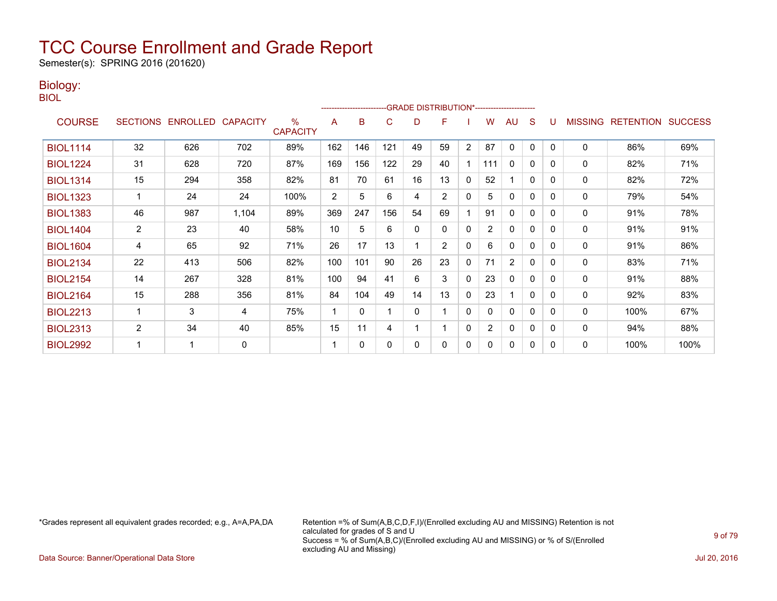Semester(s): SPRING 2016 (201620)

### Biology:

BIOL

|                 |                |                            |             |                         |     | ------------------------ |          |          | -GRADE DISTRIBUTION*----------------------- |                |                |                |              |   |                |                          |      |
|-----------------|----------------|----------------------------|-------------|-------------------------|-----|--------------------------|----------|----------|---------------------------------------------|----------------|----------------|----------------|--------------|---|----------------|--------------------------|------|
| <b>COURSE</b>   |                | SECTIONS ENROLLED CAPACITY |             | $\%$<br><b>CAPACITY</b> | A   | B                        | C        | D        | F                                           |                | W              | <b>AU</b>      | S            | U | <b>MISSING</b> | <b>RETENTION SUCCESS</b> |      |
| <b>BIOL1114</b> | 32             | 626                        | 702         | 89%                     | 162 | 146                      | 121      | 49       | 59                                          | $\overline{2}$ | 87             | $\mathbf{0}$   | $\mathbf{0}$ | 0 | $\mathbf{0}$   | 86%                      | 69%  |
| <b>BIOL1224</b> | 31             | 628                        | 720         | 87%                     | 169 | 156                      | 122      | 29       | 40                                          |                | 111            | $\mathbf{0}$   | $\mathbf{0}$ | 0 | 0              | 82%                      | 71%  |
| <b>BIOL1314</b> | 15             | 294                        | 358         | 82%                     | 81  | 70                       | 61       | 16       | 13                                          | $\mathbf{0}$   | 52             |                | $\mathbf{0}$ | 0 | 0              | 82%                      | 72%  |
| <b>BIOL1323</b> |                | 24                         | 24          | 100%                    | 2   | 5                        | 6        | 4        | 2                                           | $\mathbf{0}$   | 5              | $\mathbf{0}$   | 0            | 0 | 0              | 79%                      | 54%  |
| <b>BIOL1383</b> | 46             | 987                        | 1,104       | 89%                     | 369 | 247                      | 156      | 54       | 69                                          |                | 91             | $\mathbf{0}$   | 0            | 0 | 0              | 91%                      | 78%  |
| <b>BIOL1404</b> | $\overline{2}$ | 23                         | 40          | 58%                     | 10  | 5                        | 6        | $\Omega$ | $\Omega$                                    | 0              | $\overline{2}$ | 0              | $\Omega$     | 0 | 0              | 91%                      | 91%  |
| <b>BIOL1604</b> | 4              | 65                         | 92          | 71%                     | 26  | 17                       | 13       |          | 2                                           | $\mathbf{0}$   | 6              | 0              | $\Omega$     | 0 | 0              | 91%                      | 86%  |
| <b>BIOL2134</b> | 22             | 413                        | 506         | 82%                     | 100 | 101                      | 90       | 26       | 23                                          | $\mathbf{0}$   | 71             | $\overline{2}$ | $\mathbf{0}$ | 0 | 0              | 83%                      | 71%  |
| <b>BIOL2154</b> | 14             | 267                        | 328         | 81%                     | 100 | 94                       | 41       | 6        | 3                                           | $\mathbf{0}$   | 23             | $\mathbf{0}$   | 0            | 0 | $\mathbf{0}$   | 91%                      | 88%  |
| <b>BIOL2164</b> | 15             | 288                        | 356         | 81%                     | 84  | 104                      | 49       | 14       | 13                                          | $\mathbf{0}$   | 23             |                | 0            | 0 | 0              | 92%                      | 83%  |
| <b>BIOL2213</b> |                | 3                          | 4           | 75%                     | 1   | $\Omega$                 |          | $\Omega$ |                                             | 0              | $\Omega$       | 0              | $\Omega$     | 0 | 0              | 100%                     | 67%  |
| <b>BIOL2313</b> | $\overline{2}$ | 34                         | 40          | 85%                     | 15  | 11                       | 4        |          |                                             | 0              | 2              | 0              | 0            | 0 | 0              | 94%                      | 88%  |
| <b>BIOL2992</b> |                |                            | $\mathbf 0$ |                         | 1   | $\Omega$                 | $\Omega$ | $\Omega$ | 0                                           | 0              | 0              | 0              | 0            | 0 | 0              | 100%                     | 100% |

\*Grades represent all equivalent grades recorded; e.g., A=A,PA,DA Retention =% of Sum(A,B,C,D,F,I)/(Enrolled excluding AU and MISSING) Retention is not calculated for grades of S and U Success = % of Sum(A,B,C)/(Enrolled excluding AU and MISSING) or % of S/(Enrolled excluding AU and Missing)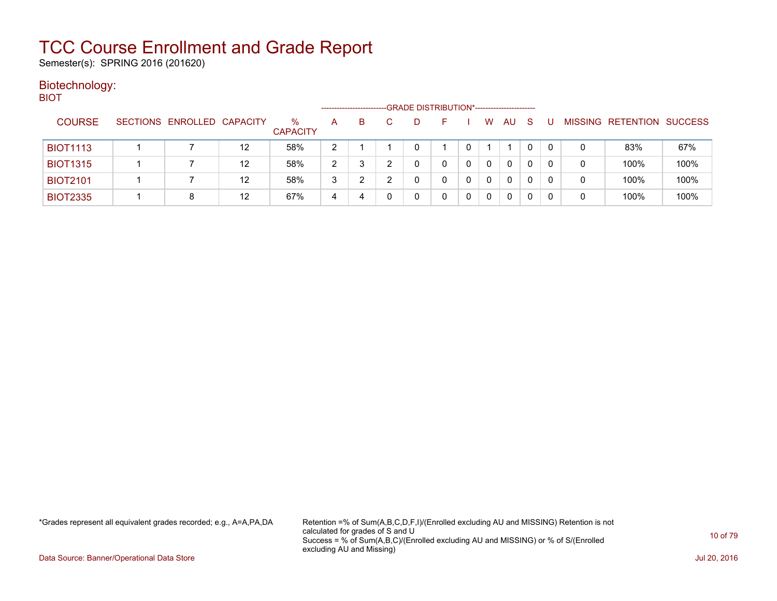Semester(s): SPRING 2016 (201620)

#### Biotechnology: BIOT

| ____            |                            |                   |                      | --------------------- |    | -GRADE DISTRIBUTION*----------------------- |   |   |    |    |              |   |                           |      |
|-----------------|----------------------------|-------------------|----------------------|-----------------------|----|---------------------------------------------|---|---|----|----|--------------|---|---------------------------|------|
| <b>COURSE</b>   | SECTIONS ENROLLED CAPACITY |                   | %<br><b>CAPACITY</b> | A                     | B. | D                                           |   | W | AU | -S |              |   | MISSING RETENTION SUCCESS |      |
| <b>BIOT1113</b> |                            | 12                | 58%                  | າ                     |    | 0                                           |   |   |    |    | $\Omega$     | 0 | 83%                       | 67%  |
| <b>BIOT1315</b> |                            | $12 \overline{ }$ | 58%                  | 2                     |    | 0                                           | 0 | 0 | 0  |    | $\Omega$     | 0 | 100%                      | 100% |
| <b>BIOT2101</b> |                            | $12 \overline{ }$ | 58%                  | 3                     |    | U                                           | 0 | 0 | 0  | 0  | 0            | 0 | 100%                      | 100% |
| <b>BIOT2335</b> |                            | 12                | 67%                  | 4                     | 4  |                                             | 0 | 0 | 0  |    | <sup>0</sup> | 0 | 100%                      | 100% |

\*Grades represent all equivalent grades recorded; e.g., A=A,PA,DA Retention =% of Sum(A,B,C,D,F,I)/(Enrolled excluding AU and MISSING) Retention is not calculated for grades of S and U Success = % of Sum(A,B,C)/(Enrolled excluding AU and MISSING) or % of S/(Enrolled excluding AU and Missing)

Data Source: Banner/Operational Data Store Jul 20, 2016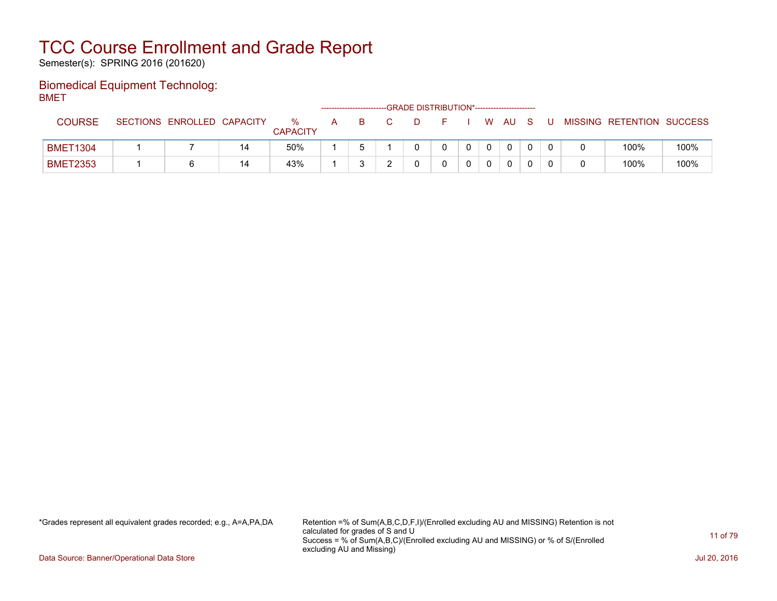Semester(s): SPRING 2016 (201620)

#### Biomedical Equipment Technolog: BMET

| - - .           |                            |    |                      |    |  | -- GRADE DISTRIBUTION*------------------------ |  |              |     |    |                           |      |
|-----------------|----------------------------|----|----------------------|----|--|------------------------------------------------|--|--------------|-----|----|---------------------------|------|
| <b>COURSE</b>   | SECTIONS ENROLLED CAPACITY |    | %<br><b>CAPACITY</b> | A. |  |                                                |  | I WAU        | - S | -U | MISSING RETENTION SUCCESS |      |
| <b>BMET1304</b> |                            | 14 | 50%                  |    |  |                                                |  | $\mathbf{0}$ |     |    | 100%                      | 100% |
| <b>BMET2353</b> |                            | 14 | 43%                  |    |  |                                                |  | 0            |     |    | 100%                      | 100% |

\*Grades represent all equivalent grades recorded; e.g., A=A,PA,DA Retention =% of Sum(A,B,C,D,F,I)/(Enrolled excluding AU and MISSING) Retention is not calculated for grades of S and U Success = % of Sum(A,B,C)/(Enrolled excluding AU and MISSING) or % of S/(Enrolled excluding AU and Missing)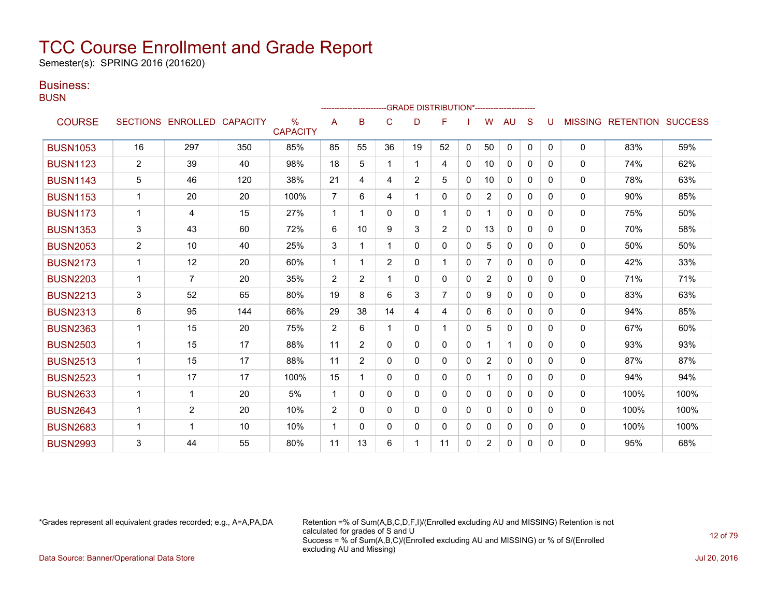Semester(s): SPRING 2016 (201620)

### Business:

**BUSN** 

| ----            |                |                            |     |                         |                |                |                |                | <b>GRADE DISTRIBUTION*----------------------</b> |              |                |              |              |              |                |                          |      |
|-----------------|----------------|----------------------------|-----|-------------------------|----------------|----------------|----------------|----------------|--------------------------------------------------|--------------|----------------|--------------|--------------|--------------|----------------|--------------------------|------|
| <b>COURSE</b>   |                | SECTIONS ENROLLED CAPACITY |     | $\%$<br><b>CAPACITY</b> | A              | B              | $\mathsf{C}$   | D              | F                                                |              | W              | <b>AU</b>    | S            |              | <b>MISSING</b> | <b>RETENTION SUCCESS</b> |      |
| <b>BUSN1053</b> | 16             | 297                        | 350 | 85%                     | 85             | 55             | 36             | 19             | 52                                               | $\mathbf{0}$ | 50             | 0            | $\mathbf{0}$ | $\mathbf{0}$ | $\mathbf 0$    | 83%                      | 59%  |
| <b>BUSN1123</b> | $\overline{2}$ | 39                         | 40  | 98%                     | 18             | 5              |                | 1              | 4                                                | $\Omega$     | 10             | 0            | $\Omega$     | 0            | $\mathbf{0}$   | 74%                      | 62%  |
| <b>BUSN1143</b> | 5              | 46                         | 120 | 38%                     | 21             | 4              | 4              | $\overline{2}$ | 5                                                | 0            | 10             | 0            | 0            | 0            | $\Omega$       | 78%                      | 63%  |
| <b>BUSN1153</b> | $\mathbf{1}$   | 20                         | 20  | 100%                    | $\overline{7}$ | 6              | 4              | 1              | 0                                                | 0            | $\overline{2}$ | 0            | 0            | 0            | $\mathbf 0$    | 90%                      | 85%  |
| <b>BUSN1173</b> | $\mathbf{1}$   | 4                          | 15  | 27%                     | $\mathbf 1$    |                | 0              | 0              | 1                                                | $\Omega$     |                | $\mathbf{0}$ | $\Omega$     | $\Omega$     | $\mathbf{0}$   | 75%                      | 50%  |
| <b>BUSN1353</b> | 3              | 43                         | 60  | 72%                     | 6              | 10             | 9              | 3              | $\overline{2}$                                   | 0            | 13             | 0            | 0            | $\Omega$     | $\mathbf{0}$   | 70%                      | 58%  |
| <b>BUSN2053</b> | $\overline{2}$ | 10                         | 40  | 25%                     | 3              |                |                | 0              | 0                                                | $\Omega$     | 5              | 0            | $\Omega$     | $\Omega$     | $\Omega$       | 50%                      | 50%  |
| <b>BUSN2173</b> | $\mathbf{1}$   | 12                         | 20  | 60%                     | $\mathbf 1$    | 1              | $\overline{2}$ | 0              | 1                                                | $\Omega$     | $\overline{7}$ | $\mathbf{0}$ | $\Omega$     | 0            | 0              | 42%                      | 33%  |
| <b>BUSN2203</b> | 1              | 7                          | 20  | 35%                     | 2              | $\overline{2}$ |                | 0              | 0                                                | $\Omega$     | 2              | $\Omega$     | $\Omega$     | $\Omega$     | $\mathbf{0}$   | 71%                      | 71%  |
| <b>BUSN2213</b> | 3              | 52                         | 65  | 80%                     | 19             | 8              | 6              | 3              | $\overline{7}$                                   | $\mathbf{0}$ | 9              | $\mathbf{0}$ | $\Omega$     | $\Omega$     | $\mathbf 0$    | 83%                      | 63%  |
| <b>BUSN2313</b> | 6              | 95                         | 144 | 66%                     | 29             | 38             | 14             | 4              | 4                                                | $\Omega$     | 6              | $\Omega$     | $\Omega$     | $\Omega$     | $\mathbf{0}$   | 94%                      | 85%  |
| <b>BUSN2363</b> | $\mathbf{1}$   | 15                         | 20  | 75%                     | 2              | 6              |                | 0              | 1                                                | $\Omega$     | 5              | $\Omega$     | $\Omega$     | 0            | 0              | 67%                      | 60%  |
| <b>BUSN2503</b> | 1              | 15                         | 17  | 88%                     | 11             | $\overline{2}$ | 0              | 0              | 0                                                | $\mathbf{0}$ |                | 1            | $\Omega$     | 0            | $\mathbf{0}$   | 93%                      | 93%  |
| <b>BUSN2513</b> | $\mathbf{1}$   | 15                         | 17  | 88%                     | 11             | $\overline{2}$ | 0              | $\Omega$       | $\Omega$                                         | $\Omega$     | $\overline{2}$ | $\mathbf{0}$ | $\Omega$     | $\Omega$     | 0              | 87%                      | 87%  |
| <b>BUSN2523</b> | $\mathbf{1}$   | 17                         | 17  | 100%                    | 15             |                | $\Omega$       | $\Omega$       | 0                                                | $\Omega$     |                | $\Omega$     | $\Omega$     | $\Omega$     | $\mathbf{0}$   | 94%                      | 94%  |
| <b>BUSN2633</b> | $\mathbf{1}$   | 1                          | 20  | 5%                      | $\overline{1}$ | 0              | $\Omega$       | 0              | 0                                                | $\Omega$     | $\Omega$       | $\Omega$     | $\Omega$     | $\Omega$     | 0              | 100%                     | 100% |
| <b>BUSN2643</b> | 1              | $\overline{2}$             | 20  | 10%                     | 2              | 0              | 0              | 0              | 0                                                | $\Omega$     | $\mathbf{0}$   | $\mathbf{0}$ | $\Omega$     | $\Omega$     | 0              | 100%                     | 100% |
| <b>BUSN2683</b> | $\mathbf{1}$   | 1                          | 10  | 10%                     | $\overline{1}$ | 0              | 0              | 0              | 0                                                | $\Omega$     | $\mathbf{0}$   | $\mathbf{0}$ | $\Omega$     | $\Omega$     | 0              | 100%                     | 100% |
| <b>BUSN2993</b> | 3              | 44                         | 55  | 80%                     | 11             | 13             | 6              |                | 11                                               | 0            | 2              | 0            | $\Omega$     | $\Omega$     | $\Omega$       | 95%                      | 68%  |

\*Grades represent all equivalent grades recorded; e.g., A=A,PA,DA Retention =% of Sum(A,B,C,D,F,I)/(Enrolled excluding AU and MISSING) Retention is not calculated for grades of S and U Success = % of Sum(A,B,C)/(Enrolled excluding AU and MISSING) or % of S/(Enrolled excluding AU and Missing)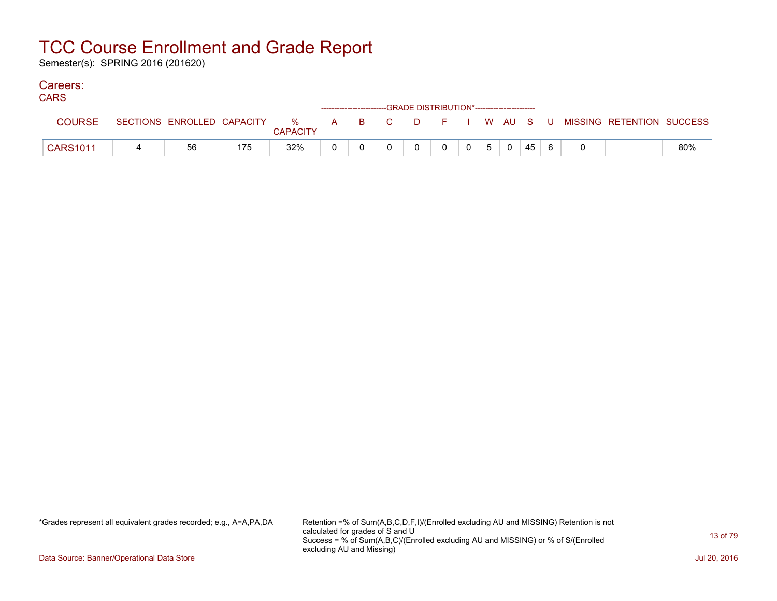Semester(s): SPRING 2016 (201620)

### Careers:

| טורוי           |                            |     |               |       |  | ------------------------GRADE DISTRIBUTION*----------------------- |  |     |    |    |                                          |     |
|-----------------|----------------------------|-----|---------------|-------|--|--------------------------------------------------------------------|--|-----|----|----|------------------------------------------|-----|
| <b>COURSE</b>   | SECTIONS ENROLLED CAPACITY |     | %<br>CAPACITY | A B C |  |                                                                    |  |     |    |    | D F I W AU S U MISSING RETENTION SUCCESS |     |
| <b>CARS1011</b> | 56                         | 175 | 32%           |       |  |                                                                    |  | 5 0 | 45 | -6 |                                          | 80% |

\*Grades represent all equivalent grades recorded; e.g., A=A,PA,DA Retention =% of Sum(A,B,C,D,F,I)/(Enrolled excluding AU and MISSING) Retention is not calculated for grades of S and U Success = % of Sum(A,B,C)/(Enrolled excluding AU and MISSING) or % of S/(Enrolled excluding AU and Missing)

Data Source: Banner/Operational Data Store Jul 20, 2016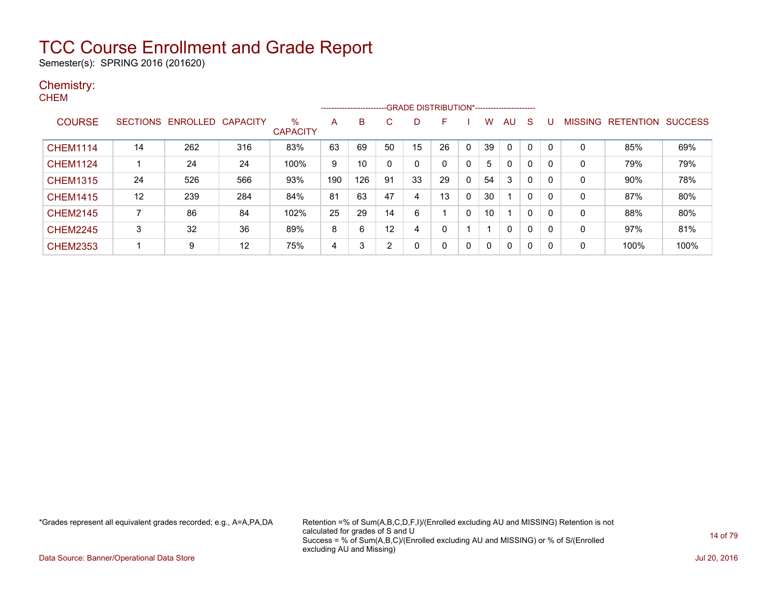Semester(s): SPRING 2016 (201620)

#### Chemistry: **CHEM**

|                 |                 |                   |     |                      |     | ---------------------- |    | -GRADE DISTRIBUTION*----------------------- |          |              |          |              |             |   |                |                  |                |
|-----------------|-----------------|-------------------|-----|----------------------|-----|------------------------|----|---------------------------------------------|----------|--------------|----------|--------------|-------------|---|----------------|------------------|----------------|
| <b>COURSE</b>   | <b>SECTIONS</b> | ENROLLED CAPACITY |     | %<br><b>CAPACITY</b> | A   | B                      | С  | D                                           | F        |              | W        | AU           | S           | U | <b>MISSING</b> | <b>RETENTION</b> | <b>SUCCESS</b> |
| <b>CHEM1114</b> | 14              | 262               | 316 | 83%                  | 63  | 69                     | 50 | 15                                          | 26       | $\mathbf{0}$ | 39       | 0            | $\mathbf 0$ |   | 0              | 85%              | 69%            |
| <b>CHEM1124</b> |                 | 24                | 24  | 100%                 | 9   | 10                     | 0  | 0                                           |          | 0            | 5        | $\mathbf{0}$ | 0           | 0 | 0              | 79%              | 79%            |
| <b>CHEM1315</b> | 24              | 526               | 566 | 93%                  | 190 | 126                    | 91 | 33                                          | 29       | 0            | 54       | 3            | 0           | 0 | 0              | 90%              | 78%            |
| <b>CHEM1415</b> | 12              | 239               | 284 | 84%                  | 81  | 63                     | 47 | 4                                           | 13       | 0            | 30       |              | 0           | 0 | 0              | 87%              | 80%            |
| <b>CHEM2145</b> | 7               | 86                | 84  | 102%                 | 25  | 29                     | 14 | 6                                           |          | 0            | 10       |              | 0           | 0 | 0              | 88%              | 80%            |
| <b>CHEM2245</b> | 3               | 32                | 36  | 89%                  | 8   | 6                      | 12 | 4                                           |          |              |          | $\mathbf{0}$ | $\Omega$    | 0 | 0              | 97%              | 81%            |
| <b>CHEM2353</b> |                 | 9                 | 12  | 75%                  | 4   | 3                      | 2  |                                             | $\Omega$ | 0            | $\Omega$ | $\mathbf{0}$ | 0           | 0 | 0              | 100%             | 100%           |

\*Grades represent all equivalent grades recorded; e.g., A=A,PA,DA Retention =% of Sum(A,B,C,D,F,I)/(Enrolled excluding AU and MISSING) Retention is not calculated for grades of S and U Success = % of Sum(A,B,C)/(Enrolled excluding AU and MISSING) or % of S/(Enrolled excluding AU and Missing)

Data Source: Banner/Operational Data Store Jul 20, 2016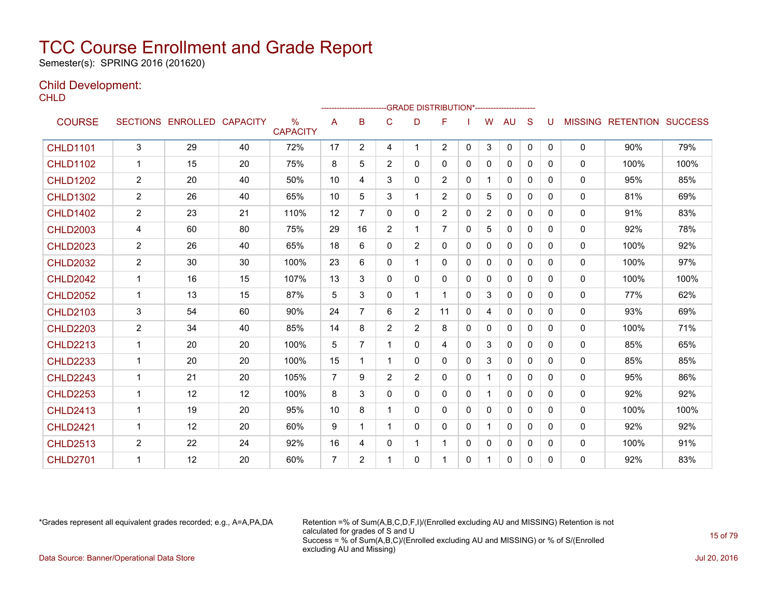Semester(s): SPRING 2016 (201620)

### Child Development:

**CHLD** 

|                 |                |                            |    |                         |                | ------------------------ |              | -GRADE DISTRIBUTION*---------------------- |                |              |                |              |              |              |              |                                  |      |
|-----------------|----------------|----------------------------|----|-------------------------|----------------|--------------------------|--------------|--------------------------------------------|----------------|--------------|----------------|--------------|--------------|--------------|--------------|----------------------------------|------|
| <b>COURSE</b>   |                | SECTIONS ENROLLED CAPACITY |    | $\%$<br><b>CAPACITY</b> | A              | в                        | C            | D                                          | F              |              | W              | AU           | S            | U            |              | <b>MISSING RETENTION SUCCESS</b> |      |
| <b>CHLD1101</b> | 3              | 29                         | 40 | 72%                     | 17             | $\overline{2}$           | 4            | 1                                          | $\overline{2}$ | $\Omega$     | 3              | $\mathbf{0}$ | $\mathbf{0}$ | $\mathbf{0}$ | $\mathbf{0}$ | 90%                              | 79%  |
| <b>CHLD1102</b> | 1              | 15                         | 20 | 75%                     | 8              | 5                        | 2            | $\mathbf{0}$                               | 0              | $\mathbf{0}$ | 0              | $\mathbf{0}$ | $\Omega$     | $\Omega$     | $\mathbf{0}$ | 100%                             | 100% |
| <b>CHLD1202</b> | $\overline{2}$ | 20                         | 40 | 50%                     | 10             | 4                        | 3            | 0                                          | $\overline{2}$ | $\mathbf{0}$ | $\mathbf 1$    | 0            | $\Omega$     | $\Omega$     | 0            | 95%                              | 85%  |
| <b>CHLD1302</b> | $\overline{2}$ | 26                         | 40 | 65%                     | 10             | 5                        | 3            | 1                                          | $\overline{2}$ | $\Omega$     | 5              | $\mathbf{0}$ | $\Omega$     | $\Omega$     | 0            | 81%                              | 69%  |
| <b>CHLD1402</b> | $\overline{c}$ | 23                         | 21 | 110%                    | 12             | $\overline{7}$           | $\Omega$     | $\Omega$                                   | 2              | $\Omega$     | $\overline{2}$ | $\Omega$     | $\Omega$     | 0            | 0            | 91%                              | 83%  |
| <b>CHLD2003</b> | 4              | 60                         | 80 | 75%                     | 29             | 16                       | 2            | 1                                          | $\overline{7}$ | $\Omega$     | 5              | $\mathbf{0}$ | $\Omega$     | $\Omega$     | 0            | 92%                              | 78%  |
| <b>CHLD2023</b> | $\overline{c}$ | 26                         | 40 | 65%                     | 18             | 6                        | $\Omega$     | 2                                          | $\Omega$       | $\Omega$     | 0              | $\mathbf{0}$ | $\Omega$     | 0            | $\mathbf{0}$ | 100%                             | 92%  |
| <b>CHLD2032</b> | $\overline{2}$ | 30                         | 30 | 100%                    | 23             | 6                        | $\mathbf{0}$ | $\mathbf 1$                                | 0              | 0            | $\Omega$       | 0            | $\mathbf{0}$ | 0            | $\mathbf{0}$ | 100%                             | 97%  |
| <b>CHLD2042</b> | $\mathbf 1$    | 16                         | 15 | 107%                    | 13             | 3                        | $\mathbf{0}$ | 0                                          | 0              | 0            | $\mathbf{0}$   | $\mathbf{0}$ | $\Omega$     | $\Omega$     | 0            | 100%                             | 100% |
| <b>CHLD2052</b> | 1              | 13                         | 15 | 87%                     | 5              | 3                        | $\mathbf{0}$ |                                            |                | $\Omega$     | 3              | $\mathbf{0}$ | $\Omega$     | 0            | $\mathbf{0}$ | 77%                              | 62%  |
| <b>CHLD2103</b> | 3              | 54                         | 60 | 90%                     | 24             | $\overline{7}$           | 6            | $\overline{2}$                             | 11             | $\Omega$     | 4              | $\mathbf{0}$ | $\mathbf{0}$ | 0            | 0            | 93%                              | 69%  |
| <b>CHLD2203</b> | $\overline{c}$ | 34                         | 40 | 85%                     | 14             | 8                        | 2            | $\overline{2}$                             | 8              | $\Omega$     | 0              | $\mathbf{0}$ | $\Omega$     | $\Omega$     | $\mathbf{0}$ | 100%                             | 71%  |
| <b>CHLD2213</b> | $\mathbf 1$    | 20                         | 20 | 100%                    | 5              | $\overline{7}$           | 1            | 0                                          | 4              | $\Omega$     | 3              | 0            | $\Omega$     | $\Omega$     | 0            | 85%                              | 65%  |
| <b>CHLD2233</b> | $\overline{1}$ | 20                         | 20 | 100%                    | 15             | 1                        |              | 0                                          | 0              | 0            | 3              | $\mathbf{0}$ | $\Omega$     | $\Omega$     | 0            | 85%                              | 85%  |
| <b>CHLD2243</b> |                | 21                         | 20 | 105%                    | $\overline{7}$ | 9                        | 2            | $\overline{2}$                             | $\Omega$       | $\Omega$     | 1              | $\Omega$     | $\Omega$     | 0            | 0            | 95%                              | 86%  |
| <b>CHLD2253</b> | $\mathbf 1$    | 12                         | 12 | 100%                    | 8              | 3                        | $\mathbf{0}$ | $\mathbf{0}$                               | 0              | $\mathbf{0}$ | $\mathbf 1$    | 0            | $\Omega$     | $\Omega$     | 0            | 92%                              | 92%  |
| <b>CHLD2413</b> | 1              | 19                         | 20 | 95%                     | 10             | 8                        | 1            | $\Omega$                                   | $\Omega$       | $\Omega$     | $\mathbf{0}$   | 0            | $\Omega$     | $\Omega$     | $\mathbf{0}$ | 100%                             | 100% |
| <b>CHLD2421</b> | $\mathbf{1}$   | 12                         | 20 | 60%                     | 9              | 1                        | 1            | 0                                          | 0              | $\mathbf{0}$ | 1.             | $\mathbf{0}$ | $\mathbf{0}$ | $\Omega$     | $\mathbf{0}$ | 92%                              | 92%  |
| <b>CHLD2513</b> | $\overline{2}$ | 22                         | 24 | 92%                     | 16             | 4                        | 0            | $\mathbf 1$                                | 1              | $\Omega$     | $\Omega$       | 0            | $\mathbf{0}$ | $\Omega$     | 0            | 100%                             | 91%  |
| <b>CHLD2701</b> |                | 12                         | 20 | 60%                     | $\overline{7}$ | $\overline{2}$           |              | 0                                          |                | $\Omega$     | 1              | $\Omega$     | $\Omega$     | 0            | $\mathbf{0}$ | 92%                              | 83%  |

\*Grades represent all equivalent grades recorded; e.g., A=A,PA,DA Retention =% of Sum(A,B,C,D,F,I)/(Enrolled excluding AU and MISSING) Retention is not calculated for grades of S and U Success = % of Sum(A,B,C)/(Enrolled excluding AU and MISSING) or % of S/(Enrolled excluding AU and Missing) Data Source: Banner/Operational Data Store Jul 20, 2016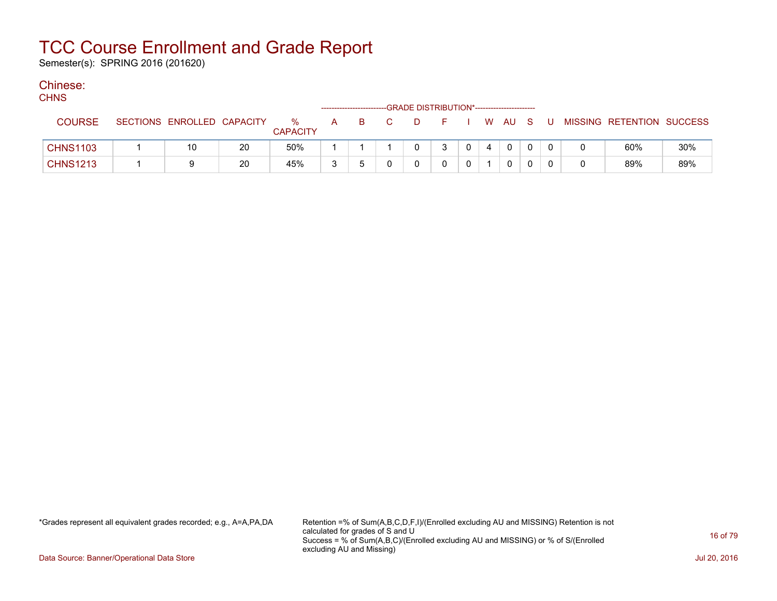Semester(s): SPRING 2016 (201620)

### Chinese:

| ,,,,,           |                            |    |                      |   | ------------------------- | -GRADE DISTRIBUTION*----------------------- |          |          |    |              |   |                           |     |
|-----------------|----------------------------|----|----------------------|---|---------------------------|---------------------------------------------|----------|----------|----|--------------|---|---------------------------|-----|
| <b>COURSE</b>   | SECTIONS ENROLLED CAPACITY |    | %<br><b>CAPACITY</b> | A |                           | D                                           |          | <b>W</b> | AU | - S          | U | MISSING RETENTION SUCCESS |     |
| <b>CHNS1103</b> | 10                         | 20 | 50%                  |   |                           |                                             | $\Omega$ | 4        |    | $\mathbf{0}$ |   | 60%                       | 30% |
| <b>CHNS1213</b> |                            | 20 | 45%                  | ຈ |                           |                                             |          |          |    | $\mathbf{0}$ |   | 89%                       | 89% |

\*Grades represent all equivalent grades recorded; e.g., A=A,PA,DA Retention =% of Sum(A,B,C,D,F,I)/(Enrolled excluding AU and MISSING) Retention is not calculated for grades of S and U Success = % of Sum(A,B,C)/(Enrolled excluding AU and MISSING) or % of S/(Enrolled excluding AU and Missing)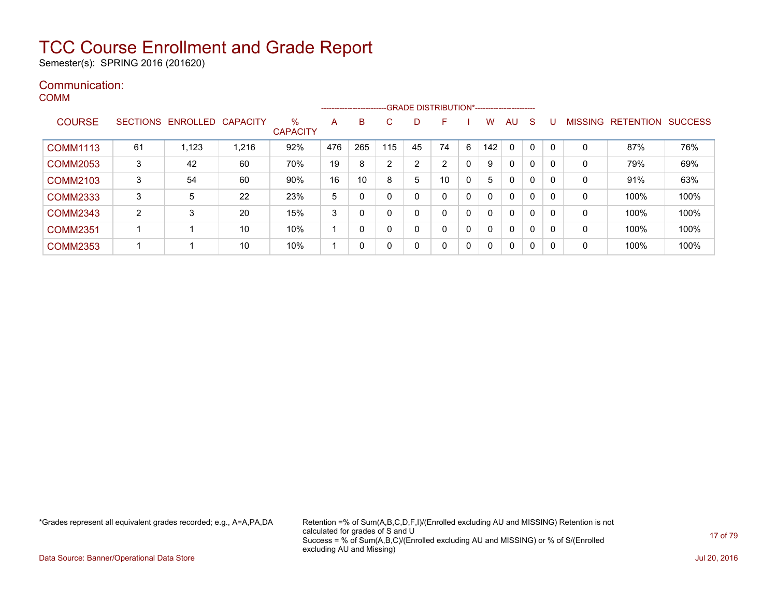Semester(s): SPRING 2016 (201620)

#### Communication: COMM

|                 |    |                            |       |                      | -------------------- |              |                |    | -GRADE DISTRIBUTION*----------------------- |              |     |              |              |          |                |                  |                |
|-----------------|----|----------------------------|-------|----------------------|----------------------|--------------|----------------|----|---------------------------------------------|--------------|-----|--------------|--------------|----------|----------------|------------------|----------------|
| <b>COURSE</b>   |    | SECTIONS ENROLLED CAPACITY |       | %<br><b>CAPACITY</b> | A                    | B            | C              | D  | F                                           |              | w   | AU.          | <sub>S</sub> |          | <b>MISSING</b> | <b>RETENTION</b> | <b>SUCCESS</b> |
| <b>COMM1113</b> | 61 | 1,123                      | 1,216 | 92%                  | 476                  | 265          | 115            | 45 | 74                                          | 6            | 142 | $\mathbf{0}$ | $\Omega$     | $\Omega$ | 0              | 87%              | 76%            |
| <b>COMM2053</b> | 3  | 42                         | 60    | 70%                  | 19                   | 8            | $\overline{2}$ | 2  | 2                                           | 0            | 9   | $\mathbf{0}$ | 0            | $\Omega$ | 0              | 79%              | 69%            |
| <b>COMM2103</b> | 3  | 54                         | 60    | 90%                  | 16                   | 10           | 8              | 5  | 10                                          | $\mathbf{0}$ | 5   | $\mathbf{0}$ | 0            | $\Omega$ | 0              | 91%              | 63%            |
| <b>COMM2333</b> | 3  | 5                          | 22    | 23%                  | 5                    | 0            | 0              | 0  | $\Omega$                                    | 0            |     | $\mathbf{0}$ | $\Omega$     | $\Omega$ | 0              | 100%             | 100%           |
| <b>COMM2343</b> | 2  | 3                          | 20    | 15%                  | 3                    | $\Omega$     | 0              | 0  | 0                                           | 0            |     | $\mathbf{0}$ | 0            | - 0      | 0              | 100%             | 100%           |
| <b>COMM2351</b> |    |                            | 10    | 10%                  |                      | 0            | 0              | 0  | 0                                           | 0            | ∩   | $\mathbf{0}$ | 0            | -0       | 0              | 100%             | 100%           |
| <b>COMM2353</b> |    |                            | 10    | 10%                  |                      | $\mathbf{0}$ | 0              | 0  | 0                                           | 0            | 0   | $\mathbf 0$  | $\mathbf{0}$ | 0        | 0              | 100%             | 100%           |

\*Grades represent all equivalent grades recorded; e.g., A=A,PA,DA Retention =% of Sum(A,B,C,D,F,I)/(Enrolled excluding AU and MISSING) Retention is not calculated for grades of S and U Success = % of Sum(A,B,C)/(Enrolled excluding AU and MISSING) or % of S/(Enrolled excluding AU and Missing)

Data Source: Banner/Operational Data Store Jul 20, 2016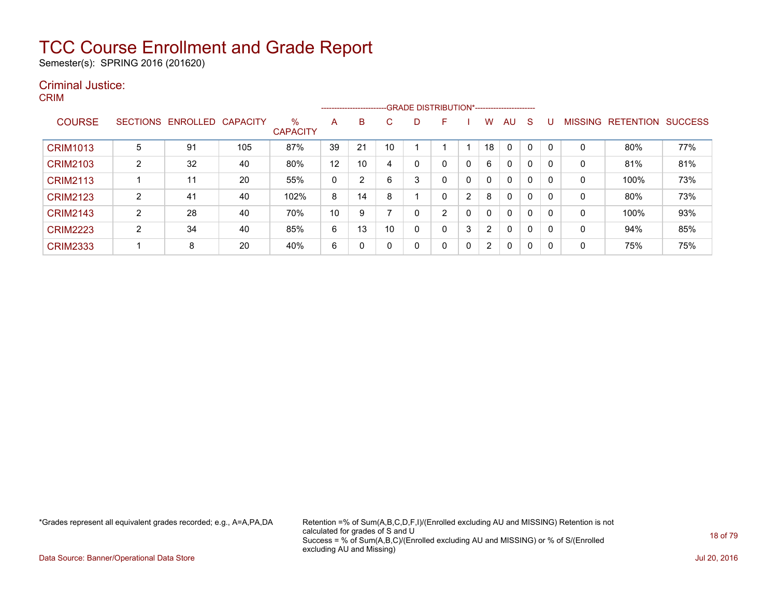Semester(s): SPRING 2016 (201620)

#### Criminal Justice: CRIM

|                 |   |                   |                 |                         |    |    | --------------------------GRADE DISTRIBUTION*----------------------- |   |                |   |                |             |              |              |                |                  |                |
|-----------------|---|-------------------|-----------------|-------------------------|----|----|----------------------------------------------------------------------|---|----------------|---|----------------|-------------|--------------|--------------|----------------|------------------|----------------|
| <b>COURSE</b>   |   | SECTIONS ENROLLED | <b>CAPACITY</b> | $\%$<br><b>CAPACITY</b> | A  | B  | С                                                                    | D | F              |   | W              | AU.         | <sub>S</sub> | U            | <b>MISSING</b> | <b>RETENTION</b> | <b>SUCCESS</b> |
| <b>CRIM1013</b> | 5 | 91                | 105             | 87%                     | 39 | 21 | 10                                                                   |   |                |   | 18             |             |              | $\mathbf{0}$ | 0              | 80%              | 77%            |
| <b>CRIM2103</b> | 2 | 32                | 40              | 80%                     | 12 | 10 | 4                                                                    | 0 | 0              |   | 6              | 0           | 0            | 0            | 0              | 81%              | 81%            |
| <b>CRIM2113</b> |   | 11                | 20              | 55%                     | 0  | 2  | 6                                                                    | 3 | 0              |   | $\mathbf{0}$   | $\mathbf 0$ | 0            | 0            | 0              | 100%             | 73%            |
| <b>CRIM2123</b> | 2 | 41                | 40              | 102%                    | 8  | 14 | 8                                                                    |   | 0              | 2 | 8              | 0           | 0            | 0            | 0              | 80%              | 73%            |
| <b>CRIM2143</b> | 2 | 28                | 40              | 70%                     | 10 | 9  |                                                                      | 0 | $\overline{2}$ |   | $\mathbf{0}$   | 0           | 0            | $\mathbf{0}$ | 0              | 100%             | 93%            |
| <b>CRIM2223</b> | 2 | 34                | 40              | 85%                     | 6  | 13 | 10                                                                   | 0 | 0              | 3 | $\overline{2}$ | $\mathbf 0$ | 0            | 0            | 0              | 94%              | 85%            |
| <b>CRIM2333</b> |   | 8                 | 20              | 40%                     | 6  | 0  |                                                                      | 0 | 0              |   | 2              | 0           | 0            | 0            | 0              | 75%              | 75%            |

\*Grades represent all equivalent grades recorded; e.g., A=A,PA,DA Retention =% of Sum(A,B,C,D,F,I)/(Enrolled excluding AU and MISSING) Retention is not calculated for grades of S and U Success = % of Sum(A,B,C)/(Enrolled excluding AU and MISSING) or % of S/(Enrolled excluding AU and Missing)

Data Source: Banner/Operational Data Store Jul 20, 2016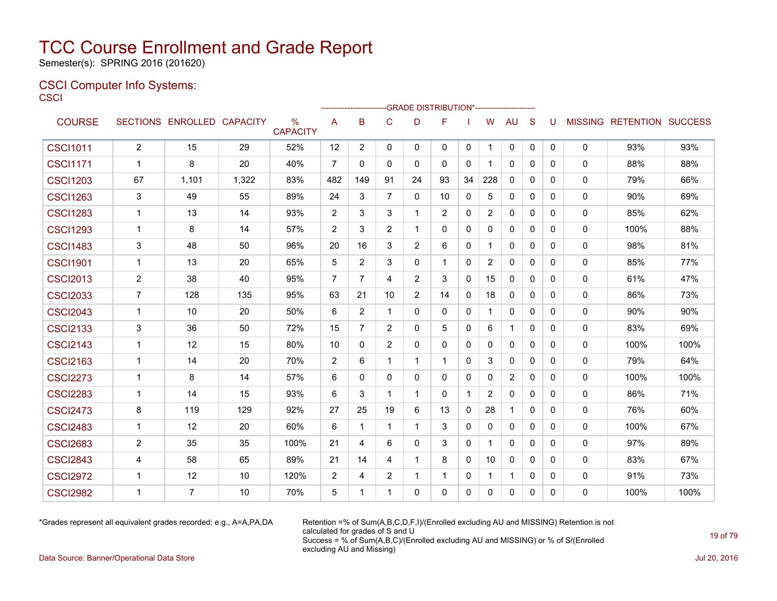Semester(s): SPRING 2016 (201620)

#### CSCI Computer Info Systems: **CSCI**

|                 |                         |                            |       |                      |                | ------------------------GRADE                DISTRIBUTION*---------------------- |                |              |              |              |                |              |              |              |             |                                  |      |
|-----------------|-------------------------|----------------------------|-------|----------------------|----------------|----------------------------------------------------------------------------------|----------------|--------------|--------------|--------------|----------------|--------------|--------------|--------------|-------------|----------------------------------|------|
| <b>COURSE</b>   |                         | SECTIONS ENROLLED CAPACITY |       | %<br><b>CAPACITY</b> | A              | B                                                                                | $\mathsf{C}$   | D            | F            |              | W              | <b>AU</b>    | S            | U            |             | <b>MISSING RETENTION SUCCESS</b> |      |
| <b>CSCI1011</b> | $\overline{2}$          | 15                         | 29    | 52%                  | 12             | $\overline{2}$                                                                   | $\mathbf 0$    | $\mathbf{0}$ | 0            | 0            | -1             | 0            | 0            | $\mathbf{0}$ | $\mathbf 0$ | 93%                              | 93%  |
| <b>CSCI1171</b> | $\mathbf 1$             | 8                          | 20    | 40%                  | $\overline{7}$ | 0                                                                                | 0              | 0            | 0            | 0            |                | 0            | 0            | $\mathbf{0}$ | 0           | 88%                              | 88%  |
| <b>CSCI1203</b> | 67                      | 1,101                      | 1,322 | 83%                  | 482            | 149                                                                              | 91             | 24           | 93           | 34           | 228            | 0            | $\Omega$     | $\Omega$     | 0           | 79%                              | 66%  |
| <b>CSCI1263</b> | 3                       | 49                         | 55    | 89%                  | 24             | 3                                                                                | $\overline{7}$ | 0            | 10           | 0            | 5              | 0            | 0            | $\mathbf{0}$ | 0           | 90%                              | 69%  |
| <b>CSCI1283</b> | $\mathbf 1$             | 13                         | 14    | 93%                  | $\overline{2}$ | 3                                                                                | 3              | 1            | 2            | 0            | $\overline{2}$ | 0            | 0            | 0            | 0           | 85%                              | 62%  |
| <b>CSCI1293</b> | -1                      | 8                          | 14    | 57%                  | 2              | 3                                                                                | 2              | 1            | $\mathbf{0}$ | 0            | 0              | 0            | 0            | $\mathbf{0}$ | 0           | 100%                             | 88%  |
| <b>CSCI1483</b> | 3                       | 48                         | 50    | 96%                  | 20             | 16                                                                               | 3              | 2            | 6            | 0            | 1              | 0            | 0            | $\mathbf{0}$ | 0           | 98%                              | 81%  |
| <b>CSCI1901</b> | $\mathbf{1}$            | 13                         | 20    | 65%                  | 5              | 2                                                                                | 3              | $\mathbf{0}$ | $\mathbf 1$  | 0            | 2              | 0            | $\Omega$     | $\mathbf{0}$ | 0           | 85%                              | 77%  |
| <b>CSCI2013</b> | $\overline{2}$          | 38                         | 40    | 95%                  | $\overline{7}$ | $\overline{7}$                                                                   | 4              | 2            | 3            | 0            | 15             | $\mathbf 0$  | 0            | $\mathbf{0}$ | $\mathbf 0$ | 61%                              | 47%  |
| <b>CSCI2033</b> | $\overline{7}$          | 128                        | 135   | 95%                  | 63             | 21                                                                               | 10             | 2            | 14           | $\mathbf{0}$ | 18             | $\Omega$     | $\Omega$     | $\Omega$     | 0           | 86%                              | 73%  |
| <b>CSCI2043</b> | -1                      | 10                         | 20    | 50%                  | 6              | $\overline{c}$                                                                   | $\mathbf{1}$   | 0            | 0            | 0            |                | 0            | $\mathbf{0}$ | $\mathbf{0}$ | 0           | 90%                              | 90%  |
| <b>CSCI2133</b> | 3                       | 36                         | 50    | 72%                  | 15             | $\overline{7}$                                                                   | 2              | $\mathbf{0}$ | 5            | 0            | 6              | $\mathbf 1$  | $\Omega$     | $\Omega$     | 0           | 83%                              | 69%  |
| <b>CSCI2143</b> | $\mathbf 1$             | 12                         | 15    | 80%                  | 10             | 0                                                                                | 2              | 0            | $\mathbf{0}$ | 0            | 0              | 0            | $\Omega$     | $\Omega$     | 0           | 100%                             | 100% |
| <b>CSCI2163</b> | $\mathbf 1$             | 14                         | 20    | 70%                  | $\overline{2}$ | 6                                                                                | 1              | 1            |              | 0            | 3              | 0            | $\mathbf{0}$ | $\mathbf{0}$ | $\mathbf 0$ | 79%                              | 64%  |
| <b>CSCI2273</b> | -1                      | 8                          | 14    | 57%                  | 6              | 0                                                                                | $\Omega$       | 0            | $\mathbf{0}$ | $\mathbf{0}$ | 0              | 2            | $\mathbf{0}$ | $\Omega$     | 0           | 100%                             | 100% |
| <b>CSCI2283</b> | -1                      | 14                         | 15    | 93%                  | 6              | 3                                                                                | 1              | 1            | $\mathbf{0}$ | 1            | $\overline{2}$ | 0            | 0            | $\mathbf{0}$ | 0           | 86%                              | 71%  |
| <b>CSCI2473</b> | 8                       | 119                        | 129   | 92%                  | 27             | 25                                                                               | 19             | 6            | 13           | $\mathbf 0$  | 28             | $\mathbf{1}$ | $\mathbf{0}$ | $\Omega$     | 0           | 76%                              | 60%  |
| <b>CSCI2483</b> | $\overline{1}$          | 12                         | 20    | 60%                  | 6              | $\mathbf 1$                                                                      | 1              | 1            | 3            | $\mathbf 0$  | $\mathbf{0}$   | 0            | $\mathbf{0}$ | $\mathbf{0}$ | $\mathbf 0$ | 100%                             | 67%  |
| <b>CSCI2683</b> | $\overline{2}$          | 35                         | 35    | 100%                 | 21             | 4                                                                                | 6              | $\Omega$     | 3            | $\mathbf{0}$ | 1              | $\Omega$     | $\Omega$     | $\Omega$     | $\mathbf 0$ | 97%                              | 89%  |
| <b>CSCI2843</b> | 4                       | 58                         | 65    | 89%                  | 21             | 14                                                                               | 4              | 1            | 8            | $\mathbf{0}$ | 10             | $\mathbf{0}$ | $\Omega$     | $\Omega$     | 0           | 83%                              | 67%  |
| <b>CSCI2972</b> | $\mathbf 1$             | 12                         | 10    | 120%                 | $\overline{2}$ | 4                                                                                | 2              | $\mathbf 1$  | -1           | 0            | 1              | $\mathbf{1}$ | $\Omega$     | $\Omega$     | $\mathbf 0$ | 91%                              | 73%  |
| <b>CSCI2982</b> | $\overline{\mathbf{1}}$ | $\overline{7}$             | 10    | 70%                  | 5              | 1                                                                                | 1              | $\Omega$     | $\Omega$     | $\Omega$     | $\Omega$       | $\Omega$     | $\Omega$     | $\Omega$     | $\Omega$    | 100%                             | 100% |

\*Grades represent all equivalent grades recorded; e.g., A=A,PA,DA Retention =% of Sum(A,B,C,D,F,I)/(Enrolled excluding AU and MISSING) Retention is not calculated for grades of S and U Success = % of Sum(A,B,C)/(Enrolled excluding AU and MISSING) or % of S/(Enrolled excluding AU and Missing)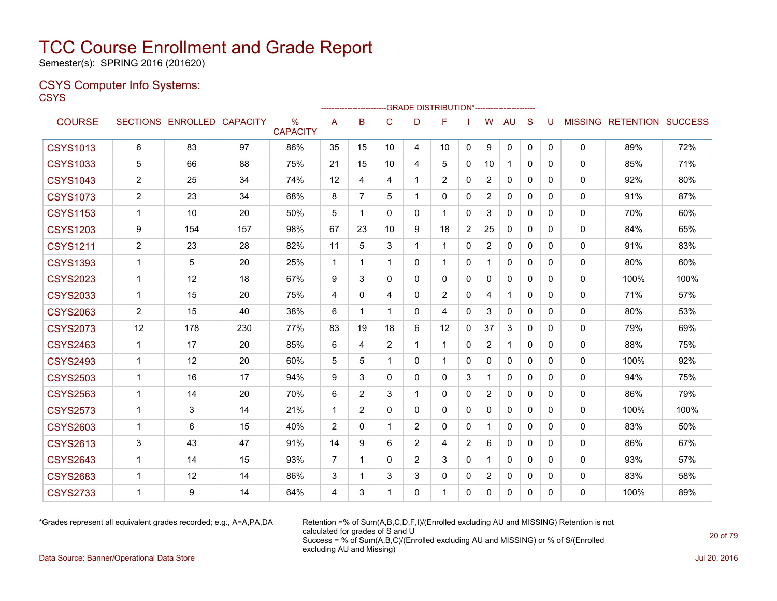Semester(s): SPRING 2016 (201620)

#### CSYS Computer Info Systems: **CSYS**

|                 |                |                            |     |                         |                |                |                |                | --GRADE DISTRIBUTION |                |                |              |              |              |                |                  |                |
|-----------------|----------------|----------------------------|-----|-------------------------|----------------|----------------|----------------|----------------|----------------------|----------------|----------------|--------------|--------------|--------------|----------------|------------------|----------------|
| <b>COURSE</b>   |                | SECTIONS ENROLLED CAPACITY |     | $\%$<br><b>CAPACITY</b> | A              | B              | C              | D              | F                    |                | W              | <b>AU</b>    | S            | U            | <b>MISSING</b> | <b>RETENTION</b> | <b>SUCCESS</b> |
| <b>CSYS1013</b> | 6              | 83                         | 97  | 86%                     | 35             | 15             | 10             | 4              | 10                   | 0              | 9              | $\mathbf{0}$ | $\mathbf{0}$ | $\mathbf{0}$ | $\mathbf{0}$   | 89%              | 72%            |
| <b>CSYS1033</b> | 5              | 66                         | 88  | 75%                     | 21             | 15             | 10             | 4              | 5                    | $\mathbf{0}$   | 10             | 1            | 0            | 0            | $\mathbf{0}$   | 85%              | 71%            |
| <b>CSYS1043</b> | $\overline{c}$ | 25                         | 34  | 74%                     | 12             | $\overline{4}$ | 4              | 1              | $\overline{2}$       | $\mathbf{0}$   | $\overline{2}$ | $\mathbf{0}$ | $\Omega$     | $\Omega$     | $\mathbf{0}$   | 92%              | 80%            |
| <b>CSYS1073</b> | $\overline{2}$ | 23                         | 34  | 68%                     | 8              | 7              | 5              | 1              | 0                    | $\mathbf{0}$   | $\overline{2}$ | 0            | $\mathbf{0}$ | 0            | $\Omega$       | 91%              | 87%            |
| <b>CSYS1153</b> | 1              | 10                         | 20  | 50%                     | 5              | $\mathbf 1$    | $\Omega$       | $\Omega$       | 1                    | $\Omega$       | 3              | $\Omega$     | $\Omega$     | $\Omega$     | $\Omega$       | 70%              | 60%            |
| <b>CSYS1203</b> | 9              | 154                        | 157 | 98%                     | 67             | 23             | 10             | 9              | 18                   | 2              | 25             | $\mathbf{0}$ | 0            | 0            | 0              | 84%              | 65%            |
| <b>CSYS1211</b> | $\overline{c}$ | 23                         | 28  | 82%                     | 11             | 5              | 3              | 1              | 1                    | $\mathbf{0}$   | 2              | $\mathbf{0}$ | $\mathbf{0}$ | 0            | $\Omega$       | 91%              | 83%            |
| <b>CSYS1393</b> | 1              | 5                          | 20  | 25%                     | $\mathbf 1$    | 1              | 1              | 0              |                      | $\mathbf{0}$   |                | $\mathbf{0}$ | $\Omega$     | 0            | 0              | 80%              | 60%            |
| <b>CSYS2023</b> | $\mathbf 1$    | 12                         | 18  | 67%                     | 9              | 3              | $\mathbf{0}$   | 0              | 0                    | 0              | 0              | 0            | 0            | 0            | $\Omega$       | 100%             | 100%           |
| <b>CSYS2033</b> | $\mathbf{1}$   | 15                         | 20  | 75%                     | 4              | $\mathbf 0$    | 4              | 0              | $\overline{2}$       | $\mathbf{0}$   | 4              | $\mathbf{1}$ | $\mathbf{0}$ | 0            | $\Omega$       | 71%              | 57%            |
| <b>CSYS2063</b> | $\overline{2}$ | 15                         | 40  | 38%                     | 6              | 1              | 1              | $\Omega$       | 4                    | $\Omega$       | 3              | $\mathbf{0}$ | $\Omega$     | $\Omega$     | $\Omega$       | 80%              | 53%            |
| <b>CSYS2073</b> | 12             | 178                        | 230 | 77%                     | 83             | 19             | 18             | 6              | 12                   | 0              | 37             | 3            | $\Omega$     | $\Omega$     | $\mathbf 0$    | 79%              | 69%            |
| <b>CSYS2463</b> | $\mathbf{1}$   | 17                         | 20  | 85%                     | 6              | $\overline{4}$ | $\overline{2}$ | 1              | $\mathbf{1}$         | $\mathbf{0}$   | $\overline{2}$ | 1            | $\mathbf{0}$ | 0            | $\Omega$       | 88%              | 75%            |
| <b>CSYS2493</b> | $\mathbf{1}$   | 12                         | 20  | 60%                     | 5              | 5              | $\mathbf 1$    | $\Omega$       | $\mathbf 1$          | $\Omega$       | $\mathbf{0}$   | $\mathbf{0}$ | $\Omega$     | $\Omega$     | $\Omega$       | 100%             | 92%            |
| <b>CSYS2503</b> | 1              | 16                         | 17  | 94%                     | 9              | 3              | $\Omega$       | 0              | 0                    | 3              |                | $\mathbf{0}$ | $\Omega$     | $\Omega$     | 0              | 94%              | 75%            |
| <b>CSYS2563</b> | $\mathbf 1$    | 14                         | 20  | 70%                     | 6              | 2              | 3              | 1              | 0                    | $\mathbf{0}$   | $\overline{2}$ | $\mathbf{0}$ | $\mathbf{0}$ | 0            | $\Omega$       | 86%              | 79%            |
| <b>CSYS2573</b> | $\mathbf 1$    | 3                          | 14  | 21%                     | -1             | $\overline{2}$ | $\Omega$       | $\Omega$       | 0                    | $\mathbf{0}$   | $\mathbf{0}$   | $\mathbf{0}$ | $\Omega$     | $\Omega$     | $\Omega$       | 100%             | 100%           |
| <b>CSYS2603</b> | $\mathbf 1$    | 6                          | 15  | 40%                     | 2              | 0              | 1              | 2              | 0                    | 0              | $\mathbf 1$    | 0            | 0            | 0            | 0              | 83%              | 50%            |
| <b>CSYS2613</b> | 3              | 43                         | 47  | 91%                     | 14             | 9              | 6              | 2              | 4                    | $\overline{2}$ | 6              | $\mathbf{0}$ | 0            | $\Omega$     | $\mathbf{0}$   | 86%              | 67%            |
| <b>CSYS2643</b> | 1              | 14                         | 15  | 93%                     | $\overline{7}$ | 1              | $\Omega$       | $\overline{2}$ | 3                    | $\mathbf{0}$   | 1              | $\mathbf{0}$ | $\Omega$     | $\Omega$     | $\mathbf 0$    | 93%              | 57%            |
| <b>CSYS2683</b> | 1              | 12                         | 14  | 86%                     | 3              | -1             | 3              | 3              | 0                    | 0              | $\overline{2}$ | $\mathbf{0}$ | $\mathbf{0}$ | 0            | $\mathbf 0$    | 83%              | 58%            |
| <b>CSYS2733</b> | $\mathbf 1$    | 9                          | 14  | 64%                     | 4              | 3              | 1              | 0              | 1                    | $\Omega$       | $\mathbf{0}$   | 0            | $\mathbf{0}$ | $\Omega$     | $\Omega$       | 100%             | 89%            |
|                 |                |                            |     |                         |                |                |                |                |                      |                |                |              |              |              |                |                  |                |

 $-0.01855$  DIOTOIDUTIONS

\*Grades represent all equivalent grades recorded; e.g., A=A,PA,DA Retention =% of Sum(A,B,C,D,F,I)/(Enrolled excluding AU and MISSING) Retention is not calculated for grades of S and U Success = % of Sum(A,B,C)/(Enrolled excluding AU and MISSING) or % of S/(Enrolled excluding AU and Missing)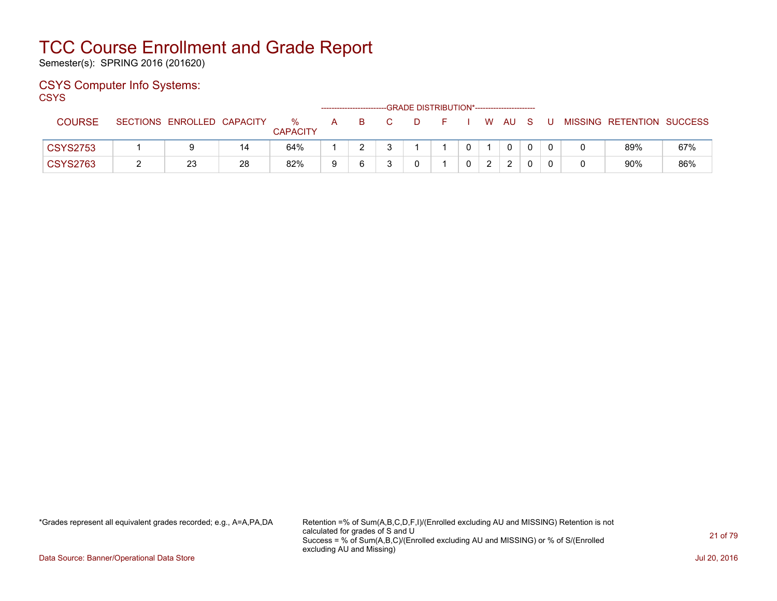Semester(s): SPRING 2016 (201620)

### CSYS Computer Info Systems:

**CSYS** 

|                 |                            |    |                      |   |    |  | -GRADE DISTRIBUTION*----------------------- |  |      |     |    |                           |     |
|-----------------|----------------------------|----|----------------------|---|----|--|---------------------------------------------|--|------|-----|----|---------------------------|-----|
| COURSE          | SECTIONS ENROLLED CAPACITY |    | %<br><b>CAPACITY</b> | A | B. |  |                                             |  | W AU | - S | -U | MISSING RETENTION SUCCESS |     |
| <b>CSYS2753</b> |                            | 14 | 64%                  |   |    |  |                                             |  | 0    |     |    | 89%                       | 67% |
| <b>CSYS2763</b> | 23                         | 28 | 82%                  | a |    |  |                                             |  | C.   |     |    | 90%                       | 86% |

\*Grades represent all equivalent grades recorded; e.g., A=A,PA,DA Retention =% of Sum(A,B,C,D,F,I)/(Enrolled excluding AU and MISSING) Retention is not calculated for grades of S and U Success = % of Sum(A,B,C)/(Enrolled excluding AU and MISSING) or % of S/(Enrolled excluding AU and Missing)

Data Source: Banner/Operational Data Store Jul 20, 2016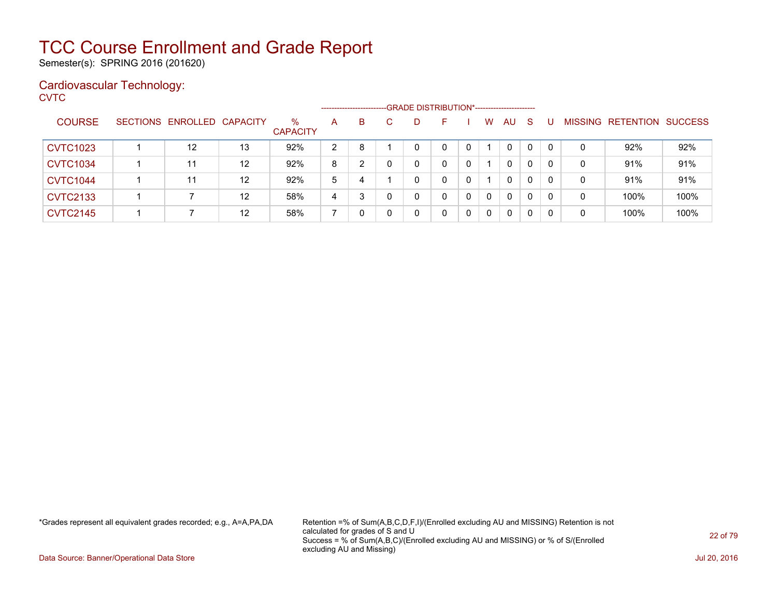Semester(s): SPRING 2016 (201620)

### Cardiovascular Technology:

**CVTC** 

|                 |                            |    |                      |                | ----------------------- | -GRADE DISTRIBUTION*----------------------- |    |   |              |              |              |          |                |                  |                |
|-----------------|----------------------------|----|----------------------|----------------|-------------------------|---------------------------------------------|----|---|--------------|--------------|--------------|----------|----------------|------------------|----------------|
| <b>COURSE</b>   | SECTIONS ENROLLED CAPACITY |    | %<br><b>CAPACITY</b> | A              | B                       | D                                           | н. |   | W            | <b>AU</b>    | -S           |          | <b>MISSING</b> | <b>RETENTION</b> | <b>SUCCESS</b> |
| <b>CVTC1023</b> | 12                         | 13 | 92%                  | $\overline{2}$ | 8                       |                                             | 0  |   |              | 0            | 0            |          | 0              | 92%              | 92%            |
| <b>CVTC1034</b> | 11                         | 12 | 92%                  | 8              | າ                       |                                             | 0  |   |              | 0            | $\mathbf{0}$ |          | 0              | 91%              | 91%            |
| <b>CVTC1044</b> | 11                         | 12 | 92%                  | 5              | 4                       |                                             |    |   |              | $\mathbf{0}$ | 0            | 0        | 0              | 91%              | 91%            |
| <b>CVTC2133</b> |                            | 12 | 58%                  | 4              | 3                       |                                             | 0  | 0 | $\mathbf{0}$ | $\mathbf{0}$ | $\mathbf{0}$ | $\Omega$ | 0              | 100%             | 100%           |
| <b>CVTC2145</b> |                            | 12 | 58%                  |                |                         |                                             | 0  | 0 | $\mathbf 0$  | 0            | 0            | 0        | 0              | 100%             | 100%           |

\*Grades represent all equivalent grades recorded; e.g., A=A,PA,DA Retention =% of Sum(A,B,C,D,F,I)/(Enrolled excluding AU and MISSING) Retention is not calculated for grades of S and U Success = % of Sum(A,B,C)/(Enrolled excluding AU and MISSING) or % of S/(Enrolled excluding AU and Missing)

Data Source: Banner/Operational Data Store Jul 20, 2016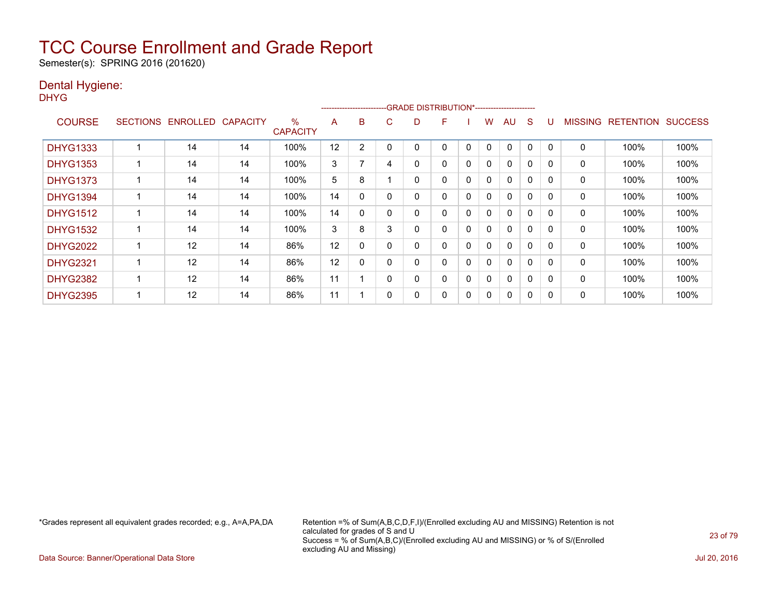Semester(s): SPRING 2016 (201620)

### Dental Hygiene:

DHYG

|                 |                   |                 |                         |    | ------------------------ |   |   | -GRADE DISTRIBUTION*----------------------- |             |   |              |             |              |                |                  |                |
|-----------------|-------------------|-----------------|-------------------------|----|--------------------------|---|---|---------------------------------------------|-------------|---|--------------|-------------|--------------|----------------|------------------|----------------|
| <b>COURSE</b>   | SECTIONS ENROLLED | <b>CAPACITY</b> | $\%$<br><b>CAPACITY</b> | A  | B                        | С | D | F                                           |             | w | AU           | S           |              | <b>MISSING</b> | <b>RETENTION</b> | <b>SUCCESS</b> |
| <b>DHYG1333</b> | 14                | 14              | 100%                    | 12 | 2                        |   |   | 0                                           | $\mathbf 0$ | 0 |              | $\Omega$    |              | 0              | 100%             | 100%           |
| <b>DHYG1353</b> | 14                | 14              | 100%                    | 3  | 7                        | 4 | 0 | 0                                           | 0           | 0 | 0            | $\Omega$    | $\Omega$     | 0              | 100%             | 100%           |
| <b>DHYG1373</b> | 14                | 14              | 100%                    | 5  | 8                        |   | 0 | 0                                           | $\Omega$    | 0 | $\Omega$     | $\Omega$    | $\Omega$     | 0              | 100%             | 100%           |
| <b>DHYG1394</b> | 14                | 14              | 100%                    | 14 | 0                        |   | 0 | 0                                           | 0           | 0 | 0            | 0           | 0            | 0              | 100%             | 100%           |
| <b>DHYG1512</b> | 14                | 14              | 100%                    | 14 | 0                        |   | 0 | 0                                           | 0           | 0 | $\mathbf{0}$ | $\Omega$    | <sup>0</sup> | 0              | 100%             | 100%           |
| <b>DHYG1532</b> | 14                | 14              | 100%                    | 3  | 8                        | 3 | 0 | 0                                           | 0           | 0 | 0            | 0           | $\Omega$     | 0              | 100%             | 100%           |
| <b>DHYG2022</b> | 12                | 14              | 86%                     | 12 | 0                        |   | 0 | 0                                           | 0           | 0 | 0            | 0           | O            | 0              | 100%             | 100%           |
| <b>DHYG2321</b> | 12                | 14              | 86%                     | 12 | 0                        | 0 | 0 | 0                                           | 0           | 0 | 0            | $\mathbf 0$ | n            | 0              | 100%             | 100%           |
| <b>DHYG2382</b> | 12                | 14              | 86%                     | 11 |                          | 0 | 0 | 0                                           | 0           | 0 | 0            | 0           | $\Omega$     | 0              | 100%             | 100%           |
| <b>DHYG2395</b> | 12                | 14              | 86%                     | 11 |                          |   | 0 | 0                                           | 0           | 0 | 0            | 0           | O            | 0              | 100%             | 100%           |

\*Grades represent all equivalent grades recorded; e.g., A=A,PA,DA Retention =% of Sum(A,B,C,D,F,I)/(Enrolled excluding AU and MISSING) Retention is not calculated for grades of S and U Success = % of Sum(A,B,C)/(Enrolled excluding AU and MISSING) or % of S/(Enrolled excluding AU and Missing)

Data Source: Banner/Operational Data Store Jul 20, 2016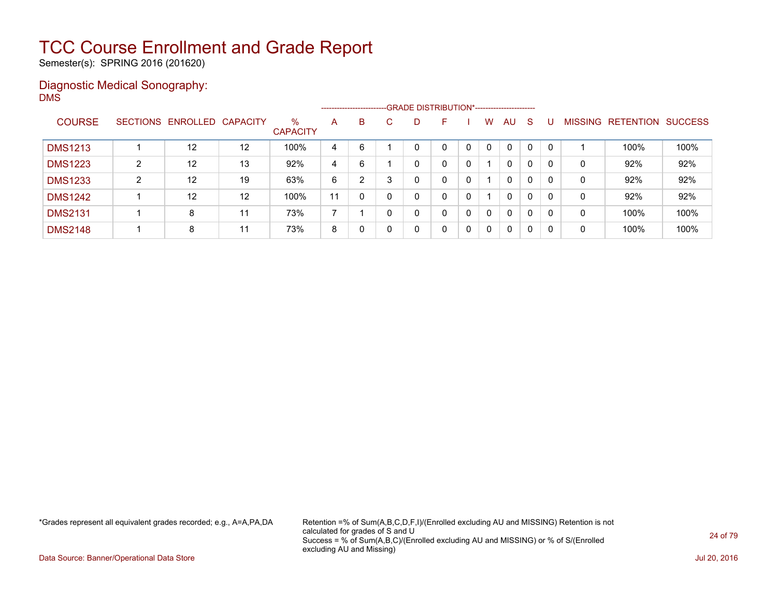Semester(s): SPRING 2016 (201620)

#### Diagnostic Medical Sonography: DMS

|                |   |                            |    |                         |    | ------------------------- |   | -GRADE DISTRIBUTION*----------------------- |   |              |              |              |     |                |                  |                |
|----------------|---|----------------------------|----|-------------------------|----|---------------------------|---|---------------------------------------------|---|--------------|--------------|--------------|-----|----------------|------------------|----------------|
| <b>COURSE</b>  |   | SECTIONS ENROLLED CAPACITY |    | $\%$<br><b>CAPACITY</b> | A  | B                         | D | F                                           |   | W            | AU.          | <sub>S</sub> |     | <b>MISSING</b> | <b>RETENTION</b> | <b>SUCCESS</b> |
| <b>DMS1213</b> |   | 12                         | 12 | 100%                    | 4  | 6                         |   | 0                                           |   | $\mathbf{0}$ | $\mathbf{0}$ | $\mathbf{0}$ | - 0 |                | 100%             | 100%           |
| <b>DMS1223</b> | ົ | 12                         | 13 | 92%                     | 4  | 6                         | 0 | 0                                           |   |              | $\mathbf{0}$ | 0            |     | 0              | 92%              | 92%            |
| <b>DMS1233</b> | ົ | 12                         | 19 | 63%                     | 6  | 2                         |   | 0                                           | 0 |              | $\mathbf{0}$ | 0            | 0   | 0              | 92%              | 92%            |
| <b>DMS1242</b> |   | 12                         | 12 | 100%                    | 11 | 0                         | 0 | 0                                           | 0 |              | $\mathbf{0}$ | $\mathbf{0}$ | 0   | 0              | 92%              | 92%            |
| <b>DMS2131</b> |   | 8                          | 11 | 73%                     |    |                           |   | 0                                           | 0 | $\Omega$     | $\mathbf{0}$ | 0            | 0   | 0              | 100%             | 100%           |
| <b>DMS2148</b> |   | 8                          | 11 | 73%                     | 8  | 0                         |   | 0                                           | 0 | $\mathbf{0}$ | $\mathbf{0}$ | 0            | 0   | 0              | 100%             | 100%           |

\*Grades represent all equivalent grades recorded; e.g., A=A,PA,DA Retention =% of Sum(A,B,C,D,F,I)/(Enrolled excluding AU and MISSING) Retention is not calculated for grades of S and U Success = % of Sum(A,B,C)/(Enrolled excluding AU and MISSING) or % of S/(Enrolled excluding AU and Missing)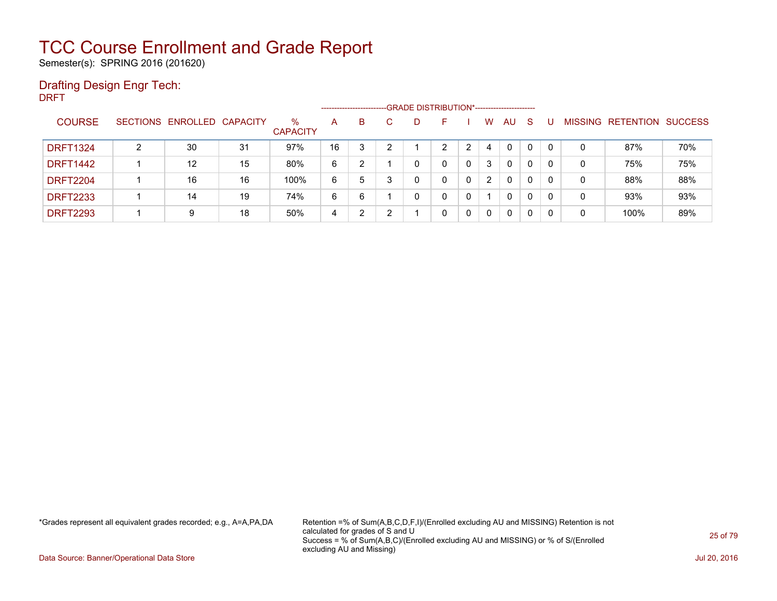Semester(s): SPRING 2016 (201620)

### Drafting Design Engr Tech:

DRFT

|                 |   |                            |    |                      |              | -------------------------- |   | -GRADE DISTRIBUTION*----------------------- |   |   |              |              |          |          |         |                  |                |
|-----------------|---|----------------------------|----|----------------------|--------------|----------------------------|---|---------------------------------------------|---|---|--------------|--------------|----------|----------|---------|------------------|----------------|
| <b>COURSE</b>   |   | SECTIONS ENROLLED CAPACITY |    | %<br><b>CAPACITY</b> | $\mathsf{A}$ | B                          | C | D                                           |   |   | w            | AU           | S        |          | MISSING | <b>RETENTION</b> | <b>SUCCESS</b> |
| <b>DRFT1324</b> | າ | 30                         | 31 | 97%                  | 16           | 3                          | ົ |                                             | ົ | っ | 4            | $\Omega$     |          | $\Omega$ | 0       | 87%              | 70%            |
| <b>DRFT1442</b> |   | 12                         | 15 | 80%                  | 6            | າ                          |   |                                             |   | 0 | 3            | $\mathbf{0}$ | 0        | 0        | 0       | 75%              | 75%            |
| <b>DRFT2204</b> |   | 16                         | 16 | 100%                 | 6            | 5                          |   | 0                                           |   | 0 | 2            | 0            | 0        | 0        | 0       | 88%              | 88%            |
| <b>DRFT2233</b> |   | 14                         | 19 | 74%                  | 6            | 6                          |   | $\Omega$                                    | 0 | 0 |              | 0            | $\Omega$ | 0        | 0       | 93%              | 93%            |
| <b>DRFT2293</b> |   | 9                          | 18 | 50%                  | 4            | 2                          |   |                                             | 0 | 0 | $\mathbf{0}$ | 0            | 0        | 0        | 0       | 100%             | 89%            |

\*Grades represent all equivalent grades recorded; e.g., A=A,PA,DA Retention =% of Sum(A,B,C,D,F,I)/(Enrolled excluding AU and MISSING) Retention is not calculated for grades of S and U Success = % of Sum(A,B,C)/(Enrolled excluding AU and MISSING) or % of S/(Enrolled excluding AU and Missing)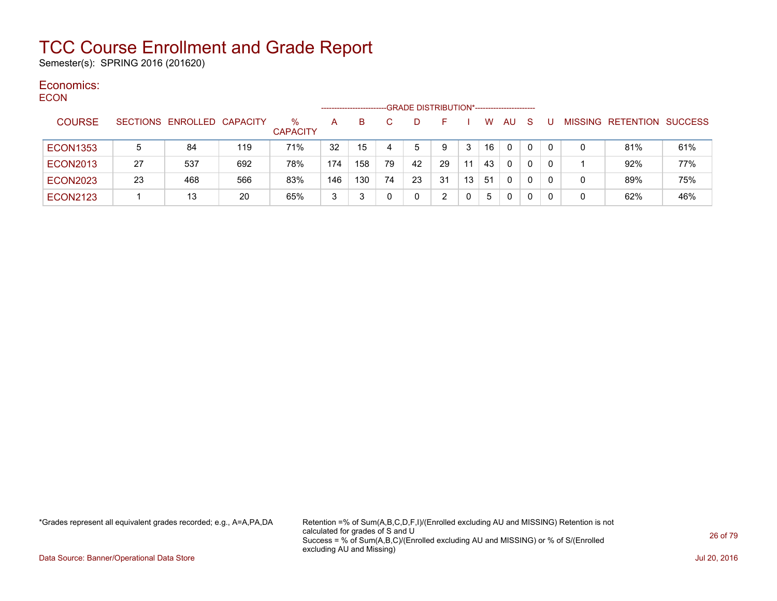Semester(s): SPRING 2016 (201620)

#### Economics: **ECON**

| ---- |                 |    |                            |     |                      |     | ---------------------- |    | -GRADE DISTRIBUTION*----------------------- |    |                 |    |     |              |          |   |                           |     |
|------|-----------------|----|----------------------------|-----|----------------------|-----|------------------------|----|---------------------------------------------|----|-----------------|----|-----|--------------|----------|---|---------------------------|-----|
|      | <b>COURSE</b>   |    | SECTIONS ENROLLED CAPACITY |     | %<br><b>CAPACITY</b> | A   | B.                     |    | D                                           | н. |                 | W  | AU. | <sub>S</sub> |          |   | MISSING RETENTION SUCCESS |     |
|      | <b>ECON1353</b> | 5  | 84                         | 119 | 71%                  | 32  | 15                     |    | 5                                           | 9  | 3               | 16 | 0   | 0            |          |   | 81%                       | 61% |
|      | <b>ECON2013</b> | 27 | 537                        | 692 | 78%                  | 174 | 158                    | 79 | 42                                          | 29 | 11              | 43 | 0   | 0            | $\Omega$ |   | 92%                       | 77% |
|      | <b>ECON2023</b> | 23 | 468                        | 566 | 83%                  | 146 | 130                    | 74 | 23                                          | 31 | 13 <sub>1</sub> | 51 | 0   | 0            |          | 0 | 89%                       | 75% |
|      | <b>ECON2123</b> |    | 13                         | 20  | 65%                  | 3   |                        |    | 0                                           | າ  |                 | 5  | 0   | 0            |          | 0 | 62%                       | 46% |

\*Grades represent all equivalent grades recorded; e.g., A=A,PA,DA Retention =% of Sum(A,B,C,D,F,I)/(Enrolled excluding AU and MISSING) Retention is not calculated for grades of S and U Success = % of Sum(A,B,C)/(Enrolled excluding AU and MISSING) or % of S/(Enrolled excluding AU and Missing)

Data Source: Banner/Operational Data Store Jul 20, 2016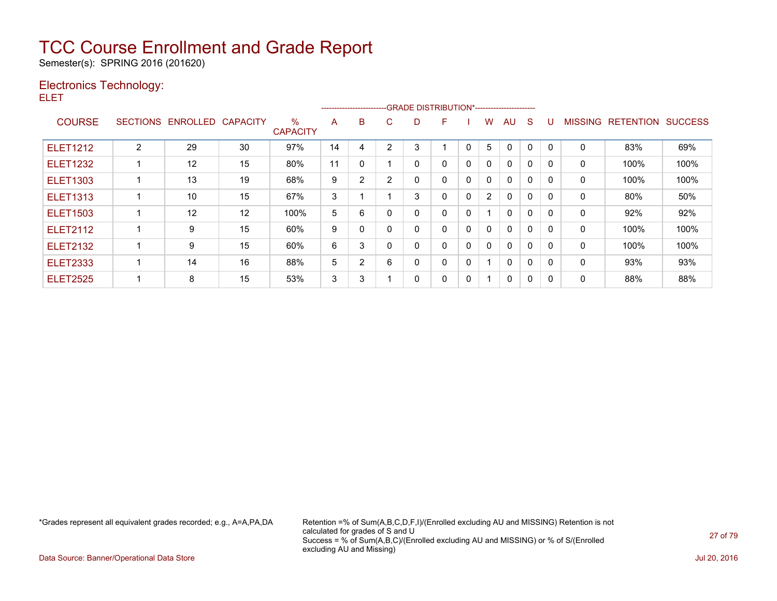Semester(s): SPRING 2016 (201620)

### Electronics Technology:

ELET

|                 |                 |          |                 |                      |    |                |   | --------------------------GRADE DISTRIBUTION*----------------------- |   |              |                |              |          |              |                |                  |                |
|-----------------|-----------------|----------|-----------------|----------------------|----|----------------|---|----------------------------------------------------------------------|---|--------------|----------------|--------------|----------|--------------|----------------|------------------|----------------|
| <b>COURSE</b>   | <b>SECTIONS</b> | ENROLLED | <b>CAPACITY</b> | %<br><b>CAPACITY</b> | A  | B              | C | D                                                                    | F |              | W              | AU           | S        |              | <b>MISSING</b> | <b>RETENTION</b> | <b>SUCCESS</b> |
| <b>ELET1212</b> | 2               | 29       | 30              | 97%                  | 14 | 4              | 2 | 3                                                                    |   | 0            | 5              | 0            | $\Omega$ | $\mathbf{0}$ | 0              | 83%              | 69%            |
| <b>ELET1232</b> |                 | 12       | 15              | 80%                  | 11 | $\Omega$       |   | 0                                                                    | 0 | 0            | 0              | $\mathbf{0}$ | $\Omega$ | 0            | 0              | 100%             | 100%           |
| <b>ELET1303</b> |                 | 13       | 19              | 68%                  | 9  | $\overline{2}$ | 2 | 0                                                                    | 0 | $\mathbf{0}$ | 0              | $\Omega$     | $\Omega$ | $\Omega$     | 0              | 100%             | 100%           |
| <b>ELET1313</b> |                 | 10       | 15              | 67%                  | 3  |                |   | 3                                                                    | 0 | $\mathbf{0}$ | $\overline{2}$ | $\mathbf{0}$ | $\Omega$ | $\Omega$     | 0              | 80%              | 50%            |
| <b>ELET1503</b> |                 | 12       | 12              | 100%                 | 5  | 6              |   | 0                                                                    | 0 | 0            |                | $\mathbf{0}$ | 0        | $\Omega$     | 0              | 92%              | 92%            |
| <b>ELET2112</b> |                 | 9        | 15              | 60%                  | 9  | $\Omega$       |   | 0                                                                    | 0 | 0            | 0              | $\mathbf{0}$ | 0        | $\Omega$     | 0              | 100%             | 100%           |
| <b>ELET2132</b> |                 | 9        | 15              | 60%                  | 6  | 3              |   | 0                                                                    | 0 | 0            | 0              | $\Omega$     | 0        | $\Omega$     | 0              | 100%             | 100%           |
| <b>ELET2333</b> |                 | 14       | 16              | 88%                  | 5  | $\overline{2}$ | 6 | 0                                                                    | 0 | 0            | -1             | $\mathbf{0}$ | $\Omega$ | $\Omega$     | 0              | 93%              | 93%            |
| <b>ELET2525</b> |                 | 8        | 15              | 53%                  | 3  | 3              |   | 0                                                                    | 0 | 0            |                | 0            | $\Omega$ | 0            | 0              | 88%              | 88%            |

\*Grades represent all equivalent grades recorded; e.g., A=A,PA,DA Retention =% of Sum(A,B,C,D,F,I)/(Enrolled excluding AU and MISSING) Retention is not calculated for grades of S and U Success = % of Sum(A,B,C)/(Enrolled excluding AU and MISSING) or % of S/(Enrolled excluding AU and Missing)

Data Source: Banner/Operational Data Store Jul 20, 2016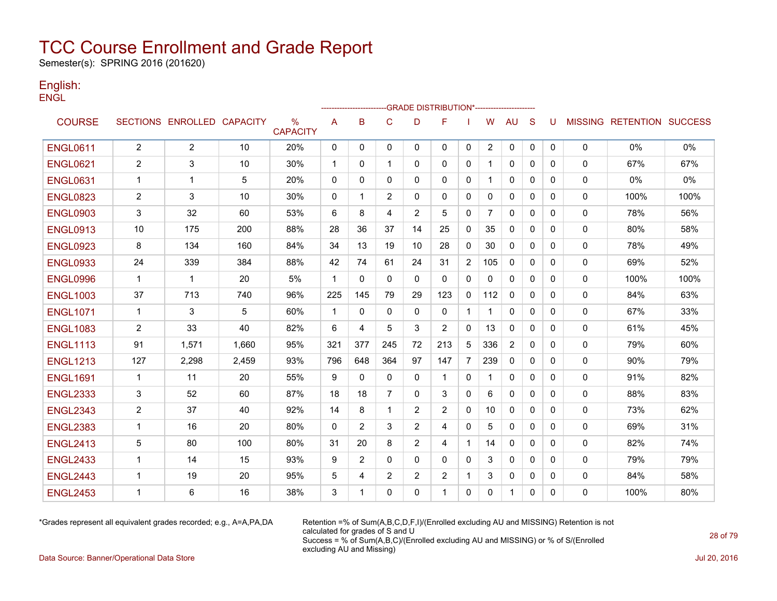Semester(s): SPRING 2016 (201620)

#### English: **ENGL**

|                 |                |                            |       |                         |              | ----------------- |              |                | -GRADE DISTRIBUTION*---------------------- |                |                |              |              |              |             |                                  |       |
|-----------------|----------------|----------------------------|-------|-------------------------|--------------|-------------------|--------------|----------------|--------------------------------------------|----------------|----------------|--------------|--------------|--------------|-------------|----------------------------------|-------|
| <b>COURSE</b>   |                | SECTIONS ENROLLED CAPACITY |       | $\%$<br><b>CAPACITY</b> | Α            | B                 | $\mathsf{C}$ | D              | F                                          |                | W              | <b>AU</b>    | S            | U            |             | <b>MISSING RETENTION SUCCESS</b> |       |
| <b>ENGL0611</b> | $\overline{2}$ | $\overline{2}$             | 10    | 20%                     | 0            | 0                 | 0            | $\mathbf{0}$   | $\mathbf{0}$                               | 0              | $\overline{2}$ | 0            | 0            | $\mathbf{0}$ | 0           | 0%                               | 0%    |
| <b>ENGL0621</b> | $\overline{2}$ | 3                          | 10    | 30%                     | $\mathbf{1}$ | 0                 | $\mathbf{1}$ | 0              | $\mathbf{0}$                               | 0              | 1              | 0            | $\Omega$     | 0            | 0           | 67%                              | 67%   |
| <b>ENGL0631</b> | 1              | 1                          | 5     | 20%                     | 0            | $\mathbf{0}$      | 0            | 0              | $\mathbf{0}$                               | 0              | 1              | 0            | $\mathbf{0}$ | 0            | 0           | 0%                               | $0\%$ |
| <b>ENGL0823</b> | 2              | 3                          | 10    | 30%                     | 0            | 1                 | 2            | 0              | 0                                          | 0              | 0              | 0            | 0            | 0            | 0           | 100%                             | 100%  |
| <b>ENGL0903</b> | 3              | 32                         | 60    | 53%                     | 6            | 8                 | 4            | 2              | 5                                          | 0              | 7              | 0            | 0            | 0            | 0           | 78%                              | 56%   |
| <b>ENGL0913</b> | 10             | 175                        | 200   | 88%                     | 28           | 36                | 37           | 14             | 25                                         | 0              | 35             | 0            | $\mathbf{0}$ | 0            | 0           | 80%                              | 58%   |
| <b>ENGL0923</b> | 8              | 134                        | 160   | 84%                     | 34           | 13                | 19           | 10             | 28                                         | 0              | 30             | $\Omega$     | $\mathbf{0}$ | 0            | $\mathbf 0$ | 78%                              | 49%   |
| <b>ENGL0933</b> | 24             | 339                        | 384   | 88%                     | 42           | 74                | 61           | 24             | 31                                         | $\overline{2}$ | 105            | $\Omega$     | $\Omega$     | 0            | 0           | 69%                              | 52%   |
| <b>ENGL0996</b> | $\mathbf{1}$   | $\mathbf{1}$               | 20    | 5%                      | $\mathbf{1}$ | 0                 | $\mathbf{0}$ | $\mathbf{0}$   | $\mathbf{0}$                               | $\mathbf{0}$   | $\Omega$       | $\mathbf{0}$ | $\mathbf{0}$ | 0            | $\mathbf 0$ | 100%                             | 100%  |
| <b>ENGL1003</b> | 37             | 713                        | 740   | 96%                     | 225          | 145               | 79           | 29             | 123                                        | $\mathbf{0}$   | 112            | $\Omega$     | $\Omega$     | 0            | 0           | 84%                              | 63%   |
| <b>ENGL1071</b> | $\mathbf{1}$   | 3                          | 5     | 60%                     | $\mathbf{1}$ | $\mathbf{0}$      | $\Omega$     | 0              | $\mathbf{0}$                               | $\mathbf{1}$   | 1              | $\mathbf{0}$ | $\Omega$     | 0            | 0           | 67%                              | 33%   |
| <b>ENGL1083</b> | $\overline{2}$ | 33                         | 40    | 82%                     | 6            | 4                 | 5            | 3              | $\overline{2}$                             | 0              | 13             | 0            | $\mathbf{0}$ | 0            | 0           | 61%                              | 45%   |
| <b>ENGL1113</b> | 91             | 1,571                      | 1,660 | 95%                     | 321          | 377               | 245          | 72             | 213                                        | 5              | 336            | 2            | 0            | 0            | 0           | 79%                              | 60%   |
| <b>ENGL1213</b> | 127            | 2,298                      | 2,459 | 93%                     | 796          | 648               | 364          | 97             | 147                                        | $\overline{7}$ | 239            | 0            | 0            | 0            | 0           | 90%                              | 79%   |
| <b>ENGL1691</b> | $\mathbf 1$    | 11                         | 20    | 55%                     | 9            | $\mathbf{0}$      | $\mathbf{0}$ | 0              | $\mathbf{1}$                               | 0              | 1              | 0            | 0            | 0            | 0           | 91%                              | 82%   |
| <b>ENGL2333</b> | 3              | 52                         | 60    | 87%                     | 18           | 18                | 7            | $\Omega$       | 3                                          | $\mathbf{0}$   | 6              | $\mathbf{0}$ | $\mathbf{0}$ | 0            | 0           | 88%                              | 83%   |
| <b>ENGL2343</b> | $\overline{2}$ | 37                         | 40    | 92%                     | 14           | 8                 | $\mathbf{1}$ | 2              | 2                                          | $\mathbf{0}$   | 10             | $\Omega$     | $\mathbf{0}$ | 0            | 0           | 73%                              | 62%   |
| <b>ENGL2383</b> | $\mathbf{1}$   | 16                         | 20    | 80%                     | 0            | 2                 | 3            | $\overline{2}$ | 4                                          | $\mathbf{0}$   | 5              | $\mathbf{0}$ | $\Omega$     | 0            | $\mathbf 0$ | 69%                              | 31%   |
| <b>ENGL2413</b> | 5              | 80                         | 100   | 80%                     | 31           | 20                | 8            | $\overline{2}$ | 4                                          | $\mathbf{1}$   | 14             | $\Omega$     | $\Omega$     | 0            | 0           | 82%                              | 74%   |
| <b>ENGL2433</b> | $\mathbf{1}$   | 14                         | 15    | 93%                     | 9            | 2                 | $\Omega$     | $\Omega$       | $\mathbf{0}$                               | 0              | 3              | $\mathbf{0}$ | $\Omega$     | 0            | 0           | 79%                              | 79%   |
| <b>ENGL2443</b> | $\mathbf 1$    | 19                         | 20    | 95%                     | 5            | 4                 | 2            | $\overline{2}$ | $\overline{2}$                             | 1              | 3              | 0            | $\mathbf{0}$ | 0            | 0           | 84%                              | 58%   |
| <b>ENGL2453</b> | 1              | 6                          | 16    | 38%                     | 3            | 1                 | 0            | $\Omega$       | 1                                          | 0              | 0              | 1            | $\mathbf{0}$ | 0            | 0           | 100%                             | 80%   |

\*Grades represent all equivalent grades recorded; e.g., A=A,PA,DA Retention =% of Sum(A,B,C,D,F,I)/(Enrolled excluding AU and MISSING) Retention is not calculated for grades of S and U Success = % of Sum(A,B,C)/(Enrolled excluding AU and MISSING) or % of S/(Enrolled excluding AU and Missing)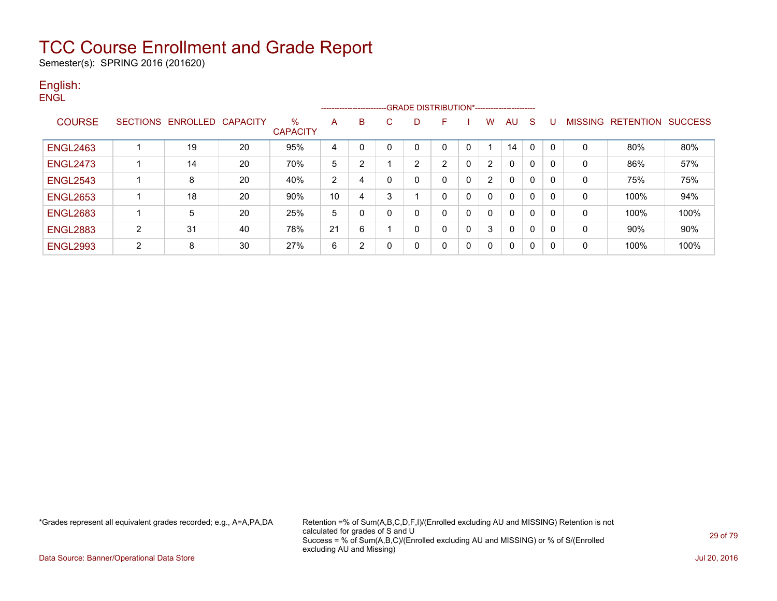Semester(s): SPRING 2016 (201620)

#### English: **ENGL**

|                 |                |                            |    |                         |    |   |   |                | ------------------------GRADE                DISTRIBUTION*---------------------- |              |   |              |              |   |                |                  |                |
|-----------------|----------------|----------------------------|----|-------------------------|----|---|---|----------------|----------------------------------------------------------------------------------|--------------|---|--------------|--------------|---|----------------|------------------|----------------|
| <b>COURSE</b>   |                | SECTIONS ENROLLED CAPACITY |    | $\%$<br><b>CAPACITY</b> | Α  | B | C | D              | F                                                                                |              | w | AU.          | <sub>S</sub> |   | <b>MISSING</b> | <b>RETENTION</b> | <b>SUCCESS</b> |
| <b>ENGL2463</b> |                | 19                         | 20 | 95%                     | 4  | 0 | 0 |                |                                                                                  |              |   | 14           | 0            |   |                | 80%              | 80%            |
| <b>ENGL2473</b> |                | 14                         | 20 | 70%                     | 5  | ົ |   | $\overline{2}$ | າ                                                                                | $\mathbf{0}$ | 2 | $\mathbf{0}$ | 0            |   | 0              | 86%              | 57%            |
| <b>ENGL2543</b> |                | 8                          | 20 | 40%                     | 2  | 4 | 0 | 0              | $\Omega$                                                                         | 0            | 2 | $\mathbf{0}$ | 0            | 0 | $\mathbf 0$    | 75%              | 75%            |
| <b>ENGL2653</b> |                | 18                         | 20 | 90%                     | 10 | 4 | 3 |                | 0                                                                                | $\mathbf{0}$ |   | $\mathbf{0}$ | 0            | 0 | 0              | 100%             | 94%            |
| <b>ENGL2683</b> |                | 5                          | 20 | 25%                     | 5  |   | 0 | 0              | 0                                                                                | 0            |   | $\mathbf{0}$ | 0            | 0 | $\mathbf 0$    | 100%             | 100%           |
| <b>ENGL2883</b> | 2              | 31                         | 40 | 78%                     | 21 | 6 |   | 0              | 0                                                                                | $\mathbf{0}$ | 3 | $\mathbf{0}$ | 0            | 0 | 0              | 90%              | 90%            |
| <b>ENGL2993</b> | $\overline{2}$ | 8                          | 30 | 27%                     | 6  | ົ | 0 | 0              |                                                                                  | 0            |   | $\mathbf{0}$ | 0            |   | 0              | 100%             | 100%           |

\*Grades represent all equivalent grades recorded; e.g., A=A,PA,DA Retention =% of Sum(A,B,C,D,F,I)/(Enrolled excluding AU and MISSING) Retention is not calculated for grades of S and U Success = % of Sum(A,B,C)/(Enrolled excluding AU and MISSING) or % of S/(Enrolled excluding AU and Missing)

Data Source: Banner/Operational Data Store Jul 20, 2016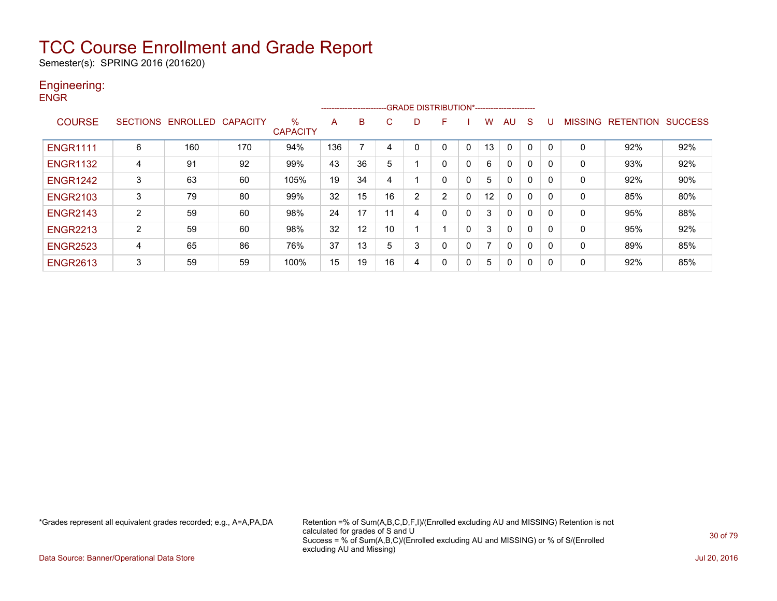Semester(s): SPRING 2016 (201620)

### Engineering:

|  | v |
|--|---|
|--|---|

|                 |                |                   |                 |                         |     | ------------------------ |    | -GRADE DISTRIBUTION*----------------------- |   |          |                   |          |              |          |          |                  |                |
|-----------------|----------------|-------------------|-----------------|-------------------------|-----|--------------------------|----|---------------------------------------------|---|----------|-------------------|----------|--------------|----------|----------|------------------|----------------|
| <b>COURSE</b>   |                | SECTIONS ENROLLED | <b>CAPACITY</b> | $\%$<br><b>CAPACITY</b> | A   | B                        | C  | D                                           | F |          | w                 | AU       | S            |          | MISSING  | <b>RETENTION</b> | <b>SUCCESS</b> |
| <b>ENGR1111</b> | 6              | 160               | 170             | 94%                     | 136 |                          | 4  |                                             |   |          | 13                | $\Omega$ |              | $\Omega$ | $\Omega$ | 92%              | 92%            |
| <b>ENGR1132</b> | 4              | 91                | 92              | 99%                     | 43  | 36                       | 5  |                                             | 0 | 0        | 6                 | 0        | 0            | 0        | $\Omega$ | 93%              | 92%            |
| <b>ENGR1242</b> | 3              | 63                | 60              | 105%                    | 19  | 34                       | 4  |                                             |   | 0        | 5                 | 0        | $\Omega$     | 0        | $\Omega$ | 92%              | 90%            |
| <b>ENGR2103</b> | 3              | 79                | 80              | 99%                     | 32  | 15                       | 16 | 2                                           | ົ | $\Omega$ | $12 \overline{ }$ | 0        | 0            | 0        | 0        | 85%              | 80%            |
| <b>ENGR2143</b> | $\overline{2}$ | 59                | 60              | 98%                     | 24  | 17                       | 11 | 4                                           |   | $\Omega$ | 3                 | 0        | $\Omega$     | $\Omega$ | $\Omega$ | 95%              | 88%            |
| <b>ENGR2213</b> | 2              | 59                | 60              | 98%                     | 32  | 12                       | 10 |                                             |   | 0        | 3                 | 0        | $\mathbf{0}$ | $\Omega$ | $\Omega$ | 95%              | 92%            |
| <b>ENGR2523</b> | 4              | 65                | 86              | 76%                     | 37  | 13                       | 5  | 3                                           |   | 0        |                   | 0        | 0            | 0        | $\Omega$ | 89%              | 85%            |
| <b>ENGR2613</b> | 3              | 59                | 59              | 100%                    | 15  | 19                       | 16 | 4                                           |   | 0        | 5                 | 0        | 0            | 0        | $\Omega$ | 92%              | 85%            |

\*Grades represent all equivalent grades recorded; e.g., A=A,PA,DA Retention =% of Sum(A,B,C,D,F,I)/(Enrolled excluding AU and MISSING) Retention is not calculated for grades of S and U Success = % of Sum(A,B,C)/(Enrolled excluding AU and MISSING) or % of S/(Enrolled excluding AU and Missing)

Data Source: Banner/Operational Data Store Jul 20, 2016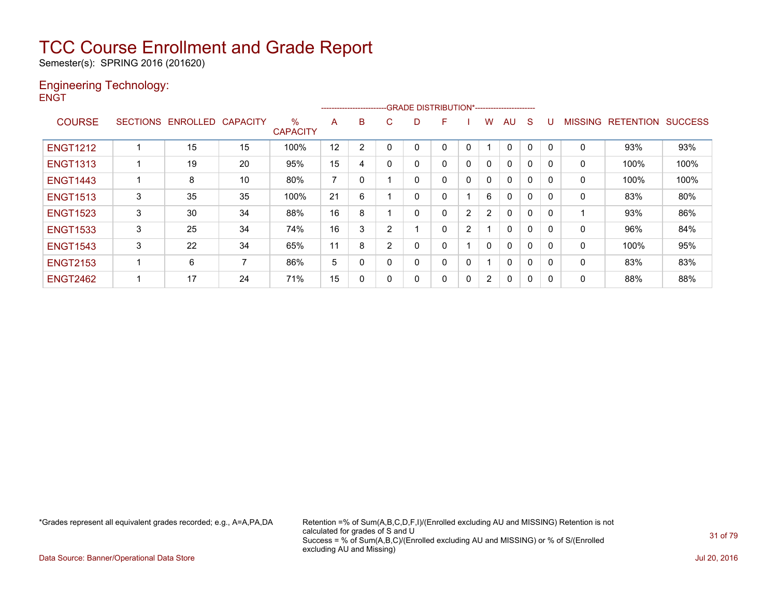Semester(s): SPRING 2016 (201620)

#### Engineering Technology: **ENGT**

|                 |                 |                   |    |                      |    | ---------------------- |   |          | -GRADE DISTRIBUTION*----------------------- |              |                |              |              |             |             |                  |                |
|-----------------|-----------------|-------------------|----|----------------------|----|------------------------|---|----------|---------------------------------------------|--------------|----------------|--------------|--------------|-------------|-------------|------------------|----------------|
| <b>COURSE</b>   | <b>SECTIONS</b> | ENROLLED CAPACITY |    | %<br><b>CAPACITY</b> | A  | B                      | C | D        | F                                           |              | w              | AU           | S            | U           | MISSING     | <b>RETENTION</b> | <b>SUCCESS</b> |
| <b>ENGT1212</b> |                 | 15                | 15 | 100%                 | 12 | 2                      | 0 |          |                                             | 0            |                | 0            | 0            | $\mathbf 0$ | 0           | 93%              | 93%            |
| <b>ENGT1313</b> |                 | 19                | 20 | 95%                  | 15 | 4                      | 0 | 0        | $\Omega$                                    | $\mathbf{0}$ |                | 0            | 0            | 0           | 0           | 100%             | 100%           |
| <b>ENGT1443</b> |                 | 8                 | 10 | 80%                  | 7  | 0                      |   | $\Omega$ | $\Omega$                                    | $\mathbf{0}$ | $\Omega$       | 0            | 0            | 0           | 0           | 100%             | 100%           |
| <b>ENGT1513</b> | 3               | 35                | 35 | 100%                 | 21 | 6                      |   | 0        |                                             |              | 6              | 0            | 0            | 0           | 0           | 83%              | 80%            |
| <b>ENGT1523</b> | 3               | 30                | 34 | 88%                  | 16 | 8                      |   | $\Omega$ |                                             | 2            | $\overline{2}$ | $\Omega$     | $\mathbf{0}$ | 0           |             | 93%              | 86%            |
| <b>ENGT1533</b> | 3               | 25                | 34 | 74%                  | 16 | 3                      | 2 |          | 0                                           | 2            |                | 0            | 0            | 0           | $\mathbf 0$ | 96%              | 84%            |
| <b>ENGT1543</b> | 3               | 22                | 34 | 65%                  | 11 | 8                      | 2 | 0        |                                             |              |                | $\mathbf{0}$ | $\mathbf{0}$ | 0           | 0           | 100%             | 95%            |
| <b>ENGT2153</b> |                 | 6                 | 7  | 86%                  | 5  | 0                      | 0 | 0        |                                             | 0            |                | 0            | $\mathbf{0}$ | 0           | 0           | 83%              | 83%            |
| <b>ENGT2462</b> |                 | 17                | 24 | 71%                  | 15 | 0                      | 0 | 0        | 0                                           | $\mathbf{0}$ | $\overline{2}$ | 0            | 0            | 0           | 0           | 88%              | 88%            |

\*Grades represent all equivalent grades recorded; e.g., A=A,PA,DA Retention =% of Sum(A,B,C,D,F,I)/(Enrolled excluding AU and MISSING) Retention is not calculated for grades of S and U Success = % of Sum(A,B,C)/(Enrolled excluding AU and MISSING) or % of S/(Enrolled excluding AU and Missing)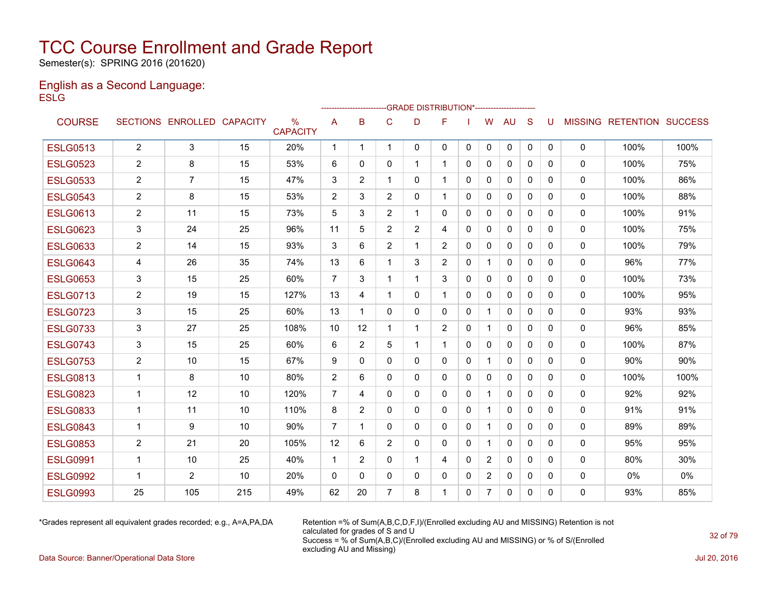Semester(s): SPRING 2016 (201620)

#### English as a Second Language: **ESLG**

|                 |                |                            |     |                                  |                | ------------------------ |                |                | -- GRADE DISTRIBUTION*----------------------- |              |                |              |              |              |              |                           |      |
|-----------------|----------------|----------------------------|-----|----------------------------------|----------------|--------------------------|----------------|----------------|-----------------------------------------------|--------------|----------------|--------------|--------------|--------------|--------------|---------------------------|------|
| <b>COURSE</b>   |                | SECTIONS ENROLLED CAPACITY |     | $\frac{0}{0}$<br><b>CAPACITY</b> | A              | B                        | C              | D              | F                                             |              | W              | <b>AU</b>    | S            | U            |              | MISSING RETENTION SUCCESS |      |
| <b>ESLG0513</b> | $\overline{2}$ | 3                          | 15  | 20%                              | 1              | $\mathbf 1$              | $\mathbf 1$    | $\Omega$       | 0                                             | $\mathbf{0}$ | $\Omega$       | $\mathbf{0}$ | $\mathbf{0}$ | $\mathbf{0}$ | $\mathbf 0$  | 100%                      | 100% |
| <b>ESLG0523</b> | $\overline{c}$ | 8                          | 15  | 53%                              | 6              | $\Omega$                 | $\mathbf{0}$   | 1              | $\mathbf 1$                                   | $\Omega$     | $\mathbf{0}$   | $\Omega$     | $\Omega$     | $\Omega$     | $\mathbf 0$  | 100%                      | 75%  |
| <b>ESLG0533</b> | $\overline{2}$ | 7                          | 15  | 47%                              | 3              | $\overline{2}$           | $\mathbf 1$    | $\Omega$       | 1                                             | $\Omega$     | $\Omega$       | $\Omega$     | $\Omega$     | $\Omega$     | $\mathbf{0}$ | 100%                      | 86%  |
| <b>ESLG0543</b> | $\overline{2}$ | 8                          | 15  | 53%                              | 2              | 3                        | $\overline{2}$ | $\mathbf{0}$   |                                               | $\Omega$     | $\mathbf{0}$   | $\mathbf{0}$ | $\mathbf{0}$ | 0            | 0            | 100%                      | 88%  |
| <b>ESLG0613</b> | $\overline{c}$ | 11                         | 15  | 73%                              | 5              | 3                        | $\overline{2}$ | 1.             | 0                                             | $\Omega$     | $\mathbf{0}$   | 0            | $\mathbf{0}$ | $\Omega$     | 0            | 100%                      | 91%  |
| <b>ESLG0623</b> | 3              | 24                         | 25  | 96%                              | 11             | 5                        | $\overline{2}$ | $\overline{2}$ | 4                                             | $\mathbf{0}$ | $\Omega$       | $\Omega$     | $\Omega$     | 0            | 0            | 100%                      | 75%  |
| <b>ESLG0633</b> | $\overline{c}$ | 14                         | 15  | 93%                              | 3              | 6                        | $\overline{c}$ | 1              | 2                                             | $\mathbf{0}$ | $\mathbf{0}$   | $\mathbf{0}$ | $\Omega$     | 0            | 0            | 100%                      | 79%  |
| <b>ESLG0643</b> | 4              | 26                         | 35  | 74%                              | 13             | 6                        | 1              | 3              | 2                                             | $\mathbf{0}$ | $\mathbf{1}$   | $\mathbf{0}$ | $\Omega$     | $\Omega$     | 0            | 96%                       | 77%  |
| <b>ESLG0653</b> | 3              | 15                         | 25  | 60%                              | $\overline{7}$ | 3                        | $\mathbf{1}$   | 1              | 3                                             | 0            | $\mathbf{0}$   | $\mathbf{0}$ | $\mathbf{0}$ | 0            | 0            | 100%                      | 73%  |
| <b>ESLG0713</b> | $\overline{2}$ | 19                         | 15  | 127%                             | 13             | 4                        | 1              | $\mathbf{0}$   | 1                                             | $\mathbf{0}$ | $\Omega$       | $\mathbf{0}$ | $\Omega$     | $\Omega$     | 0            | 100%                      | 95%  |
| <b>ESLG0723</b> | 3              | 15                         | 25  | 60%                              | 13             | -1                       | 0              | 0              | 0                                             | 0            | $\mathbf 1$    | $\mathbf{0}$ | $\Omega$     | 0            | 0            | 93%                       | 93%  |
| <b>ESLG0733</b> | 3              | 27                         | 25  | 108%                             | 10             | 12                       | 1              | 1              | $\overline{c}$                                | $\mathbf{0}$ | 1              | $\mathbf{0}$ | $\Omega$     | 0            | 0            | 96%                       | 85%  |
| <b>ESLG0743</b> | 3              | 15                         | 25  | 60%                              | 6              | $\overline{2}$           | 5              | 1              |                                               | 0            | $\mathbf{0}$   | $\mathbf{0}$ | $\mathbf{0}$ | 0            | 0            | 100%                      | 87%  |
| <b>ESLG0753</b> | $\overline{2}$ | 10                         | 15  | 67%                              | 9              | 0                        | 0              | 0              | 0                                             | 0            | 1              | $\mathbf{0}$ | $\mathbf{0}$ | 0            | 0            | 90%                       | 90%  |
| <b>ESLG0813</b> | 1              | 8                          | 10  | 80%                              | $\overline{2}$ | 6                        | $\mathbf{0}$   | $\mathbf{0}$   | $\mathbf{0}$                                  | 0            | $\mathbf 0$    | 0            | $\mathbf{0}$ | 0            | 0            | 100%                      | 100% |
| <b>ESLG0823</b> | $\mathbf 1$    | 12                         | 10  | 120%                             | $\overline{7}$ | 4                        | $\mathbf{0}$   | $\mathbf{0}$   | 0                                             | $\mathbf{0}$ | $\mathbf{1}$   | $\mathbf{0}$ | 0            | 0            | $\Omega$     | 92%                       | 92%  |
| <b>ESLG0833</b> | $\mathbf 1$    | 11                         | 10  | 110%                             | 8              | 2                        | $\mathbf{0}$   | $\Omega$       | $\Omega$                                      | $\Omega$     | $\mathbf{1}$   | $\mathbf{0}$ | $\Omega$     | $\Omega$     | $\Omega$     | 91%                       | 91%  |
| <b>ESLG0843</b> | $\mathbf 1$    | 9                          | 10  | 90%                              | $\overline{7}$ | 1                        | $\mathbf{0}$   | $\mathbf{0}$   | 0                                             | $\mathbf{0}$ | $\mathbf{1}$   | $\mathbf{0}$ | $\Omega$     | $\Omega$     | 0            | 89%                       | 89%  |
| <b>ESLG0853</b> | $\overline{c}$ | 21                         | 20  | 105%                             | 12             | 6                        | $\overline{2}$ | $\Omega$       | 0                                             | $\Omega$     | $\mathbf{1}$   | $\Omega$     | $\Omega$     | $\Omega$     | $\Omega$     | 95%                       | 95%  |
| <b>ESLG0991</b> | $\mathbf 1$    | 10                         | 25  | 40%                              | $\mathbf{1}$   | $\overline{2}$           | $\mathbf{0}$   | $\mathbf 1$    | 4                                             | $\mathbf{0}$ | $\overline{2}$ | $\Omega$     | $\Omega$     | $\Omega$     | 0            | 80%                       | 30%  |
| <b>ESLG0992</b> | 1              | 2                          | 10  | 20%                              | $\mathbf{0}$   | $\Omega$                 | $\mathbf{0}$   | $\mathbf{0}$   | 0                                             | $\Omega$     | $\overline{2}$ | $\mathbf{0}$ | $\Omega$     | 0            | 0            | 0%                        | 0%   |
| <b>ESLG0993</b> | 25             | 105                        | 215 | 49%                              | 62             | 20                       | $\overline{7}$ | 8              |                                               | $\Omega$     | $\overline{7}$ | $\Omega$     | $\Omega$     | 0            | 0            | 93%                       | 85%  |

\*Grades represent all equivalent grades recorded; e.g., A=A,PA,DA Retention =% of Sum(A,B,C,D,F,I)/(Enrolled excluding AU and MISSING) Retention is not calculated for grades of S and U Success = % of Sum(A,B,C)/(Enrolled excluding AU and MISSING) or % of S/(Enrolled excluding AU and Missing)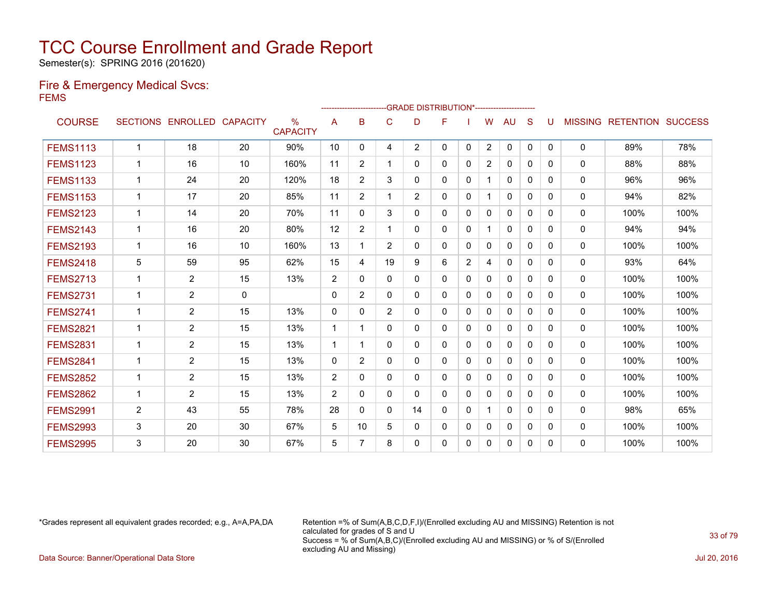Semester(s): SPRING 2016 (201620)

#### Fire & Emergency Medical Svcs: FEMS

|                 |              |                   |                 |                                  |                | ------------------- |                | -GRADE DISTRIBUTION*---------------------- |   |                |                |              |          |              |                |                  |                |
|-----------------|--------------|-------------------|-----------------|----------------------------------|----------------|---------------------|----------------|--------------------------------------------|---|----------------|----------------|--------------|----------|--------------|----------------|------------------|----------------|
| <b>COURSE</b>   |              | SECTIONS ENROLLED | <b>CAPACITY</b> | $\frac{0}{0}$<br><b>CAPACITY</b> | Α              | в                   | C              | D                                          | F |                | W              | AU           | S        |              | <b>MISSING</b> | <b>RETENTION</b> | <b>SUCCESS</b> |
| <b>FEMS1113</b> | $\mathbf{1}$ | 18                | 20              | 90%                              | 10             | 0                   | 4              | $\overline{2}$                             | 0 | $\mathbf{0}$   | $\overline{2}$ | $\mathbf{0}$ | 0        | $\mathbf{0}$ | $\Omega$       | 89%              | 78%            |
| <b>FEMS1123</b> | $\mathbf{1}$ | 16                | 10              | 160%                             | 11             | 2                   | 1              | 0                                          | 0 | 0              | $\overline{2}$ | 0            | 0        | 0            | 0              | 88%              | 88%            |
| <b>FEMS1133</b> | 1            | 24                | 20              | 120%                             | 18             | $\overline{2}$      | 3              | 0                                          | 0 | $\Omega$       |                | $\Omega$     | $\Omega$ | 0            | 0              | 96%              | 96%            |
| <b>FEMS1153</b> | 1            | 17                | 20              | 85%                              | 11             | $\overline{2}$      | 1              | $\overline{2}$                             | 0 | $\mathbf{0}$   |                | $\mathbf{0}$ | $\Omega$ | $\Omega$     | 0              | 94%              | 82%            |
| <b>FEMS2123</b> | 1            | 14                | 20              | 70%                              | 11             | $\Omega$            | 3              | 0                                          | 0 | $\Omega$       | $\Omega$       | $\Omega$     | $\Omega$ | $\Omega$     | $\mathbf{0}$   | 100%             | 100%           |
| <b>FEMS2143</b> | $\mathbf{1}$ | 16                | 20              | 80%                              | 12             | $\overline{2}$      | 1              | 0                                          | 0 | 0              |                | $\mathbf{0}$ | $\Omega$ | $\Omega$     | 0              | 94%              | 94%            |
| <b>FEMS2193</b> | $\mathbf{1}$ | 16                | 10              | 160%                             | 13             | 1                   | $\overline{2}$ | 0                                          | 0 | 0              | $\Omega$       | $\mathbf{0}$ | $\Omega$ | $\Omega$     | 0              | 100%             | 100%           |
| <b>FEMS2418</b> | 5            | 59                | 95              | 62%                              | 15             | 4                   | 19             | 9                                          | 6 | $\overline{2}$ | 4              | $\mathbf{0}$ | $\Omega$ | $\Omega$     | 0              | 93%              | 64%            |
| <b>FEMS2713</b> | $\mathbf{1}$ | $\overline{2}$    | 15              | 13%                              | $\overline{2}$ | $\Omega$            | 0              | 0                                          | 0 | 0              | $\mathbf 0$    | 0            | 0        | 0            | 0              | 100%             | 100%           |
| <b>FEMS2731</b> | 1            | $\overline{2}$    | $\mathbf{0}$    |                                  | $\Omega$       | $\overline{2}$      | 0              | 0                                          | 0 | 0              | 0              | 0            | 0        | 0            | $\Omega$       | 100%             | 100%           |
| <b>FEMS2741</b> | 1            | $\overline{2}$    | 15              | 13%                              | $\Omega$       | 0                   | $\overline{2}$ | 0                                          | 0 | 0              | $\Omega$       | 0            | 0        | 0            | $\Omega$       | 100%             | 100%           |
| <b>FEMS2821</b> | 1            | $\overline{2}$    | 15              | 13%                              | $\mathbf 1$    | 1                   | $\Omega$       | 0                                          | 0 | $\Omega$       | $\Omega$       | $\Omega$     | $\Omega$ | 0            | 0              | 100%             | 100%           |
| <b>FEMS2831</b> | $\mathbf 1$  | $\overline{2}$    | 15              | 13%                              | $\mathbf{1}$   | 1                   | $\mathbf{0}$   | 0                                          | 0 | 0              | $\Omega$       | $\Omega$     | $\Omega$ | $\Omega$     | 0              | 100%             | 100%           |
| <b>FEMS2841</b> | 1            | $\overline{2}$    | 15              | 13%                              | $\Omega$       | $\overline{2}$      | $\Omega$       | 0                                          | 0 | $\Omega$       | $\Omega$       | $\Omega$     | $\Omega$ | 0            | $\mathbf{0}$   | 100%             | 100%           |
| <b>FEMS2852</b> | $\mathbf 1$  | 2                 | 15              | 13%                              | 2              | 0                   | $\mathbf{0}$   | 0                                          | 0 | $\mathbf 0$    | $\Omega$       | $\mathbf{0}$ | 0        | $\Omega$     | 0              | 100%             | 100%           |
| <b>FEMS2862</b> | $\mathbf 1$  | 2                 | 15              | 13%                              | 2              | 0                   | $\mathbf{0}$   | 0                                          | 0 | 0              | 0              | $\mathbf{0}$ | $\Omega$ | $\Omega$     | 0              | 100%             | 100%           |
| <b>FEMS2991</b> | 2            | 43                | 55              | 78%                              | 28             | $\Omega$            | $\mathbf{0}$   | 14                                         | 0 | 0              |                | $\mathbf{0}$ | $\Omega$ | $\Omega$     | 0              | 98%              | 65%            |
| <b>FEMS2993</b> | 3            | 20                | 30              | 67%                              | 5              | 10                  | 5              | 0                                          | 0 | 0              | $\mathbf 0$    | 0            | 0        | 0            | 0              | 100%             | 100%           |
| <b>FEMS2995</b> | 3            | 20                | 30              | 67%                              | 5              | 7                   | 8              | 0                                          | 0 | 0              | $\Omega$       | $\mathbf{0}$ | 0        | $\Omega$     | $\Omega$       | 100%             | 100%           |

\*Grades represent all equivalent grades recorded; e.g., A=A,PA,DA Retention =% of Sum(A,B,C,D,F,I)/(Enrolled excluding AU and MISSING) Retention is not calculated for grades of S and U Success = % of Sum(A,B,C)/(Enrolled excluding AU and MISSING) or % of S/(Enrolled excluding AU and Missing) Data Source: Banner/Operational Data Store Jul 20, 2016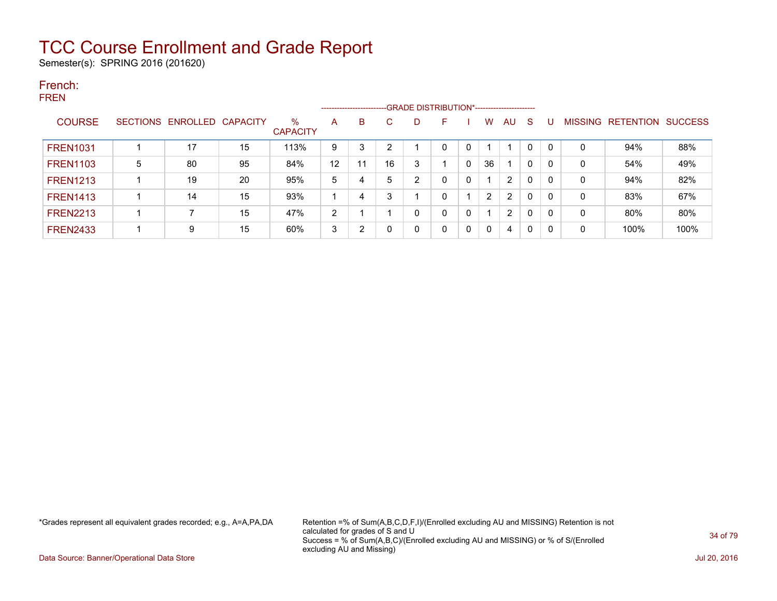Semester(s): SPRING 2016 (201620)

#### French: FREN

|                 |                 |                   |    | -- GRADE DISTRIBUTION*-------------------------<br>--------------------- |                |    |    |   |   |   |                |                |   |          |                |                  |                |
|-----------------|-----------------|-------------------|----|--------------------------------------------------------------------------|----------------|----|----|---|---|---|----------------|----------------|---|----------|----------------|------------------|----------------|
| <b>COURSE</b>   | <b>SECTIONS</b> | ENROLLED CAPACITY |    | $\%$<br><b>CAPACITY</b>                                                  | A              | B  |    | D | F |   | W              | AU             | S |          | <b>MISSING</b> | <b>RETENTION</b> | <b>SUCCESS</b> |
| <b>FREN1031</b> |                 | 17                | 15 | 113%                                                                     | 9              | 3  | 2  |   | 0 | 0 |                |                | 0 | $\Omega$ | 0              | 94%              | 88%            |
| <b>FREN1103</b> | 5               | 80                | 95 | 84%                                                                      | 12             | 11 | 16 | 3 |   | 0 | 36             |                | 0 | 0        | 0              | 54%              | 49%            |
| <b>FREN1213</b> |                 | 19                | 20 | 95%                                                                      | 5              | 4  | 5  | ົ | 0 | 0 |                | $\overline{2}$ | 0 |          | 0              | 94%              | 82%            |
| <b>FREN1413</b> |                 | 14                | 15 | 93%                                                                      |                | 4  | 3  |   | 0 |   | $\overline{2}$ | 2              | 0 |          | 0              | 83%              | 67%            |
| <b>FREN2213</b> |                 |                   | 15 | 47%                                                                      | $\overline{2}$ |    |    |   | 0 | 0 |                | $\overline{2}$ | 0 |          | 0              | 80%              | 80%            |
| <b>FREN2433</b> |                 | 9                 | 15 | 60%                                                                      | 3              | 2  |    |   | 0 | 0 | $\Omega$       | 4              | 0 | 0        | 0              | 100%             | 100%           |

\*Grades represent all equivalent grades recorded; e.g., A=A,PA,DA Retention =% of Sum(A,B,C,D,F,I)/(Enrolled excluding AU and MISSING) Retention is not calculated for grades of S and U Success = % of Sum(A,B,C)/(Enrolled excluding AU and MISSING) or % of S/(Enrolled excluding AU and Missing)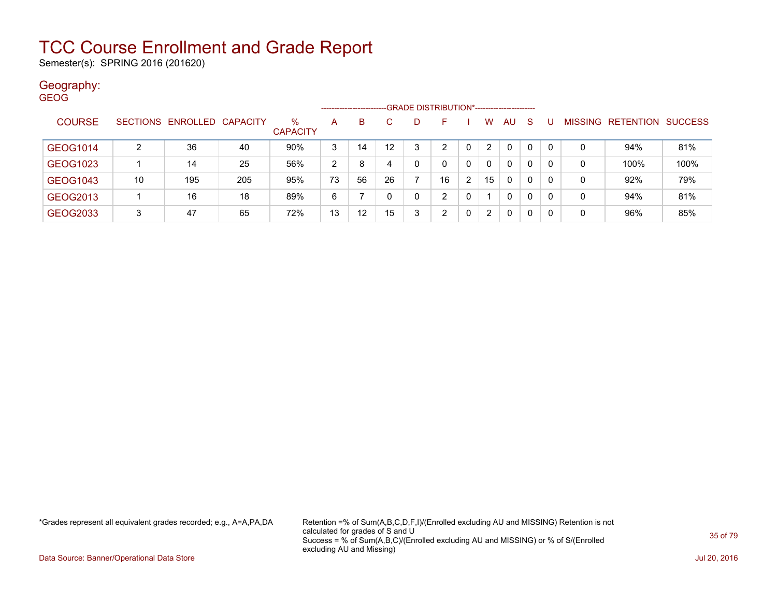Semester(s): SPRING 2016 (201620)

#### Geography: GEOG

|               |    |                            | -GRADE DISTRIBUTION*-----------------------<br>---------------------- |                      |                |    |                  |   |    |          |                       |              |          |          |         |           |                |
|---------------|----|----------------------------|-----------------------------------------------------------------------|----------------------|----------------|----|------------------|---|----|----------|-----------------------|--------------|----------|----------|---------|-----------|----------------|
| <b>COURSE</b> |    | SECTIONS ENROLLED CAPACITY |                                                                       | %<br><b>CAPACITY</b> | A              | B  |                  | D |    |          | w                     | AU           | -S       |          | MISSING | RETENTION | <b>SUCCESS</b> |
| GEOG1014      |    | 36                         | 40                                                                    | 90%                  | 3              | 14 | 12 <sup>12</sup> | 3 | っ  | 0        | $\overline{2}$        | 0            | $\Omega$ | $\Omega$ | 0       | 94%       | 81%            |
| GEOG1023      |    | 14                         | 25                                                                    | 56%                  | $\overline{2}$ | 8  |                  | 0 |    | $\Omega$ | $\mathbf{0}$          | $\mathbf{0}$ | $\Omega$ | $\Omega$ | 0       | 100%      | 100%           |
| GEOG1043      | 10 | 195                        | 205                                                                   | 95%                  | 73             | 56 | 26               |   | 16 | 2        | 15                    | 0            | $\Omega$ | 0        | 0       | 92%       | 79%            |
| GEOG2013      |    | 16                         | 18                                                                    | 89%                  | 6              |    |                  | 0 | ົ  | 0        |                       | 0            | $\Omega$ | 0        | 0       | 94%       | 81%            |
| GEOG2033      | 3  | 47                         | 65                                                                    | 72%                  | 13             | 12 | 15               | 3 | 2  | 0        | $\mathbf{2}^{\prime}$ | 0            | $\Omega$ | 0        | 0       | 96%       | 85%            |

\*Grades represent all equivalent grades recorded; e.g., A=A,PA,DA Retention =% of Sum(A,B,C,D,F,I)/(Enrolled excluding AU and MISSING) Retention is not calculated for grades of S and U Success = % of Sum(A,B,C)/(Enrolled excluding AU and MISSING) or % of S/(Enrolled excluding AU and Missing)

Data Source: Banner/Operational Data Store Jul 20, 2016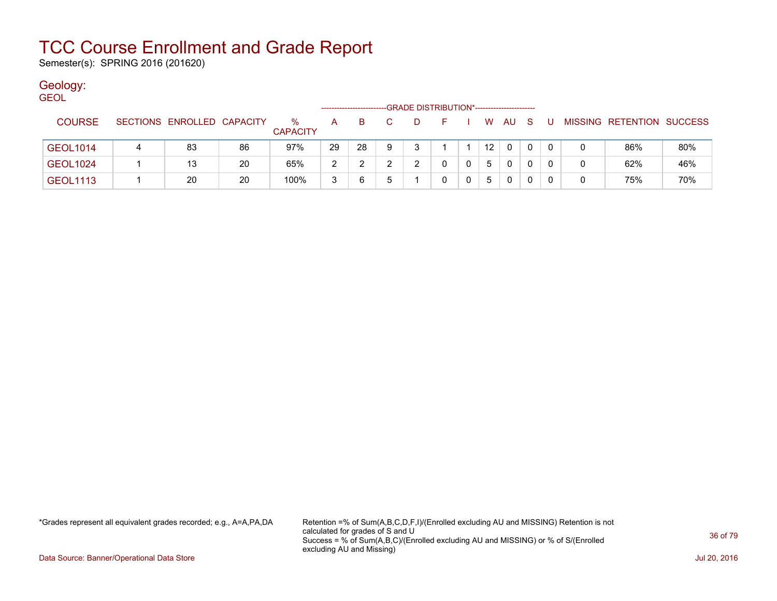Semester(s): SPRING 2016 (201620)

### Geology:

| <b>GEOL</b>     | -GRADE DISTRIBUTION*----------------------- |                            |    |                         |    |    |   |   |    |  |                 |    |     |   |   |                           |     |
|-----------------|---------------------------------------------|----------------------------|----|-------------------------|----|----|---|---|----|--|-----------------|----|-----|---|---|---------------------------|-----|
| <b>COURSE</b>   |                                             | SECTIONS ENROLLED CAPACITY |    | $\%$<br><b>CAPACITY</b> | A  | B. |   | D | E. |  | W.              | AU | - S | U |   | MISSING RETENTION SUCCESS |     |
| GEOL1014        |                                             | 83                         | 86 | 97%                     | 29 | 28 | 9 |   |    |  | 12 <sup>°</sup> | 0  | 0   |   |   | 86%                       | 80% |
| <b>GEOL1024</b> |                                             | 13                         | 20 | 65%                     | 2  |    |   |   |    |  | 5               | 0  | 0   |   | 0 | 62%                       | 46% |
| <b>GEOL1113</b> |                                             | 20                         | 20 | 100%                    | 3  | 6  |   |   | 0  |  | 5               | 0  | 0   |   | 0 | 75%                       | 70% |

\*Grades represent all equivalent grades recorded; e.g., A=A,PA,DA Retention =% of Sum(A,B,C,D,F,I)/(Enrolled excluding AU and MISSING) Retention is not calculated for grades of S and U Success = % of Sum(A,B,C)/(Enrolled excluding AU and MISSING) or % of S/(Enrolled excluding AU and Missing)

Data Source: Banner/Operational Data Store Jul 20, 2016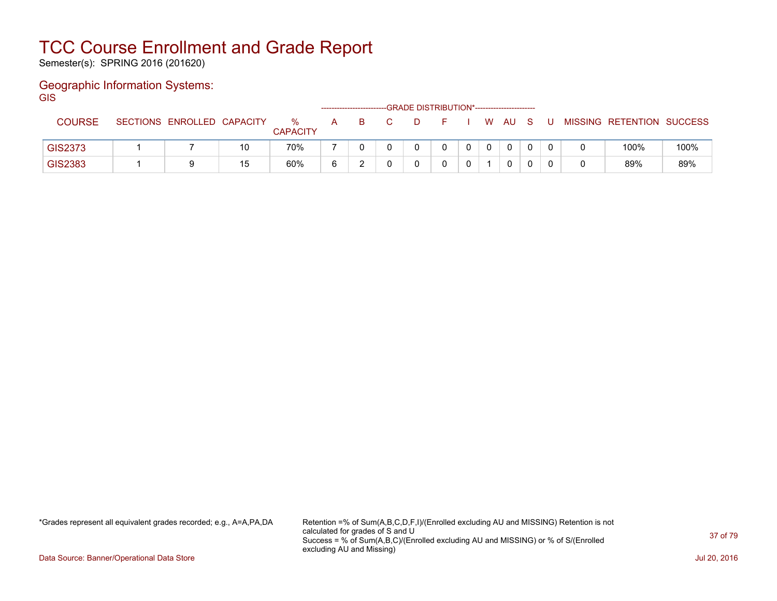Semester(s): SPRING 2016 (201620)

#### Geographic Information Systems: **GIS**

|                |                            |    |                      |   | ------------------------GRADE DISTRIBUTION*----------------------- |  |  |             |     |    |                           |      |
|----------------|----------------------------|----|----------------------|---|--------------------------------------------------------------------|--|--|-------------|-----|----|---------------------------|------|
| <b>COURSE</b>  | SECTIONS ENROLLED CAPACITY |    | %<br><b>CAPACITY</b> | A | -B                                                                 |  |  | W AU        | - S | -U | MISSING RETENTION SUCCESS |      |
| <b>GIS2373</b> |                            | 10 | 70%                  |   |                                                                    |  |  | $\mathbf 0$ |     |    | 100%                      | 100% |
| GIS2383        | 9                          | 15 | 60%                  |   |                                                                    |  |  | 0           |     |    | 89%                       | 89%  |

\*Grades represent all equivalent grades recorded; e.g., A=A,PA,DA Retention =% of Sum(A,B,C,D,F,I)/(Enrolled excluding AU and MISSING) Retention is not calculated for grades of S and U Success = % of Sum(A,B,C)/(Enrolled excluding AU and MISSING) or % of S/(Enrolled excluding AU and Missing)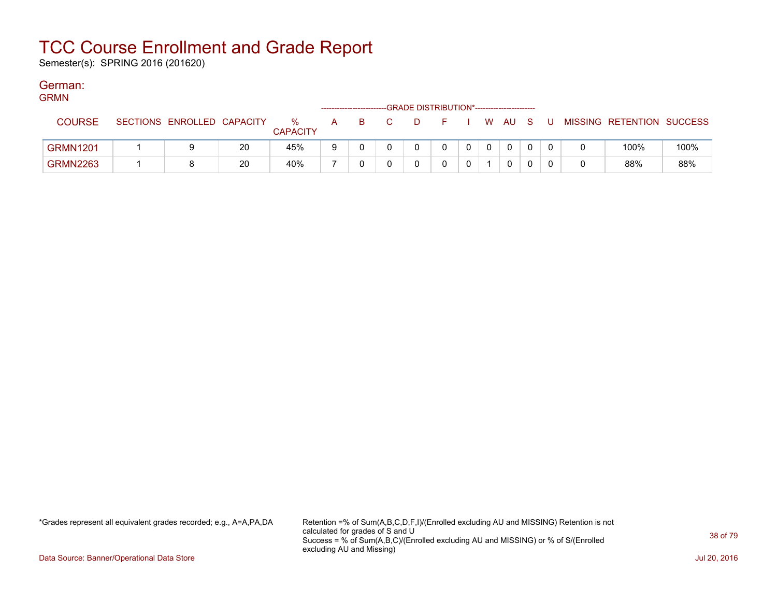Semester(s): SPRING 2016 (201620)

#### German: GRMN

| <b>GRIVIN</b>   |                            |    |                         |   |    | -GRADE DISTRIBUTION*----------------------- |    |  |      |  |                           |      |
|-----------------|----------------------------|----|-------------------------|---|----|---------------------------------------------|----|--|------|--|---------------------------|------|
| <b>COURSE</b>   | SECTIONS ENROLLED CAPACITY |    | $\%$<br><b>CAPACITY</b> | A | B. |                                             | н. |  | W AU |  | MISSING RETENTION SUCCESS |      |
| <b>GRMN1201</b> |                            | 20 | 45%                     | 9 |    |                                             |    |  |      |  | 100%                      | 100% |
| <b>GRMN2263</b> |                            | 20 | 40%                     |   |    |                                             |    |  | 0    |  | 88%                       | 88%  |

\*Grades represent all equivalent grades recorded; e.g., A=A,PA,DA Retention =% of Sum(A,B,C,D,F,I)/(Enrolled excluding AU and MISSING) Retention is not calculated for grades of S and U Success = % of Sum(A,B,C)/(Enrolled excluding AU and MISSING) or % of S/(Enrolled excluding AU and Missing)

Data Source: Banner/Operational Data Store Jul 20, 2016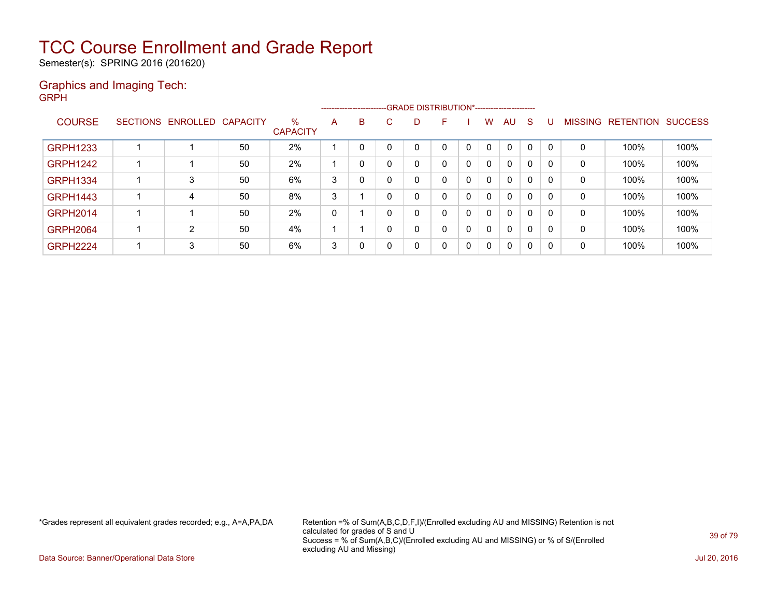Semester(s): SPRING 2016 (201620)

#### Graphics and Imaging Tech: GRPH

|                 |                            |    |                      |   | ------------------------ |    | --GRADE DISTRIBUTION*----------------------- |              |              |              |              |              |          |                |                  |                |
|-----------------|----------------------------|----|----------------------|---|--------------------------|----|----------------------------------------------|--------------|--------------|--------------|--------------|--------------|----------|----------------|------------------|----------------|
| <b>COURSE</b>   | SECTIONS ENROLLED CAPACITY |    | %<br><b>CAPACITY</b> | A | B                        | C. | D                                            | F            |              | w            | AU           | <sub>S</sub> |          | <b>MISSING</b> | <b>RETENTION</b> | <b>SUCCESS</b> |
| <b>GRPH1233</b> |                            | 50 | 2%                   |   |                          |    |                                              | 0            | 0            | 0            | $\mathbf{0}$ | $\Omega$     |          | 0              | 100%             | 100%           |
| <b>GRPH1242</b> |                            | 50 | 2%                   |   | 0                        | 0  | 0                                            | $\mathbf{0}$ | $\mathbf{0}$ | $\mathbf{0}$ | $\mathbf{0}$ | 0            | $\Omega$ | 0              | 100%             | 100%           |
| <b>GRPH1334</b> | 3                          | 50 | 6%                   | 3 | 0                        | 0  | 0                                            | 0            | 0            | $\Omega$     | $\mathbf{0}$ | 0            | $\Omega$ | 0              | 100%             | 100%           |
| <b>GRPH1443</b> | 4                          | 50 | 8%                   | 3 |                          | 0  | 0                                            | 0            | 0            | $\Omega$     | $\mathbf{0}$ | 0            | $\Omega$ | 0              | 100%             | 100%           |
| <b>GRPH2014</b> |                            | 50 | 2%                   | 0 |                          | 0  | 0                                            | 0            | $\mathbf{0}$ | $\Omega$     | $\mathbf{0}$ | 0            | $\Omega$ | 0              | 100%             | 100%           |
| <b>GRPH2064</b> | $\overline{2}$             | 50 | 4%                   |   |                          | 0  | 0                                            | 0            | 0            | $\Omega$     | $\mathbf{0}$ | 0            | $\Omega$ | 0              | 100%             | 100%           |
| <b>GRPH2224</b> | 3                          | 50 | 6%                   | 3 | 0                        | 0  | 0                                            | 0            | 0            | $\mathbf{0}$ | $\mathbf{0}$ | $\mathbf{0}$ | 0        | 0              | 100%             | 100%           |

\*Grades represent all equivalent grades recorded; e.g., A=A,PA,DA Retention =% of Sum(A,B,C,D,F,I)/(Enrolled excluding AU and MISSING) Retention is not calculated for grades of S and U Success = % of Sum(A,B,C)/(Enrolled excluding AU and MISSING) or % of S/(Enrolled excluding AU and Missing)

Data Source: Banner/Operational Data Store Jul 20, 2016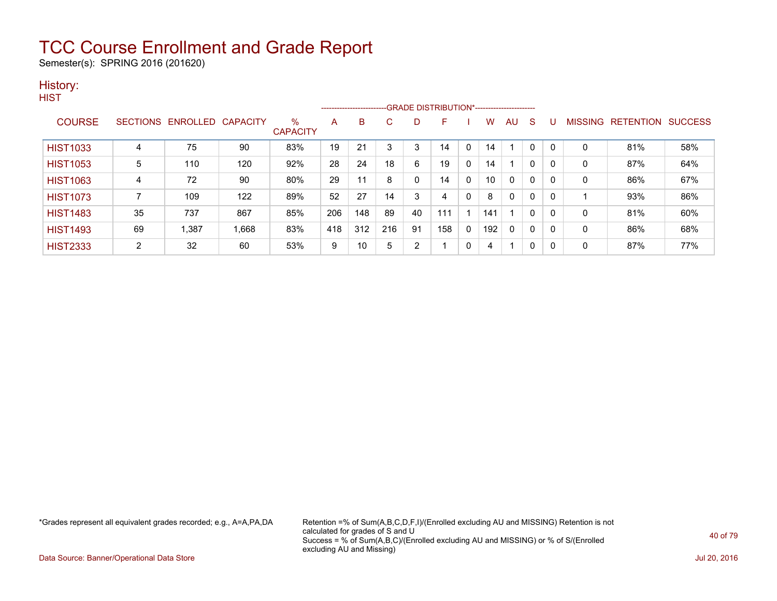Semester(s): SPRING 2016 (201620)

#### History: **HIST**

|                 |    |                            |       |                      |     | ---------------------- |     |    |     |              |     |              |   |          |                |                  |                |
|-----------------|----|----------------------------|-------|----------------------|-----|------------------------|-----|----|-----|--------------|-----|--------------|---|----------|----------------|------------------|----------------|
| <b>COURSE</b>   |    | SECTIONS ENROLLED CAPACITY |       | %<br><b>CAPACITY</b> | A   | в                      | C   | D  | F   |              | w   | AU           | S |          | <b>MISSING</b> | <b>RETENTION</b> | <b>SUCCESS</b> |
| <b>HIST1033</b> | 4  | 75                         | 90    | 83%                  | 19  | 21                     | 3   | 3  | 14  |              | 14  |              | 0 |          | 0              | 81%              | 58%            |
| <b>HIST1053</b> | 5  | 110                        | 120   | 92%                  | 28  | 24                     | 18  | 6  | 19  | 0            | 14  |              | 0 | $\Omega$ | 0              | 87%              | 64%            |
| <b>HIST1063</b> | 4  | 72                         | 90    | 80%                  | 29  | 11                     | 8   | 0  | 14  | 0            | 10  | $\mathbf{0}$ | 0 | 0        | 0              | 86%              | 67%            |
| <b>HIST1073</b> |    | 109                        | 122   | 89%                  | 52  | 27                     | 14  | 3  | 4   | 0            | 8   | 0            | 0 | $\Omega$ |                | 93%              | 86%            |
| <b>HIST1483</b> | 35 | 737                        | 867   | 85%                  | 206 | 148                    | 89  | 40 | 111 |              | 141 |              | 0 | 0        | 0              | 81%              | 60%            |
| <b>HIST1493</b> | 69 | 1,387                      | 1,668 | 83%                  | 418 | 312                    | 216 | 91 | 158 | $\mathbf{0}$ | 192 | $\mathbf{0}$ | 0 | $\Omega$ | $\mathbf{0}$   | 86%              | 68%            |
| <b>HIST2333</b> | 2  | 32                         | 60    | 53%                  | 9   | 10                     | 5   | 2  |     | 0            | 4   |              | 0 | 0        | 0              | 87%              | 77%            |

\*Grades represent all equivalent grades recorded; e.g., A=A,PA,DA Retention =% of Sum(A,B,C,D,F,I)/(Enrolled excluding AU and MISSING) Retention is not calculated for grades of S and U Success = % of Sum(A,B,C)/(Enrolled excluding AU and MISSING) or % of S/(Enrolled excluding AU and Missing)

Data Source: Banner/Operational Data Store Jul 20, 2016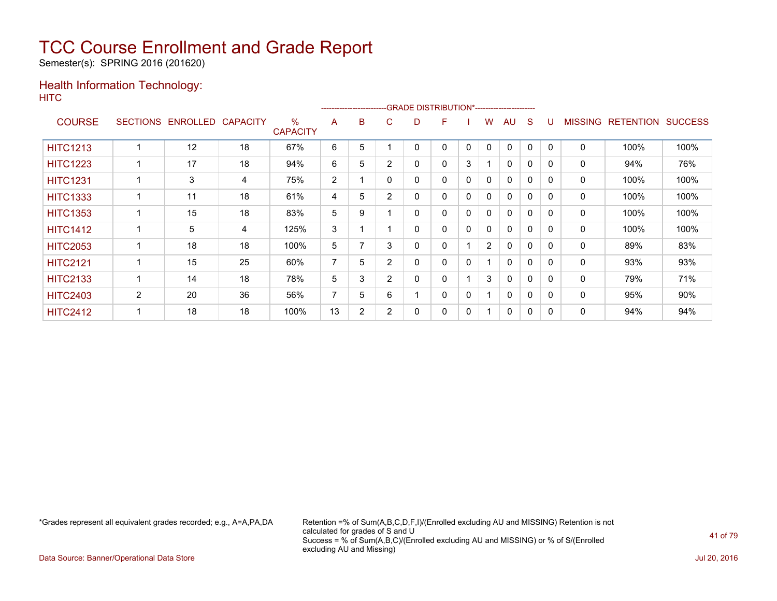Semester(s): SPRING 2016 (201620)

### Health Information Technology: **HITC**

|                 |                 |                   |    |                      | ------------------------- |   |                |   | -GRADE DISTRIBUTION*---------------------- |              |                |              |   |          |                |                  |                |
|-----------------|-----------------|-------------------|----|----------------------|---------------------------|---|----------------|---|--------------------------------------------|--------------|----------------|--------------|---|----------|----------------|------------------|----------------|
| <b>COURSE</b>   | <b>SECTIONS</b> | ENROLLED CAPACITY |    | %<br><b>CAPACITY</b> | A                         | B | C              | D | F                                          |              | w              | AU           | S |          | <b>MISSING</b> | <b>RETENTION</b> | <b>SUCCESS</b> |
| <b>HITC1213</b> |                 | 12                | 18 | 67%                  | 6                         | 5 |                |   | 0                                          | 0            | 0              | $\mathbf{0}$ | 0 | $\Omega$ | 0              | 100%             | 100%           |
| <b>HITC1223</b> |                 | 17                | 18 | 94%                  | 6                         | 5 | $\overline{2}$ | 0 | 0                                          | 3            |                | $\mathbf 0$  | 0 | 0        | 0              | 94%              | 76%            |
| <b>HITC1231</b> |                 | 3                 | 4  | 75%                  | $\overline{2}$            |   | $\Omega$       | 0 | 0                                          | $\mathbf 0$  | $\mathbf{0}$   | $\mathbf{0}$ | 0 | $\Omega$ | 0              | 100%             | 100%           |
| <b>HITC1333</b> |                 | 11                | 18 | 61%                  | 4                         | 5 | $\overline{2}$ | 0 | 0                                          | $\mathbf{0}$ | $\mathbf{0}$   | $\mathbf{0}$ | 0 | $\Omega$ | 0              | 100%             | 100%           |
| <b>HITC1353</b> |                 | 15                | 18 | 83%                  | 5                         | 9 |                | 0 | 0                                          | 0            | 0              | 0            | 0 | 0        | 0              | 100%             | 100%           |
| <b>HITC1412</b> |                 | 5                 | 4  | 125%                 | 3                         |   |                | ი | 0                                          | 0            | 0              | $\mathbf{0}$ | 0 | $\Omega$ | 0              | 100%             | 100%           |
| <b>HITC2053</b> |                 | 18                | 18 | 100%                 | 5                         |   | 3              | 0 | 0                                          |              | $\overline{2}$ | $\mathbf{0}$ | 0 | 0        | 0              | 89%              | 83%            |
| <b>HITC2121</b> |                 | 15                | 25 | 60%                  | $\overline{7}$            | 5 | $\overline{2}$ | 0 | 0                                          | 0            |                | 0            | 0 | $\Omega$ | 0              | 93%              | 93%            |
| <b>HITC2133</b> |                 | 14                | 18 | 78%                  | 5                         | 3 | $\overline{2}$ | 0 | 0                                          |              | 3              | $\mathbf{0}$ | 0 | $\Omega$ | 0              | 79%              | 71%            |
| <b>HITC2403</b> | $\overline{2}$  | 20                | 36 | 56%                  | $\overline{7}$            | 5 | 6              |   | 0                                          | 0            |                | $\mathbf{0}$ | 0 | $\Omega$ | 0              | 95%              | 90%            |
| <b>HITC2412</b> |                 | 18                | 18 | 100%                 | 13                        | 2 | 2              |   | 0                                          | 0            |                | 0            | 0 | $\Omega$ | 0              | 94%              | 94%            |

\*Grades represent all equivalent grades recorded; e.g., A=A,PA,DA Retention =% of Sum(A,B,C,D,F,I)/(Enrolled excluding AU and MISSING) Retention is not calculated for grades of S and U Success = % of Sum(A,B,C)/(Enrolled excluding AU and MISSING) or % of S/(Enrolled excluding AU and Missing)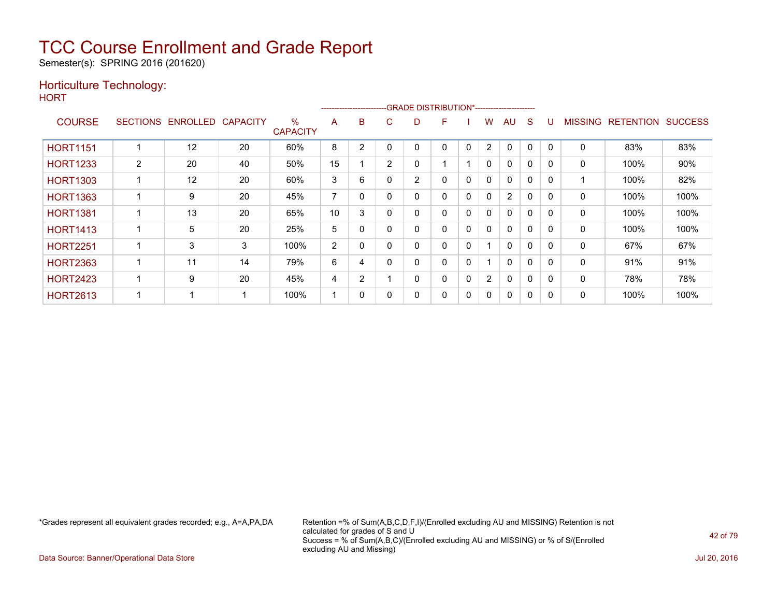Semester(s): SPRING 2016 (201620)

### Horticulture Technology:

**HORT** 

|                 |                |                   |                 |                         |                |                |    | ------------------------GRADE DISTRIBUTION*----------------------- |   |              |              |                |              |          |                |                  |                |
|-----------------|----------------|-------------------|-----------------|-------------------------|----------------|----------------|----|--------------------------------------------------------------------|---|--------------|--------------|----------------|--------------|----------|----------------|------------------|----------------|
| <b>COURSE</b>   |                | SECTIONS ENROLLED | <b>CAPACITY</b> | $\%$<br><b>CAPACITY</b> | A              | B              | C. | D                                                                  | F |              | W            | AU             | S            |          | <b>MISSING</b> | <b>RETENTION</b> | <b>SUCCESS</b> |
| <b>HORT1151</b> |                | 12                | 20              | 60%                     | 8              | 2              |    |                                                                    | 0 | 0            | 2            | $\Omega$       | 0            |          | 0              | 83%              | 83%            |
| <b>HORT1233</b> | $\overline{2}$ | 20                | 40              | 50%                     | 15             |                | 2  | 0                                                                  |   |              | $\mathbf{0}$ | $\mathbf{0}$   | $\mathbf{0}$ |          | $\Omega$       | 100%             | 90%            |
| <b>HORT1303</b> |                | 12                | 20              | 60%                     | 3              | 6              |    | 2                                                                  | 0 | $\mathbf{0}$ | $\mathbf{0}$ | $\mathbf{0}$   | $\mathbf{0}$ | $\Omega$ |                | 100%             | 82%            |
| <b>HORT1363</b> |                | 9                 | 20              | 45%                     | $\overline{ }$ | $\Omega$       |    | 0                                                                  | 0 | $\mathbf{0}$ | $\mathbf{0}$ | $\overline{2}$ | $\mathbf{0}$ |          | 0              | 100%             | 100%           |
| <b>HORT1381</b> |                | 13                | 20              | 65%                     | 10             | 3              |    | 0                                                                  | 0 | 0            | 0            | $\mathbf{0}$   | 0            |          | 0              | 100%             | 100%           |
| <b>HORT1413</b> |                | 5                 | 20              | 25%                     | 5              | 0              |    | 0                                                                  | 0 | $\mathbf{0}$ | $\mathbf{0}$ | $\mathbf{0}$   | $\mathbf{0}$ | $\Omega$ | $\mathbf{0}$   | 100%             | 100%           |
| <b>HORT2251</b> |                | 3                 | 3               | 100%                    | 2              | $\Omega$       |    | 0                                                                  | 0 | 0            |              | $\Omega$       | $\Omega$     |          | 0              | 67%              | 67%            |
| <b>HORT2363</b> |                | 11                | 14              | 79%                     | 6              | 4              |    | 0                                                                  | 0 | 0            |              | $\Omega$       | $\Omega$     | $\Omega$ | 0              | 91%              | 91%            |
| <b>HORT2423</b> |                | 9                 | 20              | 45%                     | 4              | $\overline{2}$ |    | 0                                                                  | 0 | $\mathbf{0}$ | 2            | $\mathbf{0}$   | $\Omega$     | $\Omega$ | 0              | 78%              | 78%            |
| <b>HORT2613</b> |                |                   |                 | 100%                    |                | 0              |    | 0                                                                  | 0 | 0            | 0            | $\mathbf{0}$   | 0            | $\Omega$ | 0              | 100%             | 100%           |

\*Grades represent all equivalent grades recorded; e.g., A=A,PA,DA Retention =% of Sum(A,B,C,D,F,I)/(Enrolled excluding AU and MISSING) Retention is not calculated for grades of S and U Success = % of Sum(A,B,C)/(Enrolled excluding AU and MISSING) or % of S/(Enrolled excluding AU and Missing)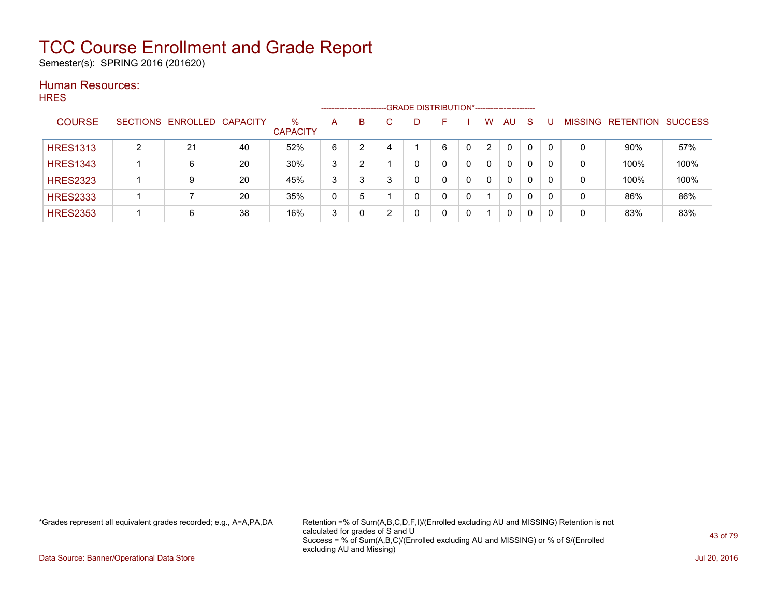Semester(s): SPRING 2016 (201620)

#### Human Resources: **HRES**

| .  .__          |   |                            |    |                         | --------------------- |   |   | -GRADE DISTRIBUTION*----------------------- |          |              |    |                |           |                |
|-----------------|---|----------------------------|----|-------------------------|-----------------------|---|---|---------------------------------------------|----------|--------------|----|----------------|-----------|----------------|
| <b>COURSE</b>   |   | SECTIONS ENROLLED CAPACITY |    | $\%$<br><b>CAPACITY</b> | A                     | B | D | н.                                          | W        | <b>AU</b>    | -S | <b>MISSING</b> | RETENTION | <b>SUCCESS</b> |
| <b>HRES1313</b> | ົ | 21                         | 40 | 52%                     | 6                     |   |   | 6                                           | 2        | $\Omega$     |    | 0              | $90\%$    | 57%            |
| <b>HRES1343</b> |   | 6                          | 20 | 30%                     | 3                     | າ |   | 0                                           | 0        | 0            | 0  | 0              | 100%      | 100%           |
| <b>HRES2323</b> |   | 9                          | 20 | 45%                     | 3                     | 3 |   |                                             | $\Omega$ | 0            | 0  | 0              | 100%      | 100%           |
| <b>HRES2333</b> |   |                            | 20 | 35%                     | 0                     | 5 |   | 0                                           |          | $\mathbf{0}$ | 0  | 0              | 86%       | 86%            |
| <b>HRES2353</b> |   | 6                          | 38 | 16%                     | 3                     |   |   |                                             |          | 0            | 0  | 0              | 83%       | 83%            |

\*Grades represent all equivalent grades recorded; e.g., A=A,PA,DA Retention =% of Sum(A,B,C,D,F,I)/(Enrolled excluding AU and MISSING) Retention is not calculated for grades of S and U Success = % of Sum(A,B,C)/(Enrolled excluding AU and MISSING) or % of S/(Enrolled excluding AU and Missing)

Data Source: Banner/Operational Data Store Jul 20, 2016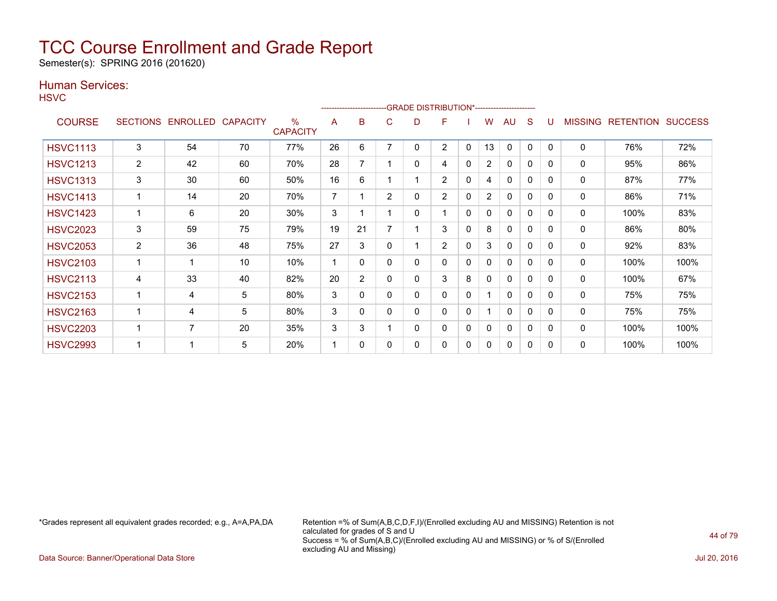Semester(s): SPRING 2016 (201620)

### Human Services:

**HSVC** 

|                 |                 |          |                 |                         |    | -------------------------GRADE                DISTRIBUTION*--------------------- |                |   |                |              |    |              |          |              |                |                  |                |
|-----------------|-----------------|----------|-----------------|-------------------------|----|----------------------------------------------------------------------------------|----------------|---|----------------|--------------|----|--------------|----------|--------------|----------------|------------------|----------------|
| <b>COURSE</b>   | <b>SECTIONS</b> | ENROLLED | <b>CAPACITY</b> | $\%$<br><b>CAPACITY</b> | A  | B                                                                                | С              | D | F              |              | w  | AU           | S        |              | <b>MISSING</b> | <b>RETENTION</b> | <b>SUCCESS</b> |
| <b>HSVC1113</b> | 3               | 54       | 70              | 77%                     | 26 | 6                                                                                |                | 0 | $\overline{2}$ | 0            | 13 | 0            | $\Omega$ | $\mathbf{0}$ | 0              | 76%              | 72%            |
| <b>HSVC1213</b> | $\overline{2}$  | 42       | 60              | 70%                     | 28 | 7                                                                                |                | 0 | 4              | 0            | 2  | $\mathbf{0}$ | 0        | $\Omega$     | 0              | 95%              | 86%            |
| <b>HSVC1313</b> | 3               | 30       | 60              | 50%                     | 16 | 6                                                                                |                |   | $\overline{2}$ | 0            | 4  | $\Omega$     | 0        | $\Omega$     | 0              | 87%              | 77%            |
| <b>HSVC1413</b> |                 | 14       | 20              | 70%                     | 7  |                                                                                  | $\overline{2}$ | 0 | $\overline{2}$ | 0            | 2  | $\mathbf{0}$ | 0        | $\Omega$     | 0              | 86%              | 71%            |
| <b>HSVC1423</b> |                 | 6        | 20              | $30\%$                  | 3  |                                                                                  |                | 0 | 1              | 0            | 0  | 0            | 0        | $\Omega$     | 0              | 100%             | 83%            |
| <b>HSVC2023</b> | 3               | 59       | 75              | 79%                     | 19 | 21                                                                               |                |   | 3              | 0            | 8  | 0            | 0        | $\Omega$     | 0              | 86%              | 80%            |
| <b>HSVC2053</b> | $\overline{2}$  | 36       | 48              | 75%                     | 27 | 3                                                                                | 0              |   | $\overline{2}$ | 0            | 3  | $\mathbf{0}$ | 0        | 0            | 0              | 92%              | 83%            |
| <b>HSVC2103</b> |                 |          | 10              | 10%                     | 1  | $\Omega$                                                                         | 0              | 0 | 0              | $\mathbf{0}$ | 0  | 0            | 0        | $\mathbf{0}$ | 0              | 100%             | 100%           |
| <b>HSVC2113</b> | 4               | 33       | 40              | 82%                     | 20 | $\overline{2}$                                                                   | 0              | 0 | 3              | 8            | 0  | $\mathbf{0}$ | 0        | $\Omega$     | 0              | 100%             | 67%            |
| <b>HSVC2153</b> |                 | 4        | 5               | 80%                     | 3  | 0                                                                                | 0              | 0 | 0              | $\mathbf{0}$ |    | 0            | 0        | $\Omega$     | 0              | 75%              | 75%            |
| <b>HSVC2163</b> |                 | 4        | 5               | 80%                     | 3  | $\Omega$                                                                         | 0              | 0 | 0              | 0            |    | $\mathbf{0}$ | 0        | $\Omega$     | 0              | 75%              | 75%            |
| <b>HSVC2203</b> |                 | 7        | 20              | 35%                     | 3  | 3                                                                                |                | 0 | 0              | 0            | 0  | 0            | 0        | $\Omega$     | 0              | 100%             | 100%           |
| <b>HSVC2993</b> |                 |          | 5               | 20%                     | 1  | $\Omega$                                                                         | 0              | 0 | 0              | 0            | 0  | 0            | 0        | $\Omega$     | 0              | 100%             | 100%           |

\*Grades represent all equivalent grades recorded; e.g., A=A,PA,DA Retention =% of Sum(A,B,C,D,F,I)/(Enrolled excluding AU and MISSING) Retention is not calculated for grades of S and U Success = % of Sum(A,B,C)/(Enrolled excluding AU and MISSING) or % of S/(Enrolled excluding AU and Missing)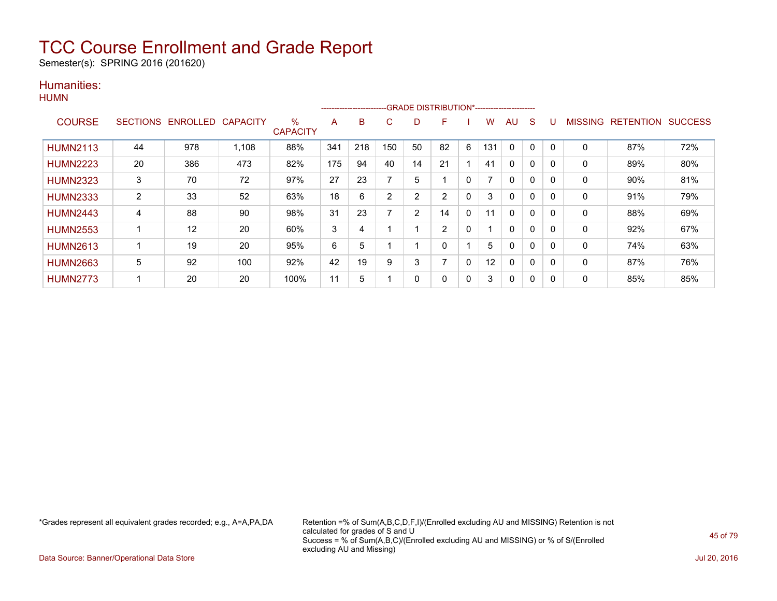Semester(s): SPRING 2016 (201620)

### Humanities: **HUMN**

|                 |    |                            |       |                      |     | ---------------------- |                |                |              |              |     |              |          |          |                |                   |     |
|-----------------|----|----------------------------|-------|----------------------|-----|------------------------|----------------|----------------|--------------|--------------|-----|--------------|----------|----------|----------------|-------------------|-----|
| <b>COURSE</b>   |    | SECTIONS ENROLLED CAPACITY |       | %<br><b>CAPACITY</b> | A   | B                      | C              | D              | F            |              | w   | AU           | S        |          | <b>MISSING</b> | RETENTION SUCCESS |     |
| <b>HUMN2113</b> | 44 | 978                        | 1,108 | 88%                  | 341 | 218                    | 150            | 50             | 82           | 6            | 131 | $\mathbf{0}$ | $\Omega$ | $\Omega$ | $\mathbf{0}$   | 87%               | 72% |
| <b>HUMN2223</b> | 20 | 386                        | 473   | 82%                  | 175 | 94                     | 40             | 14             | 21           |              | 41  | $\mathbf{0}$ | $\Omega$ | 0        | 0              | 89%               | 80% |
| <b>HUMN2323</b> | 3  | 70                         | 72    | 97%                  | 27  | 23                     |                | 5              |              | 0            |     | $\Omega$     | 0        | 0        | 0              | 90%               | 81% |
| <b>HUMN2333</b> | 2  | 33                         | 52    | 63%                  | 18  | 6                      | $\overline{2}$ | $\overline{2}$ | 2            | 0            | 3   | 0            | 0        | $\Omega$ | 0              | 91%               | 79% |
| <b>HUMN2443</b> | 4  | 88                         | 90    | 98%                  | 31  | 23                     | ⇁              | 2              | 14           | $\mathbf{0}$ | 11  | $\mathbf{0}$ | $\Omega$ | 0        | $\mathbf{0}$   | 88%               | 69% |
| <b>HUMN2553</b> | 1  | 12                         | 20    | 60%                  | 3   | 4                      |                |                | 2            | 0            |     | 0            | 0        | 0        | 0              | 92%               | 67% |
| <b>HUMN2613</b> | 1  | 19                         | 20    | 95%                  | 6   | 5                      |                |                | $\mathbf{0}$ |              | 5   | 0            | $\Omega$ | $\Omega$ | 0              | 74%               | 63% |
| <b>HUMN2663</b> | 5  | 92                         | 100   | 92%                  | 42  | 19                     | 9              | 3              |              | 0            | 12  | 0            | $\Omega$ | 0        | 0              | 87%               | 76% |
| <b>HUMN2773</b> | 1  | 20                         | 20    | 100%                 | 11  | 5                      |                | 0              | 0            | 0            | 3   | 0            | 0        |          | 0              | 85%               | 85% |

\*Grades represent all equivalent grades recorded; e.g., A=A,PA,DA Retention =% of Sum(A,B,C,D,F,I)/(Enrolled excluding AU and MISSING) Retention is not calculated for grades of S and U Success = % of Sum(A,B,C)/(Enrolled excluding AU and MISSING) or % of S/(Enrolled excluding AU and Missing)

Data Source: Banner/Operational Data Store Jul 20, 2016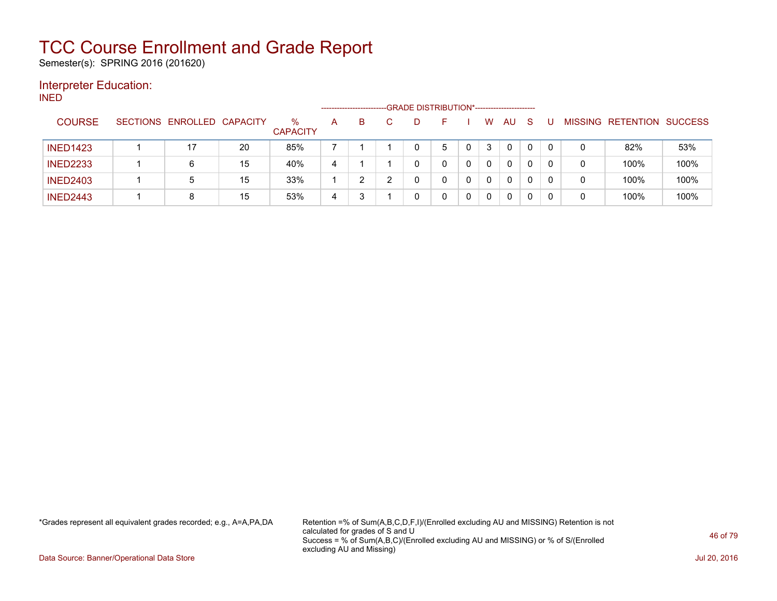Semester(s): SPRING 2016 (201620)

### Interpreter Education:

INED

|                 |                            |    |                         |   | ------------------------ | -GRADE DISTRIBUTION*----------------------- |   |          |    |              |          |                |           |                |
|-----------------|----------------------------|----|-------------------------|---|--------------------------|---------------------------------------------|---|----------|----|--------------|----------|----------------|-----------|----------------|
| <b>COURSE</b>   | SECTIONS ENROLLED CAPACITY |    | $\%$<br><b>CAPACITY</b> | A | B                        |                                             |   | w        | AU | <sub>S</sub> |          | <b>MISSING</b> | RETENTION | <b>SUCCESS</b> |
| <b>INED1423</b> |                            | 20 | 85%                     |   |                          |                                             | 5 | 3        | 0  | $\mathbf{0}$ | $\Omega$ | 0              | 82%       | 53%            |
| <b>INED2233</b> | 6                          | 15 | 40%                     | 4 |                          |                                             |   | $\Omega$ | 0  | 0            | $\Omega$ | 0              | 100%      | 100%           |
| <b>INED2403</b> | 5                          | 15 | 33%                     |   |                          |                                             |   | 0        | 0  |              |          | 0              | 100%      | 100%           |
| <b>INED2443</b> | 8                          | 15 | 53%                     | 4 |                          |                                             |   | 0        | 0  |              |          | 0              | 100%      | 100%           |

\*Grades represent all equivalent grades recorded; e.g., A=A,PA,DA Retention =% of Sum(A,B,C,D,F,I)/(Enrolled excluding AU and MISSING) Retention is not calculated for grades of S and U Success = % of Sum(A,B,C)/(Enrolled excluding AU and MISSING) or % of S/(Enrolled excluding AU and Missing)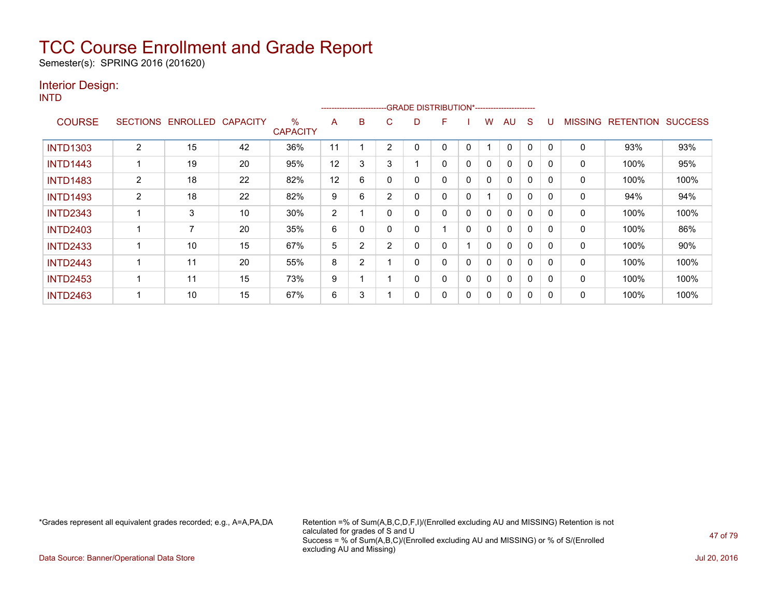Semester(s): SPRING 2016 (201620)

### Interior Design:

INTD

| .               |                 |                |                 |                                  |    |                |                |   | ------------------------GRADE                DISTRIBUTION*---------------------- |   |              |              |   |          |                |                  |                |
|-----------------|-----------------|----------------|-----------------|----------------------------------|----|----------------|----------------|---|----------------------------------------------------------------------------------|---|--------------|--------------|---|----------|----------------|------------------|----------------|
| <b>COURSE</b>   | <b>SECTIONS</b> | ENROLLED       | <b>CAPACITY</b> | $\frac{0}{0}$<br><b>CAPACITY</b> | A  | B              | C.             | D | F                                                                                |   | W            | AU           | S |          | <b>MISSING</b> | <b>RETENTION</b> | <b>SUCCESS</b> |
| <b>INTD1303</b> | $\overline{2}$  | 15             | 42              | 36%                              | 11 |                | 2              |   | 0                                                                                | 0 |              | 0            | 0 |          | 0              | 93%              | 93%            |
| <b>INTD1443</b> |                 | 19             | 20              | 95%                              | 12 | 3              | 3              |   | 0                                                                                | 0 | $\mathbf{0}$ | $\Omega$     | 0 | $\Omega$ | $\mathbf{0}$   | 100%             | 95%            |
| <b>INTD1483</b> | $\overline{2}$  | 18             | 22              | 82%                              | 12 | 6              | $\Omega$       |   | 0                                                                                | 0 | $\mathbf{0}$ | $\mathbf{0}$ | 0 | 0        | 0              | 100%             | 100%           |
| <b>INTD1493</b> | 2               | 18             | 22              | 82%                              | 9  | 6              | 2              | ი | 0                                                                                | 0 |              | $\mathbf{0}$ | 0 | 0        | 0              | 94%              | 94%            |
| <b>INTD2343</b> |                 | 3              | 10              | 30%                              | 2  |                | $\Omega$       |   | 0                                                                                | 0 | 0            | $\mathbf{0}$ | 0 | 0        | 0              | 100%             | 100%           |
| <b>INTD2403</b> |                 | $\overline{ }$ | 20              | 35%                              | 6  | 0              | $\Omega$       |   |                                                                                  | 0 | $\mathbf{0}$ | $\mathbf{0}$ | 0 |          | $\Omega$       | 100%             | 86%            |
| <b>INTD2433</b> |                 | 10             | 15              | 67%                              | 5  | 2              | $\overline{2}$ |   | 0                                                                                |   | 0            | $\mathbf{0}$ | 0 | O        | 0              | 100%             | 90%            |
| <b>INTD2443</b> |                 | 11             | 20              | 55%                              | 8  | $\overline{2}$ |                |   | 0                                                                                | 0 | 0            | $\mathbf{0}$ | 0 | $\Omega$ | 0              | 100%             | 100%           |
| <b>INTD2453</b> |                 | 11             | 15              | 73%                              | 9  |                |                |   | 0                                                                                | 0 | 0            | $\mathbf{0}$ | 0 | 0        | 0              | 100%             | 100%           |
| <b>INTD2463</b> |                 | 10             | 15              | 67%                              | 6  | 3              |                | 0 | 0                                                                                | 0 | 0            | $\mathbf{0}$ | 0 | 0        | 0              | 100%             | 100%           |

\*Grades represent all equivalent grades recorded; e.g., A=A,PA,DA Retention =% of Sum(A,B,C,D,F,I)/(Enrolled excluding AU and MISSING) Retention is not calculated for grades of S and U Success = % of Sum(A,B,C)/(Enrolled excluding AU and MISSING) or % of S/(Enrolled excluding AU and Missing)

Data Source: Banner/Operational Data Store Jul 20, 2016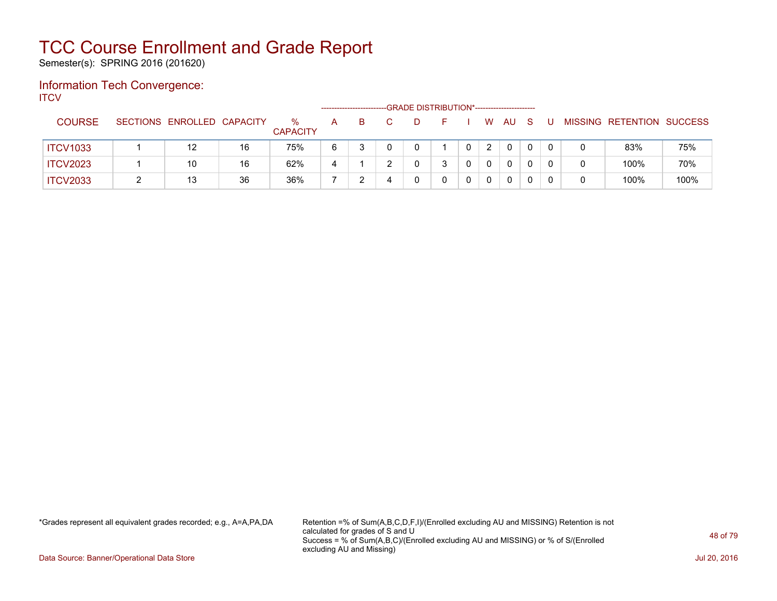Semester(s): SPRING 2016 (201620)

### Information Tech Convergence: **ITCV**

|                 |                            |    |                         |   | ---------------------- |   |   | -GRADE DISTRIBUTION*----------------------- |   |          |              |  |                           |      |
|-----------------|----------------------------|----|-------------------------|---|------------------------|---|---|---------------------------------------------|---|----------|--------------|--|---------------------------|------|
| <b>COURSE</b>   | SECTIONS ENROLLED CAPACITY |    | $\%$<br><b>CAPACITY</b> | A | B.                     |   | Ð |                                             | W | AU       | <sub>S</sub> |  | MISSING RETENTION SUCCESS |      |
| <b>ITCV1033</b> | 12                         | 16 | 75%                     | 6 |                        |   |   |                                             | 2 | $\Omega$ |              |  | 83%                       | 75%  |
| <b>ITCV2023</b> | 10                         | 16 | 62%                     |   |                        |   |   |                                             |   | 0        |              |  | 100%                      | 70%  |
| <b>ITCV2033</b> | 13                         | 36 | 36%                     |   |                        | 4 |   |                                             | 0 | 0        |              |  | 100%                      | 100% |

\*Grades represent all equivalent grades recorded; e.g., A=A,PA,DA Retention =% of Sum(A,B,C,D,F,I)/(Enrolled excluding AU and MISSING) Retention is not calculated for grades of S and U Success = % of Sum(A,B,C)/(Enrolled excluding AU and MISSING) or % of S/(Enrolled excluding AU and Missing)

Data Source: Banner/Operational Data Store Jul 20, 2016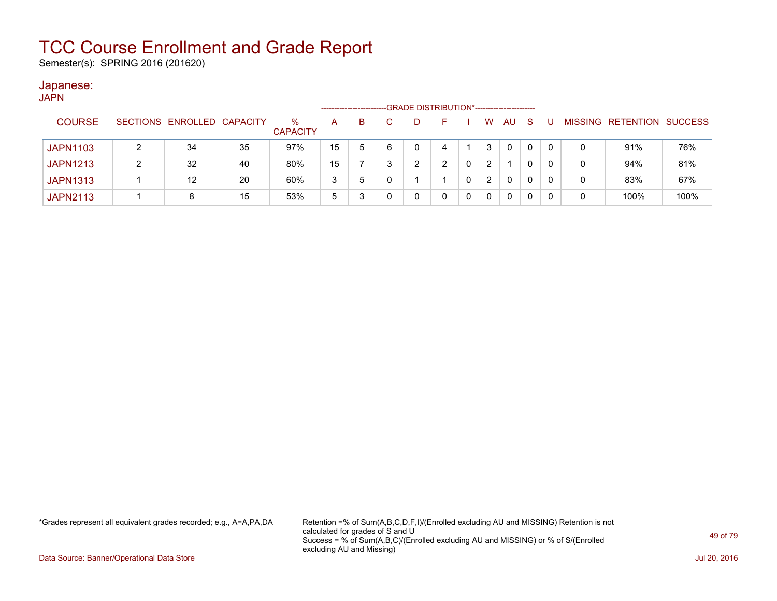Semester(s): SPRING 2016 (201620)

#### Japanese: JAPN

| UAFIN           |                 |                   |    |                      |    | --------------------- |   | -GRADE DISTRIBUTION*----------------------- |   |                |              |              |   |                           |      |
|-----------------|-----------------|-------------------|----|----------------------|----|-----------------------|---|---------------------------------------------|---|----------------|--------------|--------------|---|---------------------------|------|
| <b>COURSE</b>   | <b>SECTIONS</b> | ENROLLED CAPACITY |    | %<br><b>CAPACITY</b> | A  | в                     |   | D                                           |   | W              | <b>AU</b>    | <sub>S</sub> |   | MISSING RETENTION SUCCESS |      |
| <b>JAPN1103</b> |                 | 34                | 35 | 97%                  | 15 | 5                     | 6 | 0                                           | 4 | 3              | $\mathbf{0}$ | 0            | 0 | 91%                       | 76%  |
| <b>JAPN1213</b> |                 | 32                | 40 | 80%                  | 15 |                       |   | ົ                                           | ົ | $\overline{2}$ |              | 0            | 0 | 94%                       | 81%  |
| <b>JAPN1313</b> |                 | $12 \overline{ }$ | 20 | 60%                  | 3  | 5                     |   |                                             |   | $\overline{2}$ | 0            | 0            | 0 | 83%                       | 67%  |
| <b>JAPN2113</b> |                 |                   | 15 | 53%                  | 5  |                       |   | 0                                           |   | 0              | 0            | 0            | 0 | 100%                      | 100% |

\*Grades represent all equivalent grades recorded; e.g., A=A,PA,DA Retention =% of Sum(A,B,C,D,F,I)/(Enrolled excluding AU and MISSING) Retention is not calculated for grades of S and U Success = % of Sum(A,B,C)/(Enrolled excluding AU and MISSING) or % of S/(Enrolled excluding AU and Missing)

Data Source: Banner/Operational Data Store Jul 20, 2016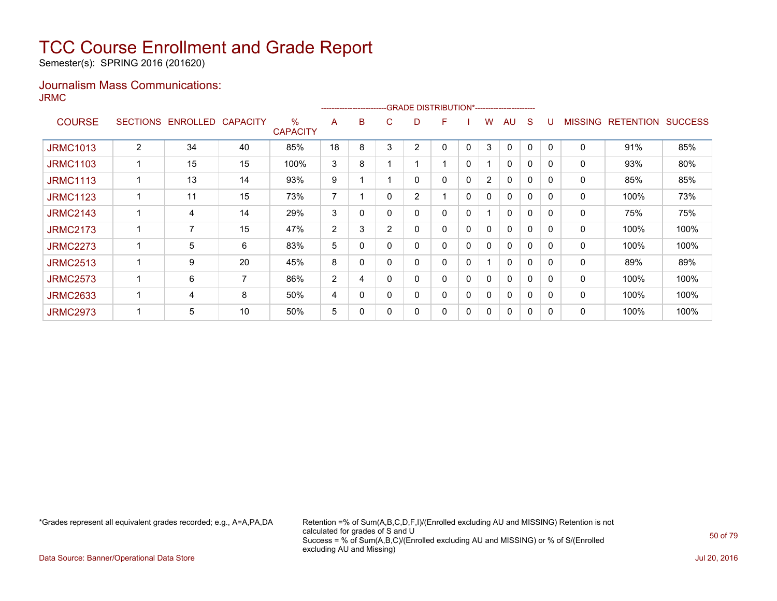Semester(s): SPRING 2016 (201620)

### Journalism Mass Communications: JRMC

|                 |                 |                 |                 |                      |                | ---------------------- |                | -GRADE DISTRIBUTION*---------------------- |   |              |                |              |   |          |                |                  |                |
|-----------------|-----------------|-----------------|-----------------|----------------------|----------------|------------------------|----------------|--------------------------------------------|---|--------------|----------------|--------------|---|----------|----------------|------------------|----------------|
| <b>COURSE</b>   | <b>SECTIONS</b> | <b>ENROLLED</b> | <b>CAPACITY</b> | %<br><b>CAPACITY</b> | A              | B                      | C              | D                                          | F |              | W              | AU           | S |          | <b>MISSING</b> | <b>RETENTION</b> | <b>SUCCESS</b> |
| <b>JRMC1013</b> | $\overline{2}$  | 34              | 40              | 85%                  | 18             | 8                      | 3              | $\overline{2}$                             | 0 | 0            | 3              | $\mathbf{0}$ | 0 | $\Omega$ | 0              | 91%              | 85%            |
| <b>JRMC1103</b> |                 | 15              | 15              | 100%                 | 3              | 8                      |                |                                            |   | 0            |                | 0            | 0 | $\Omega$ | 0              | 93%              | 80%            |
| <b>JRMC1113</b> |                 | 13              | 14              | 93%                  | 9              |                        |                | 0                                          | 0 | 0            | $\overline{2}$ | $\Omega$     | 0 | $\Omega$ | 0              | 85%              | 85%            |
| <b>JRMC1123</b> |                 | 11              | 15              | 73%                  | $\overline{7}$ |                        | $\Omega$       | 2                                          |   | 0            | $\mathbf{0}$   | $\mathbf{0}$ | 0 | $\Omega$ | 0              | 100%             | 73%            |
| <b>JRMC2143</b> |                 | 4               | 14              | 29%                  | 3              | 0                      | 0              | 0                                          | 0 | 0            |                | 0            | 0 | 0        | 0              | 75%              | 75%            |
| <b>JRMC2173</b> |                 | 7               | 15              | 47%                  | 2              | 3                      | $\overline{2}$ | 0                                          | 0 | 0            | 0              | $\mathbf{0}$ | 0 | 0        | 0              | 100%             | 100%           |
| <b>JRMC2273</b> |                 | 5               | 6               | 83%                  | 5              | 0                      | $\Omega$       | 0                                          | 0 | 0            | 0              | $\mathbf{0}$ | 0 | 0        | 0              | 100%             | 100%           |
| <b>JRMC2513</b> |                 | 9               | 20              | 45%                  | 8              | 0                      | 0              | 0                                          | 0 | 0            |                | 0            | 0 | $\Omega$ | 0              | 89%              | 89%            |
| <b>JRMC2573</b> |                 | 6               | 7               | 86%                  | 2              | 4                      | $\Omega$       | 0                                          | 0 | $\mathbf{0}$ | $\mathbf{0}$   | $\mathbf{0}$ | 0 | $\Omega$ | $\Omega$       | 100%             | 100%           |
| <b>JRMC2633</b> |                 | 4               | 8               | 50%                  | 4              | $\Omega$               | $\Omega$       | ი                                          | 0 | 0            | 0              | $\mathbf{0}$ | 0 | $\Omega$ | 0              | 100%             | 100%           |
| <b>JRMC2973</b> |                 | 5               | 10              | 50%                  | 5              | 0                      | 0              |                                            | 0 | 0            | 0              | 0            | 0 | 0        | 0              | 100%             | 100%           |

\*Grades represent all equivalent grades recorded; e.g., A=A,PA,DA Retention =% of Sum(A,B,C,D,F,I)/(Enrolled excluding AU and MISSING) Retention is not calculated for grades of S and U Success = % of Sum(A,B,C)/(Enrolled excluding AU and MISSING) or % of S/(Enrolled excluding AU and Missing)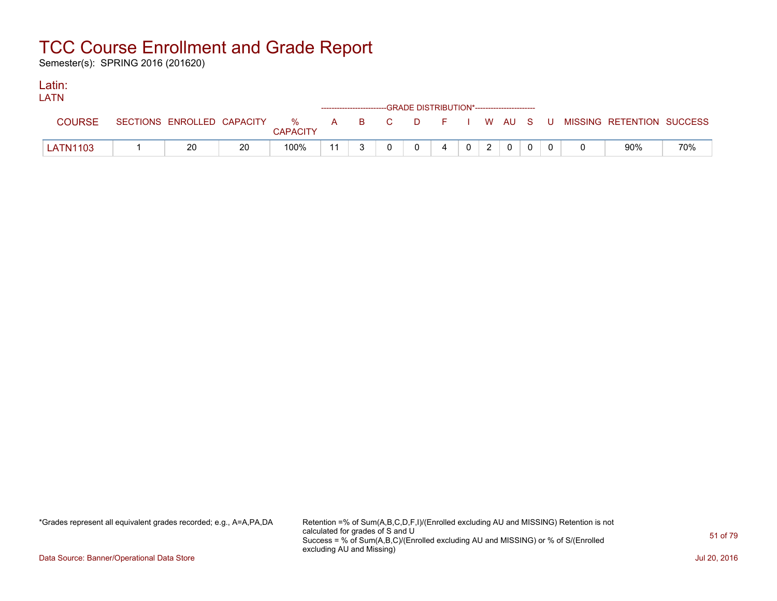Semester(s): SPRING 2016 (201620)

#### Latin: LATNE

| LAIN            |    |                 |    | ------------------------GRADE DISTRIBUTION*----------------------- |                |                 |                |  |                                                                             |     |
|-----------------|----|-----------------|----|--------------------------------------------------------------------|----------------|-----------------|----------------|--|-----------------------------------------------------------------------------|-----|
| COURSE          |    | <b>CAPACITY</b> |    |                                                                    |                |                 |                |  | SECTIONS ENROLLED CAPACITY % A B C D F I W AU S U MISSING RETENTION SUCCESS |     |
| <b>LATN1103</b> | 20 | 100%            | 11 |                                                                    | $\overline{4}$ | $0 \mid 2 \mid$ | $\overline{0}$ |  | 90%                                                                         | 70% |

\*Grades represent all equivalent grades recorded; e.g., A=A,PA,DA Retention =% of Sum(A,B,C,D,F,I)/(Enrolled excluding AU and MISSING) Retention is not calculated for grades of S and U Success = % of Sum(A,B,C)/(Enrolled excluding AU and MISSING) or % of S/(Enrolled excluding AU and Missing)

Data Source: Banner/Operational Data Store Jul 20, 2016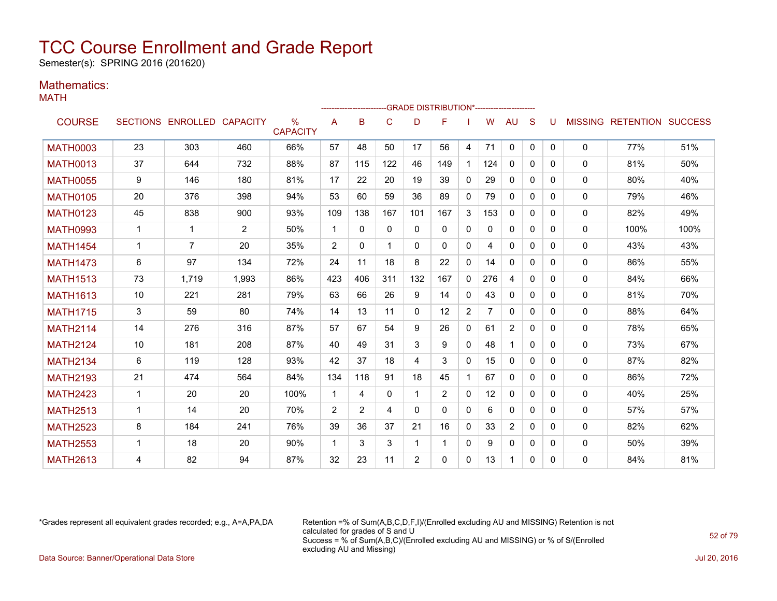Semester(s): SPRING 2016 (201620)

### Mathematics:

MATH

|                 |                 |                            |       |                         |                |          |                |              | --GRADE DISTRIBUTION*----------------------- |              |     |                |              |   |              |                                  |      |
|-----------------|-----------------|----------------------------|-------|-------------------------|----------------|----------|----------------|--------------|----------------------------------------------|--------------|-----|----------------|--------------|---|--------------|----------------------------------|------|
| <b>COURSE</b>   |                 | SECTIONS ENROLLED CAPACITY |       | $\%$<br><b>CAPACITY</b> | A              | B        | C              | D            | F                                            |              | W   | <b>AU</b>      | S            | u |              | <b>MISSING RETENTION SUCCESS</b> |      |
| <b>MATH0003</b> | 23              | 303                        | 460   | 66%                     | 57             | 48       | 50             | 17           | 56                                           | 4            | 71  | $\mathbf{0}$   | $\mathbf{0}$ | 0 | $\mathbf{0}$ | 77%                              | 51%  |
| <b>MATH0013</b> | 37              | 644                        | 732   | 88%                     | 87             | 115      | 122            | 46           | 149                                          | $\mathbf 1$  | 124 | $\mathbf{0}$   | $\Omega$     | 0 | $\mathbf{0}$ | 81%                              | 50%  |
| <b>MATH0055</b> | 9               | 146                        | 180   | 81%                     | 17             | 22       | 20             | 19           | 39                                           | $\mathbf{0}$ | 29  | 0              | $\Omega$     | 0 | $\mathbf{0}$ | 80%                              | 40%  |
| <b>MATH0105</b> | 20              | 376                        | 398   | 94%                     | 53             | 60       | 59             | 36           | 89                                           | $\mathbf{0}$ | 79  | $\mathbf{0}$   | 0            | 0 | $\mathbf{0}$ | 79%                              | 46%  |
| <b>MATH0123</b> | 45              | 838                        | 900   | 93%                     | 109            | 138      | 167            | 101          | 167                                          | 3            | 153 | $\mathbf{0}$   | $\Omega$     | 0 | $\mathbf{0}$ | 82%                              | 49%  |
| <b>MATH0993</b> | 1               | -1                         | 2     | 50%                     | $\mathbf{1}$   | $\Omega$ | $\Omega$       | $\Omega$     | 0                                            | $\mathbf{0}$ | 0   | $\Omega$       | $\Omega$     | 0 | 0            | 100%                             | 100% |
| <b>MATH1454</b> | 1               | 7                          | 20    | 35%                     | 2              | $\Omega$ | $\overline{1}$ | $\Omega$     | $\Omega$                                     | $\mathbf{0}$ | 4   | $\Omega$       | $\Omega$     | 0 | $\mathbf{0}$ | 43%                              | 43%  |
| <b>MATH1473</b> | 6               | 97                         | 134   | 72%                     | 24             | 11       | 18             | 8            | 22                                           | $\mathbf{0}$ | 14  | $\Omega$       | $\Omega$     | 0 | $\mathbf{0}$ | 86%                              | 55%  |
| <b>MATH1513</b> | 73              | 1,719                      | 1,993 | 86%                     | 423            | 406      | 311            | 132          | 167                                          | $\mathbf{0}$ | 276 | 4              | $\Omega$     | 0 | 0            | 84%                              | 66%  |
| <b>MATH1613</b> | 10              | 221                        | 281   | 79%                     | 63             | 66       | 26             | 9            | 14                                           | $\mathbf{0}$ | 43  | $\mathbf{0}$   | $\Omega$     | 0 | 0            | 81%                              | 70%  |
| <b>MATH1715</b> | 3               | 59                         | 80    | 74%                     | 14             | 13       | 11             | $\mathbf{0}$ | 12                                           | 2            | 7   | 0              | $\Omega$     | 0 | $\mathbf{0}$ | 88%                              | 64%  |
| <b>MATH2114</b> | 14              | 276                        | 316   | 87%                     | 57             | 67       | 54             | 9            | 26                                           | $\mathbf{0}$ | 61  | $\overline{2}$ | $\Omega$     | 0 | $\mathbf{0}$ | 78%                              | 65%  |
| <b>MATH2124</b> | 10 <sup>1</sup> | 181                        | 208   | 87%                     | 40             | 49       | 31             | 3            | 9                                            | $\Omega$     | 48  | $\mathbf 1$    | $\Omega$     | 0 | 0            | 73%                              | 67%  |
| <b>MATH2134</b> | 6               | 119                        | 128   | 93%                     | 42             | 37       | 18             | 4            | 3                                            | $\mathbf{0}$ | 15  | 0              | $\Omega$     | 0 | $\mathbf{0}$ | 87%                              | 82%  |
| <b>MATH2193</b> | 21              | 474                        | 564   | 84%                     | 134            | 118      | 91             | 18           | 45                                           | 1            | 67  | 0              | $\Omega$     | 0 | $\mathbf{0}$ | 86%                              | 72%  |
| <b>MATH2423</b> | $\mathbf{1}$    | 20                         | 20    | 100%                    | $\mathbf{1}$   | 4        | $\mathbf{0}$   | 1            | $\overline{2}$                               | $\Omega$     | 12  | $\Omega$       | $\Omega$     | 0 | 0            | 40%                              | 25%  |
| <b>MATH2513</b> | 1               | 14                         | 20    | 70%                     | $\overline{2}$ | 2        | 4              | $\Omega$     | $\Omega$                                     | $\mathbf{0}$ | 6   | $\mathbf{0}$   | $\Omega$     | 0 | $\mathbf{0}$ | 57%                              | 57%  |
| <b>MATH2523</b> | 8               | 184                        | 241   | 76%                     | 39             | 36       | 37             | 21           | 16                                           | $\mathbf{0}$ | 33  | 2              | 0            | 0 | $\mathbf{0}$ | 82%                              | 62%  |
| <b>MATH2553</b> | 1               | 18                         | 20    | 90%                     | $\mathbf{1}$   | 3        | 3              | 1            | 1                                            | $\mathbf{0}$ | 9   | 0              | $\Omega$     | 0 | $\mathbf{0}$ | 50%                              | 39%  |
| <b>MATH2613</b> | 4               | 82                         | 94    | 87%                     | 32             | 23       | 11             | 2            | $\Omega$                                     | $\Omega$     | 13  | 1              | $\Omega$     | 0 | 0            | 84%                              | 81%  |

\*Grades represent all equivalent grades recorded; e.g., A=A,PA,DA Retention =% of Sum(A,B,C,D,F,I)/(Enrolled excluding AU and MISSING) Retention is not calculated for grades of S and U Success = % of Sum(A,B,C)/(Enrolled excluding AU and MISSING) or % of S/(Enrolled excluding AU and Missing) Data Source: Banner/Operational Data Store Jul 20, 2016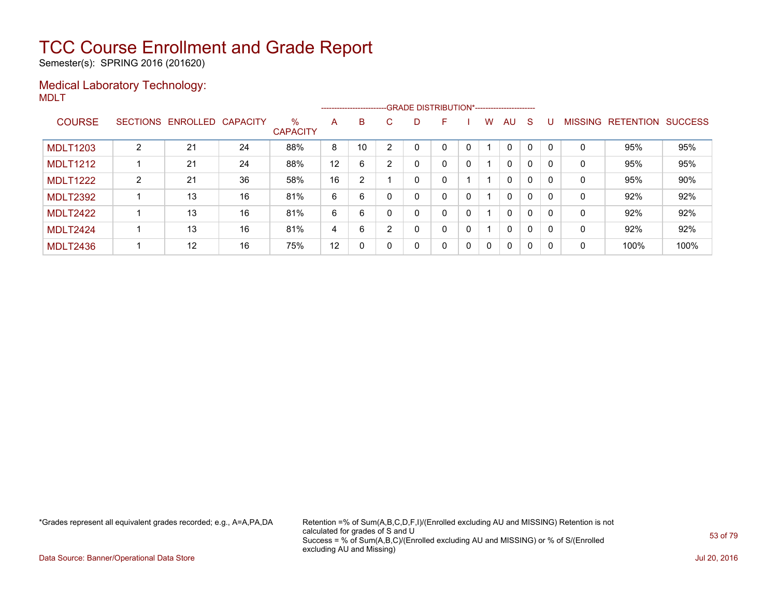Semester(s): SPRING 2016 (201620)

### Medical Laboratory Technology: MDLT

|                 |                |                   |          |                      |    | --------------------------GRADE DISTRIBUTION*----------------------- |    |   |   |   |              |              |              |              |                |                  |                |
|-----------------|----------------|-------------------|----------|----------------------|----|----------------------------------------------------------------------|----|---|---|---|--------------|--------------|--------------|--------------|----------------|------------------|----------------|
| <b>COURSE</b>   |                | SECTIONS ENROLLED | CAPACITY | %<br><b>CAPACITY</b> | A  | B                                                                    | C. | D | F |   | W            | AU           | S.           |              | <b>MISSING</b> | <b>RETENTION</b> | <b>SUCCESS</b> |
| <b>MDLT1203</b> | $\overline{2}$ | 21                | 24       | 88%                  | 8  | 10                                                                   | ົ  | 0 | 0 | 0 |              | 0            |              | $\Omega$     | 0              | 95%              | 95%            |
| <b>MDLT1212</b> |                | 21                | 24       | 88%                  | 12 | 6                                                                    | 2  | 0 | 0 | 0 |              | $\Omega$     | 0            | $\mathbf{0}$ | 0              | 95%              | 95%            |
| <b>MDLT1222</b> | 2              | 21                | 36       | 58%                  | 16 | 2                                                                    |    | 0 | 0 |   |              | $\mathbf{0}$ | $\mathbf 0$  | $\mathbf{0}$ | 0              | 95%              | 90%            |
| <b>MDLT2392</b> |                | 13                | 16       | 81%                  | 6  | 6                                                                    | 0  | 0 | 0 | 0 |              | $\Omega$     | $\mathbf{0}$ | $\mathbf{0}$ | 0              | 92%              | 92%            |
| <b>MDLT2422</b> |                | 13                | 16       | 81%                  | 6  | 6                                                                    | 0  | 0 | 0 | 0 |              | $\Omega$     | $\mathbf{0}$ | $\mathbf{0}$ | 0              | 92%              | 92%            |
| <b>MDLT2424</b> |                | 13                | 16       | 81%                  | 4  | 6                                                                    | ົ  | 0 | 0 | 0 |              | $\mathbf{0}$ | $\mathbf{0}$ | $\Omega$     | 0              | 92%              | 92%            |
| <b>MDLT2436</b> |                | 12                | 16       | 75%                  | 12 | 0                                                                    | 0  | 0 | 0 | 0 | $\mathbf{0}$ | $\Omega$     | $\Omega$     | $\Omega$     | 0              | 100%             | 100%           |

\*Grades represent all equivalent grades recorded; e.g., A=A,PA,DA Retention =% of Sum(A,B,C,D,F,I)/(Enrolled excluding AU and MISSING) Retention is not calculated for grades of S and U Success = % of Sum(A,B,C)/(Enrolled excluding AU and MISSING) or % of S/(Enrolled excluding AU and Missing)

Data Source: Banner/Operational Data Store Jul 20, 2016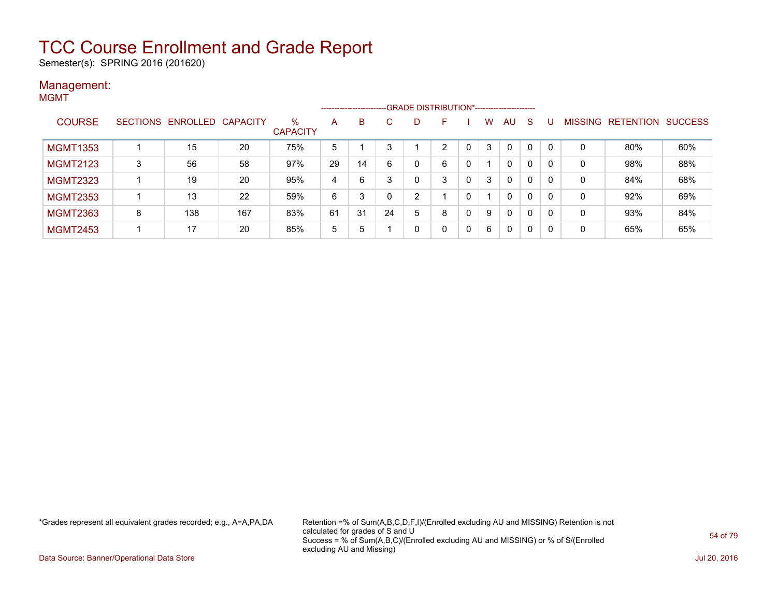Semester(s): SPRING 2016 (201620)

#### Management: MGMT

|                 |   |                            |     |                         |    |    |    |   | ------------------------GRADE                DISTRIBUTION*---------------------- |   |   |              |              |          |                |                          |     |
|-----------------|---|----------------------------|-----|-------------------------|----|----|----|---|----------------------------------------------------------------------------------|---|---|--------------|--------------|----------|----------------|--------------------------|-----|
| <b>COURSE</b>   |   | SECTIONS ENROLLED CAPACITY |     | $\%$<br><b>CAPACITY</b> | A  | B  | C. | D | н                                                                                |   | W | AU.          | <sub>S</sub> |          | <b>MISSING</b> | <b>RETENTION SUCCESS</b> |     |
| <b>MGMT1353</b> |   | 15                         | 20  | 75%                     | 5  |    |    |   | C.                                                                               |   | 3 | $\mathbf{0}$ | 0            | - 0      | 0              | 80%                      | 60% |
| <b>MGMT2123</b> | 3 | 56                         | 58  | 97%                     | 29 | 14 | 6  |   | 6                                                                                | 0 |   | $\mathbf{0}$ | 0            |          | 0              | 98%                      | 88% |
| <b>MGMT2323</b> |   | 19                         | 20  | 95%                     | 4  | 6  |    |   | 3                                                                                | 0 | 3 | $\mathbf{0}$ | 0            | $\Omega$ | 0              | 84%                      | 68% |
| <b>MGMT2353</b> |   | 13                         | 22  | 59%                     | 6  | 3  |    | 2 |                                                                                  |   |   | $\mathbf{0}$ | 0            |          | 0              | 92%                      | 69% |
| <b>MGMT2363</b> | 8 | 138                        | 167 | 83%                     | 61 | 31 | 24 | 5 | 8                                                                                | 0 | 9 | $\mathbf{0}$ | 0            |          | 0              | 93%                      | 84% |
| <b>MGMT2453</b> |   | 17                         | 20  | 85%                     | 5  | 5  |    |   | 0                                                                                | 0 | 6 | 0            | 0            | -0       | 0              | 65%                      | 65% |

\*Grades represent all equivalent grades recorded; e.g., A=A,PA,DA Retention =% of Sum(A,B,C,D,F,I)/(Enrolled excluding AU and MISSING) Retention is not calculated for grades of S and U Success = % of Sum(A,B,C)/(Enrolled excluding AU and MISSING) or % of S/(Enrolled excluding AU and Missing)

Data Source: Banner/Operational Data Store Jul 20, 2016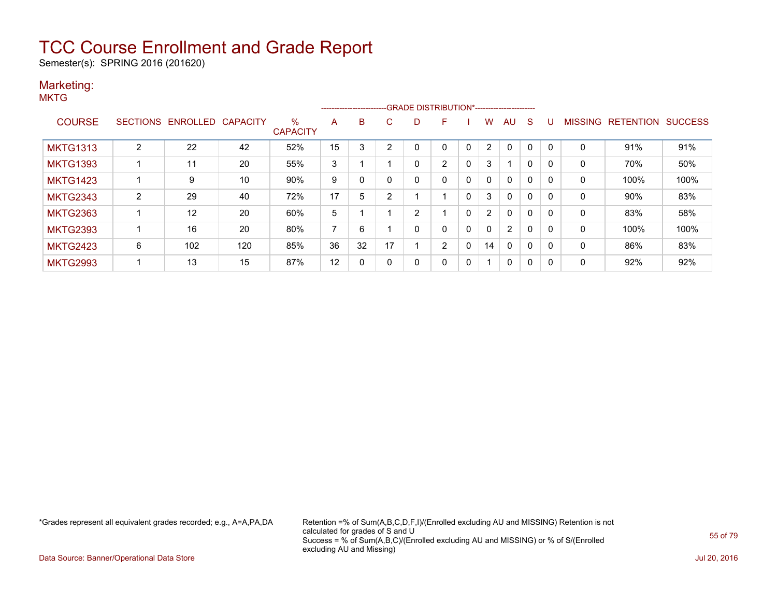Semester(s): SPRING 2016 (201620)

#### Marketing: **MKTG**

| טוא             |                 |          |                 |                         |    | --------------------- |                |                | -GRADE DISTRIBUTION*---------------------- |              |                |              |              |              |                |                  |                |
|-----------------|-----------------|----------|-----------------|-------------------------|----|-----------------------|----------------|----------------|--------------------------------------------|--------------|----------------|--------------|--------------|--------------|----------------|------------------|----------------|
| <b>COURSE</b>   | <b>SECTIONS</b> | ENROLLED | <b>CAPACITY</b> | $\%$<br><b>CAPACITY</b> | A  | B                     | C              | D              | F.                                         |              | W              | AU.          | -S           | U            | <b>MISSING</b> | <b>RETENTION</b> | <b>SUCCESS</b> |
| <b>MKTG1313</b> | 2               | 22       | 42              | 52%                     | 15 | 3                     | $\overline{2}$ | $\Omega$       | $\Omega$                                   | $\mathbf{0}$ | $\overline{2}$ | $\Omega$     | $\mathbf 0$  | $\mathbf{0}$ | 0              | 91%              | 91%            |
| MKTG1393        |                 | 11       | 20              | 55%                     | 3  |                       |                | 0              | $\overline{2}$                             | $\mathbf{0}$ | 3              |              | 0            | 0            | 0              | 70%              | 50%            |
| <b>MKTG1423</b> |                 | 9        | 10              | 90%                     | 9  | 0                     | $\Omega$       | 0              | 0                                          | $\Omega$     | 0              | 0            | $\Omega$     | 0            | 0              | 100%             | 100%           |
| <b>MKTG2343</b> | $\overline{2}$  | 29       | 40              | 72%                     | 17 | 5                     | 2              |                |                                            | 0            | 3              | 0            | 0            | 0            | 0              | 90%              | 83%            |
| <b>MKTG2363</b> |                 | 12       | 20              | 60%                     | 5  |                       |                | $\overline{2}$ |                                            | $\mathbf{0}$ | 2              | $\mathbf{0}$ | 0            | 0            | 0              | 83%              | 58%            |
| <b>MKTG2393</b> |                 | 16       | 20              | 80%                     | 7  | 6                     |                | 0              | $\Omega$                                   | $\mathbf{0}$ | 0              | 2            | $\mathbf{0}$ | 0            | 0              | 100%             | 100%           |
| <b>MKTG2423</b> | 6               | 102      | 120             | 85%                     | 36 | 32                    | 17             |                | $\overline{2}$                             | $\mathbf{0}$ | 14             | 0            | $\Omega$     | 0            | 0              | 86%              | 83%            |
| <b>MKTG2993</b> |                 | 13       | 15              | 87%                     | 12 | 0                     | 0              | 0              | 0                                          | 0            |                | 0            | 0            | 0            | 0              | 92%              | 92%            |
|                 |                 |          |                 |                         |    |                       |                |                |                                            |              |                |              |              |              |                |                  |                |

\*Grades represent all equivalent grades recorded; e.g., A=A,PA,DA Retention =% of Sum(A,B,C,D,F,I)/(Enrolled excluding AU and MISSING) Retention is not calculated for grades of S and U Success = % of Sum(A,B,C)/(Enrolled excluding AU and MISSING) or % of S/(Enrolled excluding AU and Missing)

Data Source: Banner/Operational Data Store Jul 20, 2016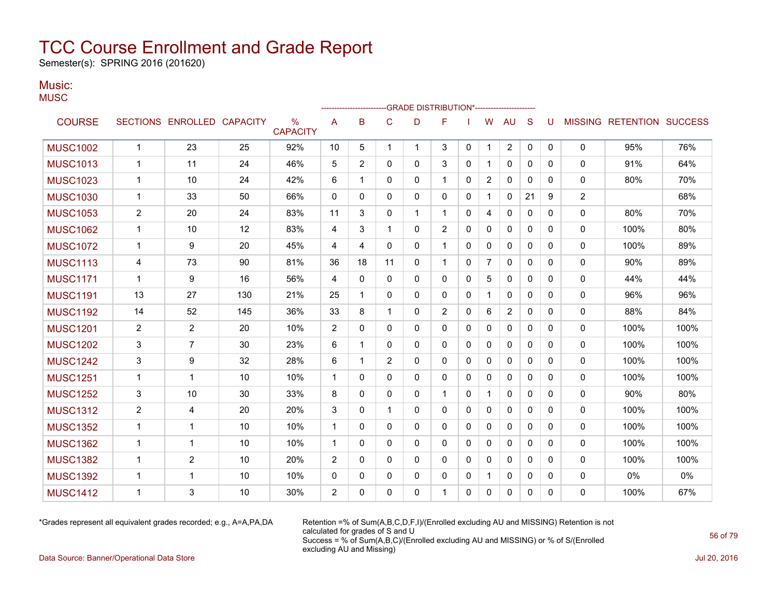Semester(s): SPRING 2016 (201620)

#### Music: **MUSC**

| $\sim$ $\sim$ $\sim$ |                |                            |     |                         |                |              |                |              | -GRADE DISTRIBUTION*----------------------- |              |                |                |              |              |              |                           |      |
|----------------------|----------------|----------------------------|-----|-------------------------|----------------|--------------|----------------|--------------|---------------------------------------------|--------------|----------------|----------------|--------------|--------------|--------------|---------------------------|------|
| <b>COURSE</b>        |                | SECTIONS ENROLLED CAPACITY |     | $\%$<br><b>CAPACITY</b> | A              | B            | $\mathbf C$    | D            | F                                           |              | W              | <b>AU</b>      | S            | U            |              | MISSING RETENTION SUCCESS |      |
| <b>MUSC1002</b>      | $\mathbf{1}$   | 23                         | 25  | 92%                     | 10             | 5            | $\mathbf{1}$   | $\mathbf{1}$ | 3                                           | $\mathbf{0}$ | 1              | $\overline{2}$ | 0            | $\mathbf{0}$ | 0            | 95%                       | 76%  |
| <b>MUSC1013</b>      | 1              | 11                         | 24  | 46%                     | 5              | 2            | 0              | $\Omega$     | 3                                           | $\mathbf{0}$ | 1              | 0              | $\mathbf{0}$ | 0            | 0            | 91%                       | 64%  |
| <b>MUSC1023</b>      | 1              | 10                         | 24  | 42%                     | 6              | 1            | $\mathbf{0}$   | $\Omega$     | 1                                           | $\mathbf{0}$ | $\overline{2}$ | $\mathbf{0}$   | $\mathbf{0}$ | 0            | 0            | 80%                       | 70%  |
| <b>MUSC1030</b>      | 1              | 33                         | 50  | 66%                     | $\Omega$       | $\Omega$     | $\Omega$       | $\Omega$     | $\Omega$                                    | $\Omega$     | 1              | 0              | 21           | 9            | 2            |                           | 68%  |
| <b>MUSC1053</b>      | $\overline{2}$ | 20                         | 24  | 83%                     | 11             | 3            | $\mathbf{0}$   | 1            | 1                                           | $\mathbf{0}$ | 4              | 0              | 0            | 0            | 0            | 80%                       | 70%  |
| <b>MUSC1062</b>      | 1              | 10                         | 12  | 83%                     | 4              | 3            | $\mathbf{1}$   | $\Omega$     | $\overline{2}$                              | $\mathbf{0}$ | $\Omega$       | $\mathbf{0}$   | $\mathbf{0}$ | 0            | 0            | 100%                      | 80%  |
| <b>MUSC1072</b>      | 1              | 9                          | 20  | 45%                     | 4              | 4            | $\Omega$       | 0            | 1                                           | $\mathbf{0}$ | 0              | $\mathbf{0}$   | $\mathbf{0}$ | 0            | 0            | 100%                      | 89%  |
| <b>MUSC1113</b>      | 4              | 73                         | 90  | 81%                     | 36             | 18           | 11             | $\Omega$     | 1                                           | $\mathbf{0}$ | 7              | 0              | 0            | 0            | 0            | 90%                       | 89%  |
| <b>MUSC1171</b>      | 1              | 9                          | 16  | 56%                     | 4              | $\mathbf{0}$ | $\mathbf{0}$   | $\Omega$     | 0                                           | $\mathbf{0}$ | 5              | 0              | $\mathbf{0}$ | 0            | 0            | 44%                       | 44%  |
| <b>MUSC1191</b>      | 13             | 27                         | 130 | 21%                     | 25             | 1            | $\Omega$       | $\Omega$     | 0                                           | $\mathbf{0}$ | 1              | 0              | $\mathbf{0}$ | 0            | $\mathbf{0}$ | 96%                       | 96%  |
| <b>MUSC1192</b>      | 14             | 52                         | 145 | 36%                     | 33             | 8            | $\mathbf{1}$   | $\Omega$     | $\overline{2}$                              | $\mathbf{0}$ | 6              | $\overline{2}$ | 0            | 0            | 0            | 88%                       | 84%  |
| <b>MUSC1201</b>      | $\overline{c}$ | $\overline{c}$             | 20  | 10%                     | $\overline{2}$ | $\mathbf{0}$ | $\mathbf{0}$   | $\Omega$     | 0                                           | $\mathbf{0}$ | 0              | 0              | $\mathbf{0}$ | 0            | 0            | 100%                      | 100% |
| <b>MUSC1202</b>      | 3              | $\overline{7}$             | 30  | 23%                     | 6              | 1            | $\Omega$       | $\Omega$     | 0                                           | $\mathbf{0}$ | 0              | 0              | $\mathbf{0}$ | 0            | 0            | 100%                      | 100% |
| <b>MUSC1242</b>      | 3              | 9                          | 32  | 28%                     | 6              | 1            | $\overline{2}$ | $\Omega$     | $\mathbf{0}$                                | $\mathbf{0}$ | 0              | 0              | $\mathbf{0}$ | 0            | 0            | 100%                      | 100% |
| <b>MUSC1251</b>      | 1              | $\mathbf{1}$               | 10  | 10%                     | $\mathbf{1}$   | $\Omega$     | $\Omega$       | $\Omega$     | $\Omega$                                    | $\Omega$     | $\Omega$       | $\mathbf{0}$   | $\mathbf{0}$ | $\Omega$     | 0            | 100%                      | 100% |
| <b>MUSC1252</b>      | 3              | 10                         | 30  | 33%                     | 8              | 0            | $\mathbf 0$    | $\Omega$     | 1                                           | $\mathbf{0}$ | 1              | 0              | 0            | $\mathbf{0}$ | 0            | 90%                       | 80%  |
| <b>MUSC1312</b>      | $\overline{c}$ | 4                          | 20  | 20%                     | 3              | $\mathbf{0}$ | $\mathbf 1$    | $\Omega$     | $\Omega$                                    | $\mathbf{0}$ | 0              | 0              | $\mathbf{0}$ | $\Omega$     | 0            | 100%                      | 100% |
| <b>MUSC1352</b>      | 1              | 1                          | 10  | 10%                     | $\mathbf{1}$   | 0            | $\mathbf{0}$   | $\mathbf{0}$ | $\mathbf{0}$                                | $\mathbf{0}$ | 0              | $\mathbf{0}$   | $\mathbf{0}$ | 0            | 0            | 100%                      | 100% |
| <b>MUSC1362</b>      | 1              | 1                          | 10  | 10%                     | $\mathbf{1}$   | $\mathbf{0}$ | 0              | $\Omega$     | $\mathbf{0}$                                | $\mathbf{0}$ | 0              | $\mathbf{0}$   | $\mathbf{0}$ | $\mathbf{0}$ | 0            | 100%                      | 100% |
| <b>MUSC1382</b>      | 1              | 2                          | 10  | 20%                     | 2              | 0            | $\mathbf{0}$   | $\mathbf{0}$ | $\mathbf{0}$                                | $\mathbf{0}$ | 0              | 0              | $\Omega$     | $\Omega$     | 0            | 100%                      | 100% |
| <b>MUSC1392</b>      | 1              | 1                          | 10  | 10%                     | 0              | 0            | 0              | 0            | 0                                           | 0            | 1              | 0              | 0            | 0            | 0            | 0%                        | 0%   |
| <b>MUSC1412</b>      | 1              | 3                          | 10  | 30%                     | 2              | $\Omega$     | 0              | 0            | 1                                           | 0            | 0              | 0              | 0            | 0            | 0            | 100%                      | 67%  |
|                      |                |                            |     |                         |                |              |                |              |                                             |              |                |                |              |              |              |                           |      |

\*Grades represent all equivalent grades recorded; e.g., A=A,PA,DA Retention =% of Sum(A,B,C,D,F,I)/(Enrolled excluding AU and MISSING) Retention is not calculated for grades of S and U Success = % of Sum(A,B,C)/(Enrolled excluding AU and MISSING) or % of S/(Enrolled excluding AU and Missing)

Data Source: Banner/Operational Data Store Jul 20, 2016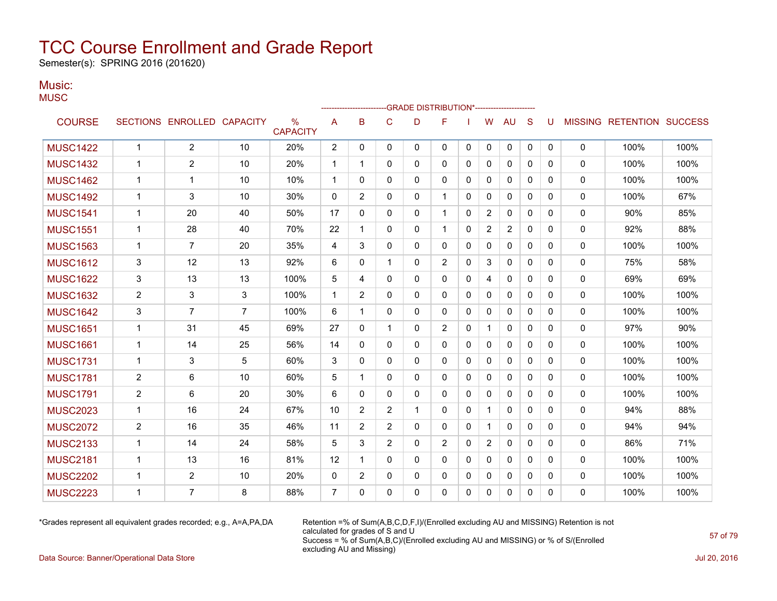Semester(s): SPRING 2016 (201620)

### Music:

| טוטועו. |  |
|---------|--|
| MUSC    |  |

|                 |                |                            |                |                                  |                | ------------------------ |                |              | -- GRADE DISTRIBUTION*----------------------- |              |                |                |              |          |              |                           |      |
|-----------------|----------------|----------------------------|----------------|----------------------------------|----------------|--------------------------|----------------|--------------|-----------------------------------------------|--------------|----------------|----------------|--------------|----------|--------------|---------------------------|------|
| <b>COURSE</b>   |                | SECTIONS ENROLLED CAPACITY |                | $\frac{0}{0}$<br><b>CAPACITY</b> | A              | B                        | C              | D            | F                                             |              | W              | AU             | S            | U        |              | MISSING RETENTION SUCCESS |      |
| <b>MUSC1422</b> | $\mathbf{1}$   | 2                          | 10             | 20%                              | 2              | $\mathbf{0}$             | 0              | $\mathbf{0}$ | 0                                             | 0            | $\mathbf 0$    | $\mathbf 0$    | $\mathbf{0}$ | 0        | $\mathbf 0$  | 100%                      | 100% |
| <b>MUSC1432</b> | 1              | $\overline{2}$             | 10             | 20%                              | $\mathbf 1$    | -1                       | 0              | 0            | 0                                             | $\mathbf{0}$ | 0              | $\mathbf{0}$   | $\mathbf{0}$ | 0        | $\mathbf 0$  | 100%                      | 100% |
| <b>MUSC1462</b> | 1              | 1                          | 10             | 10%                              | $\mathbf 1$    | $\Omega$                 | $\mathbf{0}$   | $\Omega$     | 0                                             | $\Omega$     | 0              | $\mathbf{0}$   | $\Omega$     | 0        | 0            | 100%                      | 100% |
| <b>MUSC1492</b> | 1              | 3                          | 10             | 30%                              | 0              | 2                        | $\mathbf{0}$   | 0            |                                               | 0            | $\mathbf{0}$   | 0              | $\mathbf{0}$ | 0        | 0            | 100%                      | 67%  |
| <b>MUSC1541</b> | 1              | 20                         | 40             | 50%                              | 17             | $\mathbf{0}$             | 0              | $\mathbf{0}$ |                                               | 0            | $\overline{2}$ | $\mathbf{0}$   | $\mathbf{0}$ | 0        | 0            | 90%                       | 85%  |
| <b>MUSC1551</b> | 1              | 28                         | 40             | 70%                              | 22             | 1                        | $\mathbf{0}$   | $\mathbf{0}$ | 1                                             | $\mathbf{0}$ | $\overline{2}$ | $\overline{2}$ | $\Omega$     | 0        | 0            | 92%                       | 88%  |
| <b>MUSC1563</b> | $\mathbf 1$    | $\overline{7}$             | 20             | 35%                              | 4              | 3                        | 0              | 0            | 0                                             | 0            | 0              | $\mathbf{0}$   | $\mathbf{0}$ | 0        | 0            | 100%                      | 100% |
| <b>MUSC1612</b> | 3              | 12                         | 13             | 92%                              | 6              | 0                        | 1              | $\mathbf{0}$ | 2                                             | $\Omega$     | 3              | $\mathbf{0}$   | $\Omega$     | 0        | $\mathbf{0}$ | 75%                       | 58%  |
| <b>MUSC1622</b> | 3              | 13                         | 13             | 100%                             | 5              | 4                        | $\mathbf 0$    | 0            | 0                                             | 0            | 4              | $\mathbf{0}$   | $\mathbf{0}$ | 0        | 0            | 69%                       | 69%  |
| <b>MUSC1632</b> | $\overline{c}$ | 3                          | 3              | 100%                             | $\mathbf 1$    | 2                        | $\mathbf{0}$   | $\mathbf{0}$ | $\mathbf{0}$                                  | $\Omega$     | $\mathbf{0}$   | $\mathbf{0}$   | $\Omega$     | 0        | 0            | 100%                      | 100% |
| <b>MUSC1642</b> | 3              | $\overline{7}$             | $\overline{7}$ | 100%                             | 6              | -1                       | $\mathbf{0}$   | $\mathbf{0}$ | $\mathbf{0}$                                  | $\mathbf{0}$ | $\Omega$       | $\mathbf{0}$   | $\Omega$     | $\Omega$ | 0            | 100%                      | 100% |
| <b>MUSC1651</b> | $\mathbf 1$    | 31                         | 45             | 69%                              | 27             | $\Omega$                 | 1              | $\mathbf{0}$ | $\overline{2}$                                | $\mathbf{0}$ | 1              | $\mathbf{0}$   | $\Omega$     | $\Omega$ | 0            | 97%                       | 90%  |
| <b>MUSC1661</b> | $\mathbf 1$    | 14                         | 25             | 56%                              | 14             | $\Omega$                 | $\mathbf{0}$   | $\Omega$     | 0                                             | $\Omega$     | $\mathbf{0}$   | $\mathbf{0}$   | $\Omega$     | $\Omega$ | 0            | 100%                      | 100% |
| <b>MUSC1731</b> | $\mathbf{1}$   | 3                          | 5              | 60%                              | 3              | $\Omega$                 | 0              | $\mathbf{0}$ | 0                                             | $\Omega$     | 0              | $\mathbf{0}$   | $\mathbf{0}$ | $\Omega$ | 0            | 100%                      | 100% |
| <b>MUSC1781</b> | $\overline{c}$ | 6                          | 10             | 60%                              | 5              | 1                        | $\Omega$       | $\mathbf{0}$ | $\mathbf{0}$                                  | $\Omega$     | $\mathbf{0}$   | $\mathbf{0}$   | $\Omega$     | $\Omega$ | 0            | 100%                      | 100% |
| <b>MUSC1791</b> | $\overline{2}$ | 6                          | 20             | 30%                              | 6              | 0                        | $\mathbf{0}$   | 0            | 0                                             | 0            | $\mathbf 0$    | $\mathbf{0}$   | $\mathbf{0}$ | 0        | 0            | 100%                      | 100% |
| <b>MUSC2023</b> | $\mathbf{1}$   | 16                         | 24             | 67%                              | 10             | 2                        | $\overline{2}$ | 1            | $\Omega$                                      | $\mathbf{0}$ | $\mathbf{1}$   | $\mathbf{0}$   | $\Omega$     | $\Omega$ | 0            | 94%                       | 88%  |
| <b>MUSC2072</b> | $\overline{2}$ | 16                         | 35             | 46%                              | 11             | $\overline{2}$           | $\overline{2}$ | $\mathbf{0}$ | 0                                             | $\Omega$     | $\mathbf{1}$   | $\mathbf{0}$   | $\Omega$     | $\Omega$ | $\mathbf{0}$ | 94%                       | 94%  |
| <b>MUSC2133</b> | $\mathbf 1$    | 14                         | 24             | 58%                              | 5              | 3                        | $\overline{2}$ | $\Omega$     | $\overline{2}$                                | $\Omega$     | $\overline{2}$ | $\mathbf{0}$   | $\Omega$     | $\Omega$ | 0            | 86%                       | 71%  |
| <b>MUSC2181</b> | 1              | 13                         | 16             | 81%                              | 12             | $\mathbf 1$              | $\mathbf{0}$   | $\mathbf{0}$ | 0                                             | $\mathbf{0}$ | $\mathbf{0}$   | $\Omega$       | $\Omega$     | $\Omega$ | 0            | 100%                      | 100% |
| <b>MUSC2202</b> | $\mathbf 1$    | $\overline{2}$             | 10             | 20%                              | $\mathbf{0}$   | 2                        | $\mathbf{0}$   | $\Omega$     | 0                                             | $\mathbf{0}$ | $\mathbf{0}$   | $\mathbf{0}$   | $\Omega$     | $\Omega$ | 0            | 100%                      | 100% |
| <b>MUSC2223</b> | 1              | $\overline{7}$             | 8              | 88%                              | $\overline{7}$ | $\Omega$                 | $\Omega$       | $\Omega$     | $\Omega$                                      | $\Omega$     | $\Omega$       | $\Omega$       | $\Omega$     | $\Omega$ | $\Omega$     | 100%                      | 100% |

\*Grades represent all equivalent grades recorded; e.g., A=A,PA,DA Retention =% of Sum(A,B,C,D,F,I)/(Enrolled excluding AU and MISSING) Retention is not calculated for grades of S and U Success = % of Sum(A,B,C)/(Enrolled excluding AU and MISSING) or % of S/(Enrolled excluding AU and Missing)

Data Source: Banner/Operational Data Store Jul 20, 2016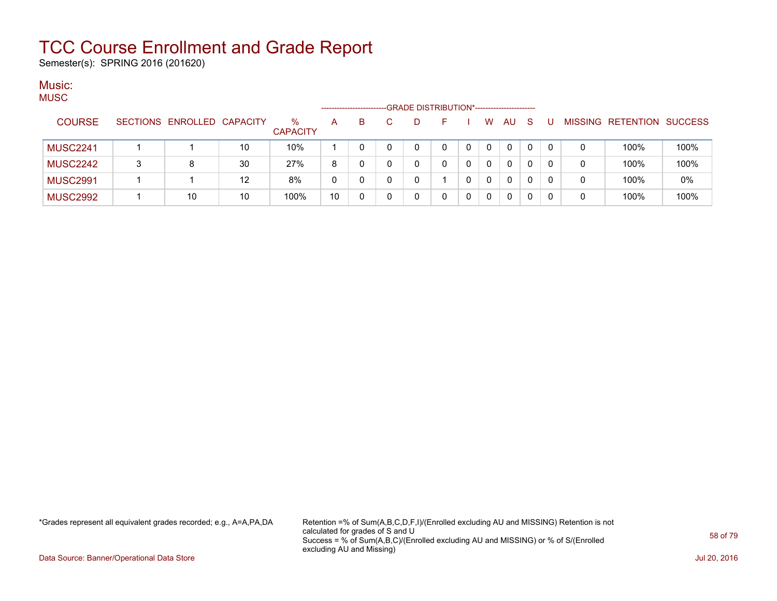Semester(s): SPRING 2016 (201620)

#### Music:  $MIO$

| MUJU            |   |                            |    |                         | ------------------ |    | -GRADE DISTRIBUTION*----------------------- |   |   |          |              |              |          |   |                                  |      |
|-----------------|---|----------------------------|----|-------------------------|--------------------|----|---------------------------------------------|---|---|----------|--------------|--------------|----------|---|----------------------------------|------|
| <b>COURSE</b>   |   | SECTIONS ENROLLED CAPACITY |    | $\%$<br><b>CAPACITY</b> | A                  | B. | D                                           |   |   | W        | <b>AU</b>    | <sub>S</sub> |          |   | <b>MISSING RETENTION SUCCESS</b> |      |
| <b>MUSC2241</b> |   |                            | 10 | 10%                     |                    |    | 0                                           | 0 | 0 | 0        | $\mathbf{0}$ | 0            | $\Omega$ | 0 | 100%                             | 100% |
| <b>MUSC2242</b> | 3 |                            | 30 | 27%                     | 8                  |    | 0                                           |   |   | 0        | 0            | 0            | -0       | 0 | 100%                             | 100% |
| <b>MUSC2991</b> |   |                            | 12 | 8%                      | 0                  |    | 0                                           |   |   | $\Omega$ | $\mathbf{0}$ | 0            |          | 0 | 100%                             | 0%   |
| <b>MUSC2992</b> |   | 10                         | 10 | 100%                    | 10                 |    | 0                                           |   |   | 0        | 0            |              |          | 0 | 100%                             | 100% |

\*Grades represent all equivalent grades recorded; e.g., A=A,PA,DA Retention =% of Sum(A,B,C,D,F,I)/(Enrolled excluding AU and MISSING) Retention is not calculated for grades of S and U Success = % of Sum(A,B,C)/(Enrolled excluding AU and MISSING) or % of S/(Enrolled excluding AU and Missing)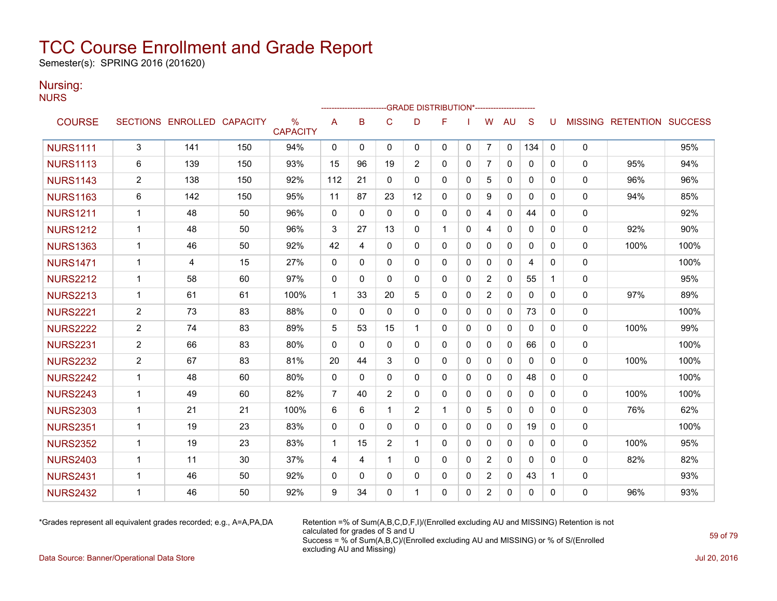Semester(s): SPRING 2016 (201620)

### Nursing:

NURS

|                 |                |                            |     |                      |                |              |                | ------------------------GRADE                DISTRIBUTION*---------------------- |                |              |                |              |              |              |              |                                  |      |
|-----------------|----------------|----------------------------|-----|----------------------|----------------|--------------|----------------|----------------------------------------------------------------------------------|----------------|--------------|----------------|--------------|--------------|--------------|--------------|----------------------------------|------|
| <b>COURSE</b>   |                | SECTIONS ENROLLED CAPACITY |     | %<br><b>CAPACITY</b> | A              | B            | $\mathbf C$    | D                                                                                | F              |              | W              | <b>AU</b>    | <sub>S</sub> | U            |              | <b>MISSING RETENTION SUCCESS</b> |      |
| <b>NURS1111</b> | 3              | 141                        | 150 | 94%                  | 0              | 0            | 0              | 0                                                                                | 0              | 0            | 7              | 0            | 134          | 0            | 0            |                                  | 95%  |
| <b>NURS1113</b> | 6              | 139                        | 150 | 93%                  | 15             | 96           | 19             | 2                                                                                | $\mathbf{0}$   | 0            | 7              | $\mathbf{0}$ | $\mathbf{0}$ | $\Omega$     | 0            | 95%                              | 94%  |
| <b>NURS1143</b> | $\overline{2}$ | 138                        | 150 | 92%                  | 112            | 21           | $\mathbf{0}$   | $\mathbf{0}$                                                                     | $\mathbf{0}$   | 0            | 5              | $\Omega$     | $\mathbf{0}$ | $\Omega$     | $\mathbf 0$  | 96%                              | 96%  |
| <b>NURS1163</b> | 6              | 142                        | 150 | 95%                  | 11             | 87           | 23             | 12                                                                               | $\mathbf{0}$   | 0            | 9              | 0            | 0            | 0            | 0            | 94%                              | 85%  |
| <b>NURS1211</b> | $\mathbf 1$    | 48                         | 50  | 96%                  | 0              | $\Omega$     | $\Omega$       | 0                                                                                | 0              | 0            | 4              | 0            | 44           | 0            | 0            |                                  | 92%  |
| <b>NURS1212</b> | $\mathbf{1}$   | 48                         | 50  | 96%                  | 3              | 27           | 13             | $\Omega$                                                                         | $\overline{1}$ | $\mathbf{0}$ | 4              | $\mathbf{0}$ | $\Omega$     | $\Omega$     | $\mathbf 0$  | 92%                              | 90%  |
| <b>NURS1363</b> | $\mathbf{1}$   | 46                         | 50  | 92%                  | 42             | 4            | $\mathbf 0$    | $\mathbf{0}$                                                                     | $\Omega$       | 0            | $\mathbf{0}$   | 0            | 0            | $\mathbf{0}$ | $\mathbf 0$  | 100%                             | 100% |
| <b>NURS1471</b> | $\mathbf 1$    | 4                          | 15  | 27%                  | $\mathbf{0}$   | $\Omega$     | $\mathbf{0}$   | $\mathbf{0}$                                                                     | $\mathbf{0}$   | $\mathbf{0}$ | $\mathbf{0}$   | $\Omega$     | 4            | $\Omega$     | 0            |                                  | 100% |
| <b>NURS2212</b> | $\mathbf 1$    | 58                         | 60  | 97%                  | $\mathbf{0}$   | $\Omega$     | $\mathbf{0}$   | $\mathbf{0}$                                                                     | $\mathbf{0}$   | $\Omega$     | $\overline{2}$ | $\mathbf{0}$ | 55           | 1            | $\mathbf 0$  |                                  | 95%  |
| <b>NURS2213</b> | $\mathbf{1}$   | 61                         | 61  | 100%                 | $\mathbf{1}$   | 33           | 20             | 5                                                                                | $\mathbf{0}$   | 0            | $\overline{2}$ | $\Omega$     | $\mathbf{0}$ | $\Omega$     | 0            | 97%                              | 89%  |
| <b>NURS2221</b> | $\overline{c}$ | 73                         | 83  | 88%                  | 0              | $\mathbf{0}$ | $\Omega$       | $\mathbf{0}$                                                                     | $\mathbf{0}$   | 0            | 0              | $\Omega$     | 73           | $\mathbf{0}$ | 0            |                                  | 100% |
| <b>NURS2222</b> | $\overline{2}$ | 74                         | 83  | 89%                  | 5              | 53           | 15             | 1                                                                                | $\Omega$       | $\mathbf{0}$ | 0              | 0            | $\mathbf{0}$ | $\mathbf{0}$ | $\mathbf{0}$ | 100%                             | 99%  |
| <b>NURS2231</b> | $\overline{2}$ | 66                         | 83  | 80%                  | $\mathbf{0}$   | $\Omega$     | $\mathbf{0}$   | $\mathbf{0}$                                                                     | $\mathbf{0}$   | 0            | 0              | $\mathbf{0}$ | 66           | $\mathbf{0}$ | $\mathbf 0$  |                                  | 100% |
| <b>NURS2232</b> | $\overline{c}$ | 67                         | 83  | 81%                  | 20             | 44           | 3              | 0                                                                                | $\mathbf{0}$   | 0            | 0              | 0            | 0            | $\mathbf{0}$ | 0            | 100%                             | 100% |
| <b>NURS2242</b> | $\mathbf{1}$   | 48                         | 60  | 80%                  | $\mathbf{0}$   | $\Omega$     | $\mathbf{0}$   | $\mathbf{0}$                                                                     | $\mathbf{0}$   | 0            | $\mathbf{0}$   | $\mathbf{0}$ | 48           | $\mathbf{0}$ | $\mathbf 0$  |                                  | 100% |
| <b>NURS2243</b> | $\mathbf 1$    | 49                         | 60  | 82%                  | $\overline{7}$ | 40           | $\overline{2}$ | $\mathbf{0}$                                                                     | $\mathbf{0}$   | $\mathbf{0}$ | $\mathbf{0}$   | $\mathbf{0}$ | $\mathbf{0}$ | $\Omega$     | $\mathbf 0$  | 100%                             | 100% |
| <b>NURS2303</b> | $\mathbf 1$    | 21                         | 21  | 100%                 | 6              | 6            | $\mathbf{1}$   | 2                                                                                | $\overline{1}$ | $\mathbf{0}$ | 5              | $\mathbf{0}$ | $\Omega$     | $\Omega$     | $\mathbf 0$  | 76%                              | 62%  |
| <b>NURS2351</b> | 1              | 19                         | 23  | 83%                  | 0              | $\Omega$     | $\mathbf{0}$   | 0                                                                                | $\mathbf{0}$   | 0            | 0              | 0            | 19           | $\mathbf{0}$ | 0            |                                  | 100% |
| <b>NURS2352</b> | $\mathbf{1}$   | 19                         | 23  | 83%                  | $\mathbf{1}$   | 15           | $\overline{2}$ | 1                                                                                | $\mathbf{0}$   | $\mathbf{0}$ | 0              | $\mathbf{0}$ | $\mathbf{0}$ | $\mathbf{0}$ | 0            | 100%                             | 95%  |
| <b>NURS2403</b> | 1              | 11                         | 30  | 37%                  | 4              | 4            | $\mathbf{1}$   | $\mathbf{0}$                                                                     | $\Omega$       | $\mathbf{0}$ | 2              | $\mathbf{0}$ | 0            | $\Omega$     | 0            | 82%                              | 82%  |
| <b>NURS2431</b> | $\mathbf 1$    | 46                         | 50  | 92%                  | $\mathbf{0}$   | $\Omega$     | $\Omega$       | 0                                                                                | 0              | 0            | 2              | 0            | 43           | -1           | 0            |                                  | 93%  |
| <b>NURS2432</b> | 1              | 46                         | 50  | 92%                  | 9              | 34           | $\Omega$       | 1                                                                                | $\Omega$       | $\mathbf{0}$ | $\overline{2}$ | $\mathbf{0}$ | 0            | $\Omega$     | 0            | 96%                              | 93%  |

\*Grades represent all equivalent grades recorded; e.g., A=A,PA,DA Retention =% of Sum(A,B,C,D,F,I)/(Enrolled excluding AU and MISSING) Retention is not calculated for grades of S and U Success = % of Sum(A,B,C)/(Enrolled excluding AU and MISSING) or % of S/(Enrolled excluding AU and Missing)

Data Source: Banner/Operational Data Store Jul 20, 2016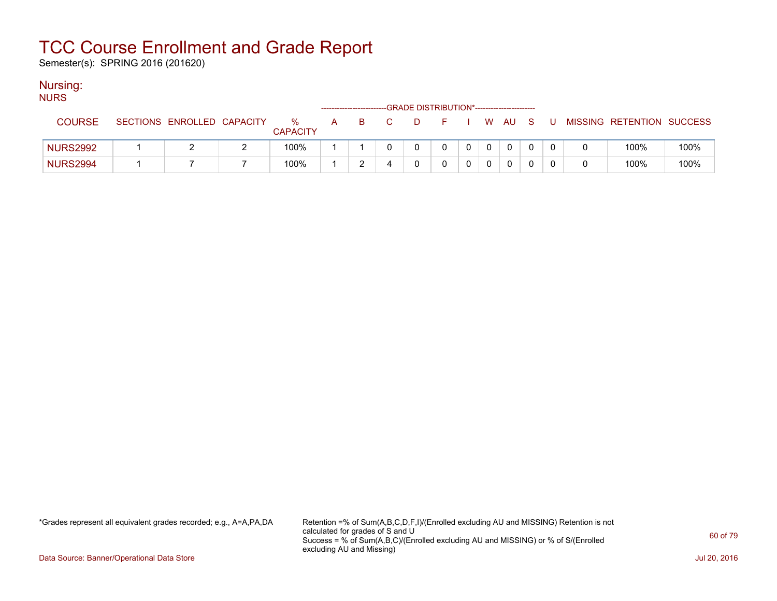Semester(s): SPRING 2016 (201620)

### Nursing:

| <b>NURS</b>     |                            |                      |   |    |   |                                             |  |   |      |     |     |                           |      |
|-----------------|----------------------------|----------------------|---|----|---|---------------------------------------------|--|---|------|-----|-----|---------------------------|------|
|                 |                            |                      |   |    |   | -GRADE DISTRIBUTION*----------------------- |  |   |      |     |     |                           |      |
| <b>COURSE</b>   | SECTIONS ENROLLED CAPACITY | %<br><b>CAPACITY</b> | A | B. |   | D                                           |  |   | W AU | - S | - U | MISSING RETENTION SUCCESS |      |
| <b>NURS2992</b> |                            | 100%                 |   |    |   |                                             |  | 0 | 0    |     |     | 100%                      | 100% |
| <b>NURS2994</b> |                            | 100%                 |   |    | ᅭ |                                             |  |   |      |     |     | 100%                      | 100% |

\*Grades represent all equivalent grades recorded; e.g., A=A,PA,DA Retention =% of Sum(A,B,C,D,F,I)/(Enrolled excluding AU and MISSING) Retention is not calculated for grades of S and U Success = % of Sum(A,B,C)/(Enrolled excluding AU and MISSING) or % of S/(Enrolled excluding AU and Missing)

Data Source: Banner/Operational Data Store Jul 20, 2016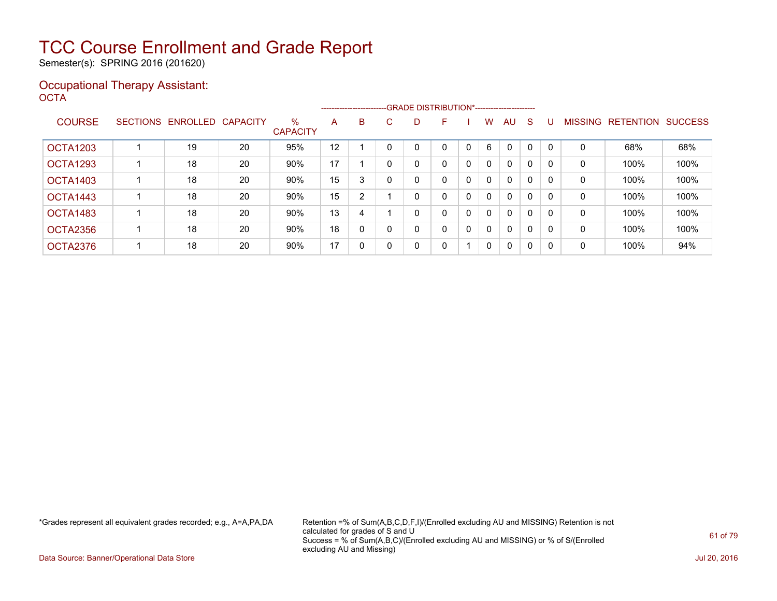Semester(s): SPRING 2016 (201620)

### Occupational Therapy Assistant: OCTA<sup>'</sup>

|               |                 |          |                 |                         |    |              |          |   | -------------------------GRADE DISTRIBUTION*----------------------- |   |              |              |              |          |                |                  |                |
|---------------|-----------------|----------|-----------------|-------------------------|----|--------------|----------|---|---------------------------------------------------------------------|---|--------------|--------------|--------------|----------|----------------|------------------|----------------|
| <b>COURSE</b> | <b>SECTIONS</b> | ENROLLED | <b>CAPACITY</b> | $\%$<br><b>CAPACITY</b> | A  | B            | C.       | D | F                                                                   |   | W            | AU           | S            |          | <b>MISSING</b> | <b>RETENTION</b> | <b>SUCCESS</b> |
| OCTA1203      |                 | 19       | 20              | 95%                     | 12 |              |          |   | 0                                                                   | 0 | 6            | $\mathbf{0}$ | $\mathbf{0}$ |          | 0              | 68%              | 68%            |
| OCTA1293      |                 | 18       | 20              | 90%                     | 17 |              | $\Omega$ |   | 0                                                                   | 0 | $\mathbf{0}$ | $\mathbf{0}$ | 0            | $\Omega$ | 0              | 100%             | 100%           |
| OCTA1403      |                 | 18       | 20              | 90%                     | 15 | 3            | $\Omega$ |   | 0                                                                   | 0 | $\mathbf{0}$ | $\mathbf{0}$ | 0            |          | 0              | 100%             | 100%           |
| OCTA1443      |                 | 18       | 20              | 90%                     | 15 | 2            |          |   | 0                                                                   | 0 | 0            | $\mathbf{0}$ | 0            |          | 0              | 100%             | 100%           |
| OCTA1483      |                 | 18       | 20              | 90%                     | 13 | 4            |          |   | 0                                                                   | 0 | 0            | $\mathbf{0}$ | 0            | $\Omega$ | 0              | 100%             | 100%           |
| OCTA2356      |                 | 18       | 20              | 90%                     | 18 | $\mathbf{0}$ |          |   | 0                                                                   | 0 | $\mathbf{0}$ | $\mathbf{0}$ | 0            |          | 0              | 100%             | 100%           |
| OCTA2376      |                 | 18       | 20              | 90%                     | 17 | 0            |          | 0 | 0                                                                   |   | $\mathbf 0$  | $\mathbf{0}$ | 0            | 0        | 0              | 100%             | 94%            |

\*Grades represent all equivalent grades recorded; e.g., A=A,PA,DA Retention =% of Sum(A,B,C,D,F,I)/(Enrolled excluding AU and MISSING) Retention is not calculated for grades of S and U Success = % of Sum(A,B,C)/(Enrolled excluding AU and MISSING) or % of S/(Enrolled excluding AU and Missing)

Data Source: Banner/Operational Data Store Jul 20, 2016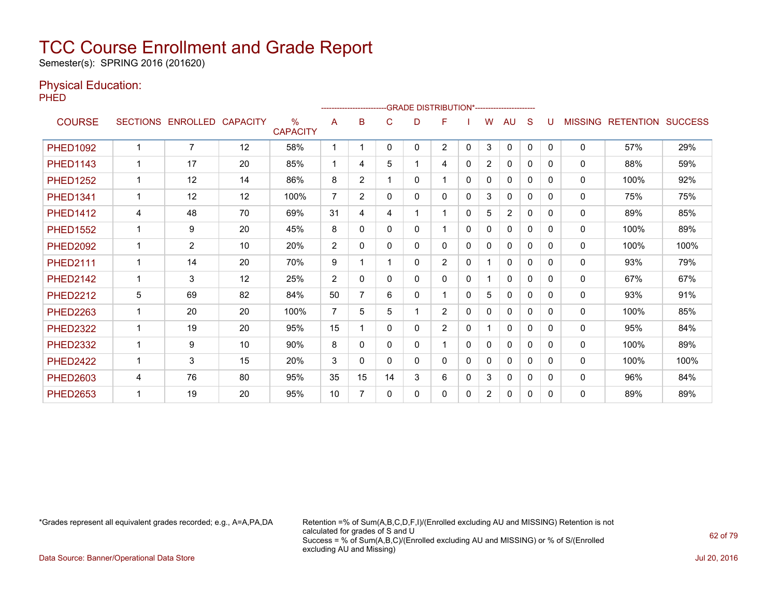Semester(s): SPRING 2016 (201620)

### Physical Education:

PHED

|                 |   |                   |                 |                         |                |                |          | -------------------------GRADE                DISTRIBUTION*--------------------- |                |              |                |                |              |          |                |                          |      |
|-----------------|---|-------------------|-----------------|-------------------------|----------------|----------------|----------|----------------------------------------------------------------------------------|----------------|--------------|----------------|----------------|--------------|----------|----------------|--------------------------|------|
| <b>COURSE</b>   |   | SECTIONS ENROLLED | <b>CAPACITY</b> | $\%$<br><b>CAPACITY</b> | A              | в              | C        | D                                                                                | F              |              | w              | AU             | S            | U        | <b>MISSING</b> | <b>RETENTION SUCCESS</b> |      |
| <b>PHED1092</b> |   | $\overline{7}$    | 12              | 58%                     | -1             |                | 0        | 0                                                                                | $\overline{2}$ | 0            | 3              | $\mathbf{0}$   | 0            | 0        | $\Omega$       | 57%                      | 29%  |
| <b>PHED1143</b> |   | 17                | 20              | 85%                     | 1              | 4              | 5        |                                                                                  | 4              | 0            | 2              | 0              | $\Omega$     | 0        | 0              | 88%                      | 59%  |
| <b>PHED1252</b> |   | 12                | 14              | 86%                     | 8              | $\overline{2}$ |          | 0                                                                                | 1              | $\Omega$     | 0              | 0              | $\Omega$     | $\Omega$ | $\Omega$       | 100%                     | 92%  |
| <b>PHED1341</b> |   | 12                | 12              | 100%                    | $\overline{7}$ | $\overline{2}$ | 0        | 0                                                                                | 0              | $\Omega$     | 3              | $\mathbf{0}$   | 0            | 0        | $\Omega$       | 75%                      | 75%  |
| <b>PHED1412</b> | 4 | 48                | 70              | 69%                     | 31             | 4              | 4        |                                                                                  | 1              | $\Omega$     | 5              | $\overline{c}$ | $\Omega$     | 0        | 0              | 89%                      | 85%  |
| <b>PHED1552</b> |   | 9                 | 20              | 45%                     | 8              | 0              | 0        | 0                                                                                |                | $\mathbf{0}$ | $\mathbf{0}$   | $\mathbf{0}$   | $\mathbf{0}$ | $\Omega$ | $\mathbf{0}$   | 100%                     | 89%  |
| <b>PHED2092</b> |   | $\overline{2}$    | 10              | 20%                     | $\overline{2}$ | 0              | 0        | 0                                                                                | 0              | $\Omega$     | 0              | $\mathbf{0}$   | $\Omega$     | 0        | 0              | 100%                     | 100% |
| <b>PHED2111</b> |   | 14                | 20              | 70%                     | 9              |                |          | 0                                                                                | $\overline{2}$ | $\Omega$     |                | $\mathbf{0}$   | $\Omega$     | 0        | 0              | 93%                      | 79%  |
| <b>PHED2142</b> |   | 3                 | 12              | 25%                     | $\overline{2}$ | $\mathbf{0}$   | 0        | 0                                                                                | 0              | $\mathbf{0}$ |                | $\mathbf{0}$   | $\mathbf{0}$ | $\Omega$ | $\mathbf{0}$   | 67%                      | 67%  |
| <b>PHED2212</b> | 5 | 69                | 82              | 84%                     | 50             | 7              | 6        | 0                                                                                | 1              | 0            | 5              | $\mathbf{0}$   | $\Omega$     | $\Omega$ | $\mathbf{0}$   | 93%                      | 91%  |
| <b>PHED2263</b> | 1 | 20                | 20              | 100%                    | $\overline{7}$ | 5.             | 5        |                                                                                  | $\overline{2}$ | $\Omega$     | $\Omega$       | $\Omega$       | $\Omega$     | 0        | $\mathbf{0}$   | 100%                     | 85%  |
| <b>PHED2322</b> |   | 19                | 20              | 95%                     | 15             |                | $\Omega$ | 0                                                                                | $\overline{2}$ | $\mathbf{0}$ |                | 0              | $\Omega$     | $\Omega$ | 0              | 95%                      | 84%  |
| <b>PHED2332</b> |   | 9                 | 10              | 90%                     | 8              | 0              | 0        | 0                                                                                |                | 0            | 0              | $\mathbf{0}$   | 0            | 0        | $\mathbf{0}$   | 100%                     | 89%  |
| <b>PHED2422</b> |   | 3                 | 15              | 20%                     | 3              | 0              | 0        | 0                                                                                | 0              | 0            | 0              | $\Omega$       | $\Omega$     | 0        | 0              | 100%                     | 100% |
| <b>PHED2603</b> | 4 | 76                | 80              | 95%                     | 35             | 15             | 14       | 3                                                                                | 6              | 0            | 3              | $\mathbf{0}$   | 0            | 0        | $\mathbf{0}$   | 96%                      | 84%  |
| <b>PHED2653</b> |   | 19                | 20              | 95%                     | 10             | 7              | 0        | 0                                                                                | 0              | 0            | $\overline{2}$ | $\mathbf{0}$   | 0            | $\Omega$ | $\Omega$       | 89%                      | 89%  |

\*Grades represent all equivalent grades recorded; e.g., A=A,PA,DA Retention =% of Sum(A,B,C,D,F,I)/(Enrolled excluding AU and MISSING) Retention is not calculated for grades of S and U Success = % of Sum(A,B,C)/(Enrolled excluding AU and MISSING) or % of S/(Enrolled excluding AU and Missing)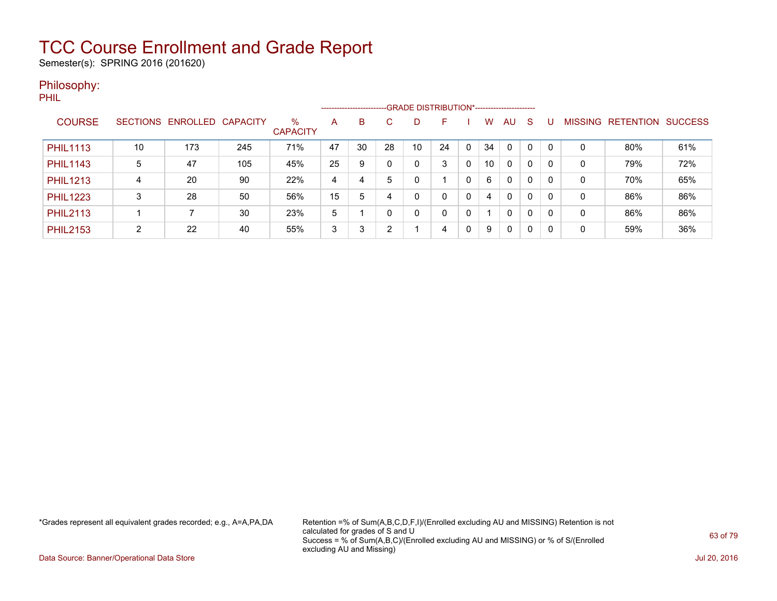Semester(s): SPRING 2016 (201620)

### Philosophy:

PHIL

|                 |                 |                   |     |                         |    | ------------------------ |    |    |              |              |    |              |    |   |                |           |                |
|-----------------|-----------------|-------------------|-----|-------------------------|----|--------------------------|----|----|--------------|--------------|----|--------------|----|---|----------------|-----------|----------------|
| <b>COURSE</b>   | <b>SECTIONS</b> | ENROLLED CAPACITY |     | $\%$<br><b>CAPACITY</b> | A  | B                        | С  | D  | н            |              | W  | AU.          | -S |   | <b>MISSING</b> | RETENTION | <b>SUCCESS</b> |
| <b>PHIL1113</b> | 10              | 173               | 245 | 71%                     | 47 | 30                       | 28 | 10 | 24           | 0            | 34 | 0            | 0  |   | 0              | 80%       | 61%            |
| <b>PHIL1143</b> | 5               | 47                | 105 | 45%                     | 25 | 9                        |    | 0  | 3            | 0            | 10 | 0            | 0  |   | 0              | 79%       | 72%            |
| <b>PHIL1213</b> | 4               | 20                | 90  | 22%                     | 4  | 4                        | 5  | 0  |              | 0            | 6  | $\Omega$     | 0  |   | 0              | 70%       | 65%            |
| <b>PHIL1223</b> | 3               | 28                | 50  | 56%                     | 15 | 5                        |    | 0  | $\Omega$     | $\mathbf{0}$ | 4  | $\mathbf{0}$ | 0  | 0 | 0              | 86%       | 86%            |
| <b>PHIL2113</b> |                 |                   | 30  | 23%                     | 5  |                          |    | 0  | $\mathbf{0}$ | 0            |    | $\Omega$     | 0  | 0 | $\Omega$       | 86%       | 86%            |
| <b>PHIL2153</b> | ົ               | 22                | 40  | 55%                     | 3  | 3                        | ົ  |    | 4            | 0            | 9  | $\Omega$     | 0  |   | 0              | 59%       | 36%            |

\*Grades represent all equivalent grades recorded; e.g., A=A,PA,DA Retention =% of Sum(A,B,C,D,F,I)/(Enrolled excluding AU and MISSING) Retention is not calculated for grades of S and U Success = % of Sum(A,B,C)/(Enrolled excluding AU and MISSING) or % of S/(Enrolled excluding AU and Missing)

Data Source: Banner/Operational Data Store Jul 20, 2016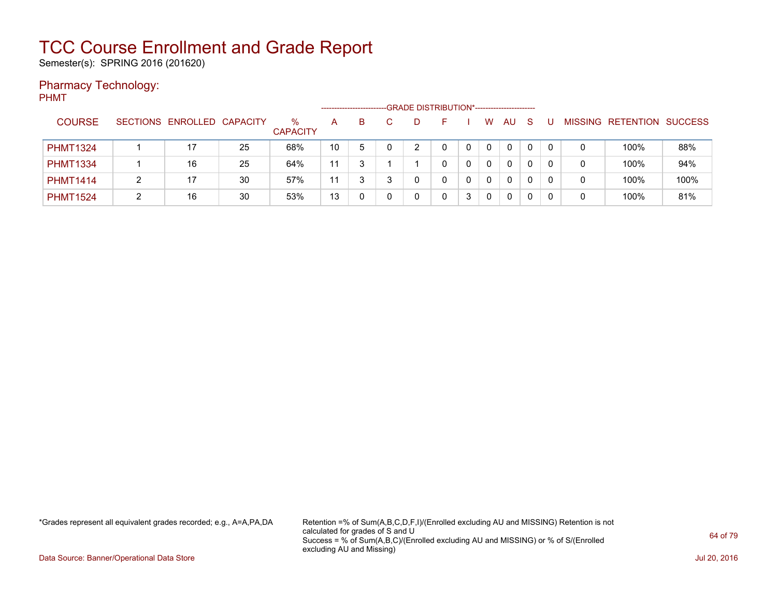Semester(s): SPRING 2016 (201620)

### Pharmacy Technology:

| <b>PHMT</b> |                 |   |                            |    |                         | ----------------- |    |   |    | -GRADE DISTRIBUTION*----------------------- |   |   |    |          |              |   |                           |      |
|-------------|-----------------|---|----------------------------|----|-------------------------|-------------------|----|---|----|---------------------------------------------|---|---|----|----------|--------------|---|---------------------------|------|
|             | <b>COURSE</b>   |   | SECTIONS ENROLLED CAPACITY |    | $\%$<br><b>CAPACITY</b> | A                 | B. |   | D. |                                             |   | W | AU | -S       | U            |   | MISSING RETENTION SUCCESS |      |
|             | <b>PHMT1324</b> |   | 17                         | 25 | 68%                     | 10                | 5  | 0 | C  | $\mathbf{0}$                                | 0 | 0 | 0  | $\Omega$ | $\mathbf{0}$ | 0 | 100%                      | 88%  |
|             | <b>PHMT1334</b> |   | 16                         | 25 | 64%                     | 11                | 3  |   |    | 0                                           | 0 | 0 | 0  | 0        | 0            | 0 | 100%                      | 94%  |
|             | <b>PHMT1414</b> | 2 | 17                         | 30 | 57%                     | 11                | 3  | ર |    | 0                                           | 0 | 0 | 0  | 0        | $\mathbf{0}$ | 0 | 100%                      | 100% |
|             | <b>PHMT1524</b> | 2 | 16                         | 30 | 53%                     | 13                | 0  |   |    | 0                                           | 3 | 0 | 0  | 0        | 0            | 0 | 100%                      | 81%  |

\*Grades represent all equivalent grades recorded; e.g., A=A,PA,DA Retention =% of Sum(A,B,C,D,F,I)/(Enrolled excluding AU and MISSING) Retention is not calculated for grades of S and U Success = % of Sum(A,B,C)/(Enrolled excluding AU and MISSING) or % of S/(Enrolled excluding AU and Missing)

Data Source: Banner/Operational Data Store Jul 20, 2016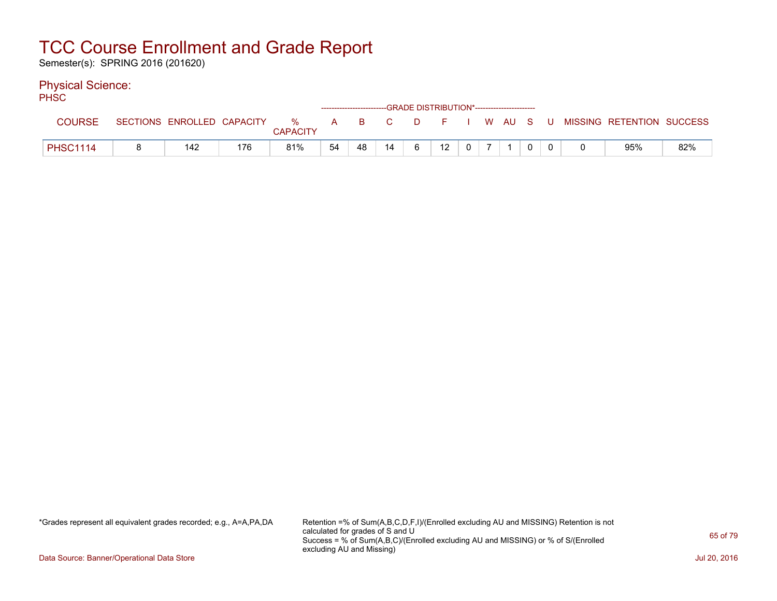Semester(s): SPRING 2016 (201620)

### Physical Science:

| PHSC            |                            |     |                      |    | ------------------------GRADE DISTRIBUTION*----------------------- |    |   |    |                |  |  |                                                |     |
|-----------------|----------------------------|-----|----------------------|----|--------------------------------------------------------------------|----|---|----|----------------|--|--|------------------------------------------------|-----|
| <b>COURSE</b>   | SECTIONS ENROLLED CAPACITY |     | %<br><b>CAPACITY</b> |    |                                                                    |    |   |    |                |  |  | A B C D F I W AU S U MISSING—RETENTION SUCCESS |     |
| <b>PHSC1114</b> | 142                        | 176 | 81%                  | 54 | 48                                                                 | 14 | 6 | 12 | 0 <sup>1</sup> |  |  | 95%                                            | 82% |

\*Grades represent all equivalent grades recorded; e.g., A=A,PA,DA Retention =% of Sum(A,B,C,D,F,I)/(Enrolled excluding AU and MISSING) Retention is not calculated for grades of S and U Success = % of Sum(A,B,C)/(Enrolled excluding AU and MISSING) or % of S/(Enrolled excluding AU and Missing)

Data Source: Banner/Operational Data Store Jul 20, 2016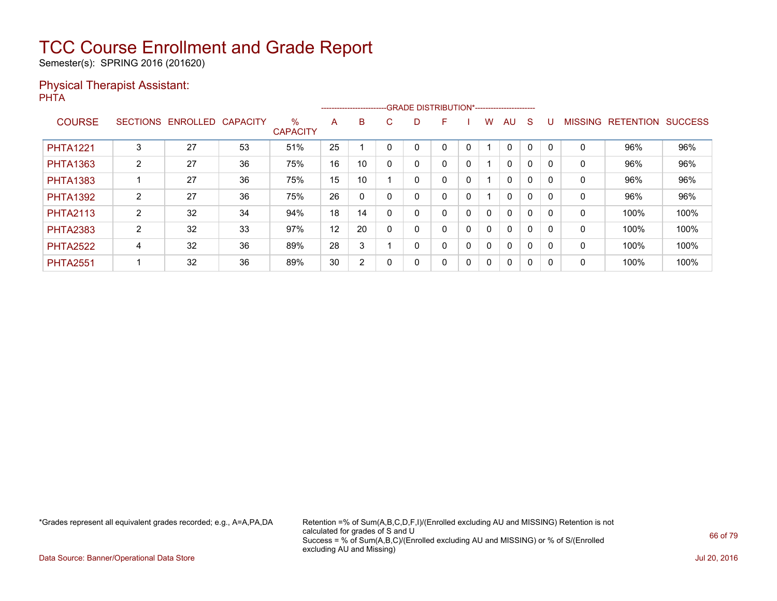Semester(s): SPRING 2016 (201620)

### Physical Therapist Assistant: PHTA

|                 |                 |          |                 |                         |    |    | ------------------------GRADE                DISTRIBUTION*---------------------- |   |   |   |              |              |              |          |                |                  |                |
|-----------------|-----------------|----------|-----------------|-------------------------|----|----|----------------------------------------------------------------------------------|---|---|---|--------------|--------------|--------------|----------|----------------|------------------|----------------|
| <b>COURSE</b>   | <b>SECTIONS</b> | ENROLLED | <b>CAPACITY</b> | $\%$<br><b>CAPACITY</b> | A  | B  | C.                                                                               | D | F |   | w            | AU           | S            |          | <b>MISSING</b> | <b>RETENTION</b> | <b>SUCCESS</b> |
| <b>PHTA1221</b> | 3               | 27       | 53              | 51%                     | 25 |    |                                                                                  |   | 0 |   |              | 0            | 0            |          | 0              | 96%              | 96%            |
| <b>PHTA1363</b> | $\overline{2}$  | 27       | 36              | 75%                     | 16 | 10 |                                                                                  |   | 0 | 0 |              | $\mathbf{0}$ | 0            |          | 0              | 96%              | 96%            |
| <b>PHTA1383</b> |                 | 27       | 36              | 75%                     | 15 | 10 |                                                                                  |   | 0 | 0 |              | $\mathbf{0}$ | $\mathbf{0}$ | $\Omega$ | 0              | 96%              | 96%            |
| <b>PHTA1392</b> | $\overline{2}$  | 27       | 36              | 75%                     | 26 | 0  |                                                                                  |   | 0 | 0 |              | $\mathbf{0}$ | 0            |          | 0              | 96%              | 96%            |
| <b>PHTA2113</b> | $\overline{2}$  | 32       | 34              | 94%                     | 18 | 14 |                                                                                  |   | 0 | 0 | 0            | $\mathbf{0}$ | 0            | $\Omega$ | $\mathbf 0$    | 100%             | 100%           |
| <b>PHTA2383</b> | $\overline{2}$  | 32       | 33              | 97%                     | 12 | 20 |                                                                                  |   | 0 | 0 | $\mathbf{0}$ | $\mathbf{0}$ | 0            | $\Omega$ | 0              | 100%             | 100%           |
| <b>PHTA2522</b> | 4               | 32       | 36              | 89%                     | 28 | 3  |                                                                                  |   | 0 | 0 | $\mathbf{0}$ | $\mathbf{0}$ | $\mathbf{0}$ |          | 0              | 100%             | 100%           |
| <b>PHTA2551</b> |                 | 32       | 36              | 89%                     | 30 | 2  | $\Omega$                                                                         |   | 0 | 0 | 0            | 0            | 0            | $\Omega$ | 0              | 100%             | 100%           |

\*Grades represent all equivalent grades recorded; e.g., A=A,PA,DA Retention =% of Sum(A,B,C,D,F,I)/(Enrolled excluding AU and MISSING) Retention is not calculated for grades of S and U Success = % of Sum(A,B,C)/(Enrolled excluding AU and MISSING) or % of S/(Enrolled excluding AU and Missing)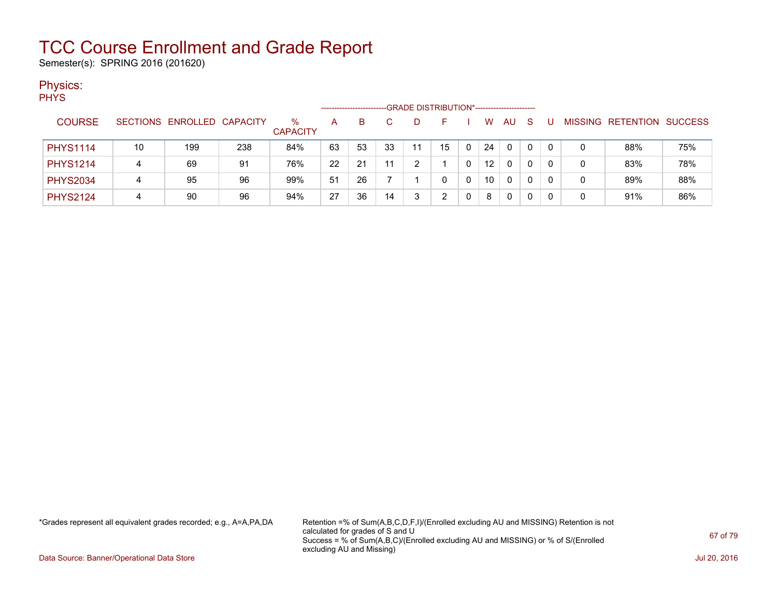Semester(s): SPRING 2016 (201620)

### Physics:

| <b>PHYS</b> |  |  |  |
|-------------|--|--|--|
|             |  |  |  |
|             |  |  |  |

| <b>COURSE</b>   |    | SECTIONS ENROLLED CAPACITY |     | %<br><b>CAPACITY</b> | А  | в  |    |    |    | w               | AU           | S | <b>MISSING</b> | RETENTION | <b>SUCCESS</b> |
|-----------------|----|----------------------------|-----|----------------------|----|----|----|----|----|-----------------|--------------|---|----------------|-----------|----------------|
| <b>PHYS1114</b> | 10 | 199                        | 238 | 84%                  | 63 | 53 | 33 | 11 | 15 | 24              | $\mathbf{0}$ | 0 |                | 88%       | 75%            |
| <b>PHYS1214</b> | 4  | 69                         | 91  | 76%                  | 22 | 21 | 11 |    |    | 12 <sup>°</sup> | 0            | 0 |                | 83%       | 78%            |
| <b>PHYS2034</b> | 4  | 95                         | 96  | 99%                  | 51 | 26 |    |    |    | 10              | 0            | 0 |                | 89%       | 88%            |
| <b>PHYS2124</b> | 4  | 90                         | 96  | 94%                  | 27 | 36 | 14 |    |    | 8               | 0            | 0 |                | 91%       | 86%            |

-------------------------GRADE DISTRIBUTION\*-----------------------

\*Grades represent all equivalent grades recorded; e.g., A=A,PA,DA Retention =% of Sum(A,B,C,D,F,I)/(Enrolled excluding AU and MISSING) Retention is not calculated for grades of S and U Success = % of Sum(A,B,C)/(Enrolled excluding AU and MISSING) or % of S/(Enrolled excluding AU and Missing)

Data Source: Banner/Operational Data Store Jul 20, 2016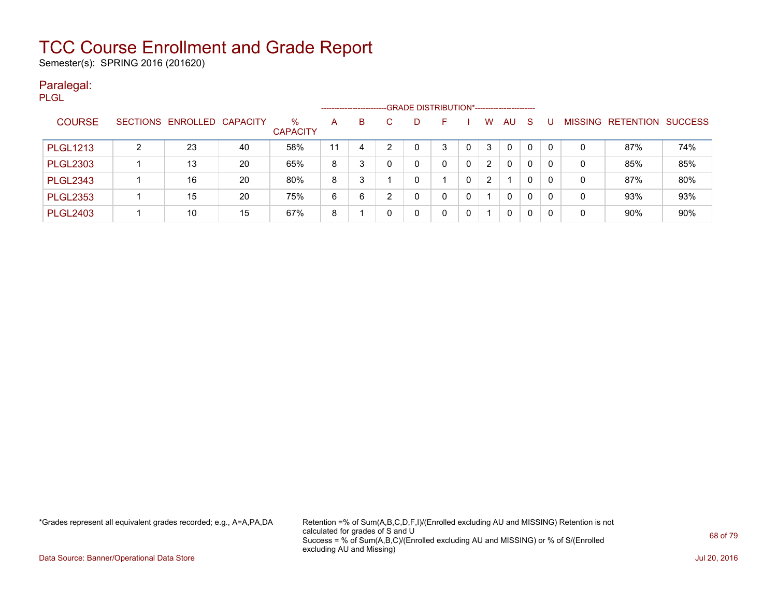Semester(s): SPRING 2016 (201620)

#### Paralegal: PLGL

| ---             |   |                            |    |                      |    |    | ------------------------GRADE DISTRIBUTION*----------------------- |    |              |              |                |    |              |          |   |                   |                |
|-----------------|---|----------------------------|----|----------------------|----|----|--------------------------------------------------------------------|----|--------------|--------------|----------------|----|--------------|----------|---|-------------------|----------------|
| <b>COURSE</b>   |   | SECTIONS ENROLLED CAPACITY |    | %<br><b>CAPACITY</b> | A  | B. |                                                                    | D. | н.           |              | W              | AU | S            |          |   | MISSING RETENTION | <b>SUCCESS</b> |
| <b>PLGL1213</b> | ົ | 23                         | 40 | 58%                  | 11 | 4  |                                                                    |    | 3            |              | 3              | 0  | 0            | $\Omega$ |   | 87%               | 74%            |
| <b>PLGL2303</b> |   | 13                         | 20 | 65%                  | 8  |    |                                                                    |    | $\mathbf{0}$ | $\mathbf{0}$ | 2              | 0  | 0            | 0        | 0 | 85%               | 85%            |
| <b>PLGL2343</b> |   | 16                         | 20 | 80%                  | 8  | 3  |                                                                    |    |              | 0            | $\overline{2}$ |    | $\mathbf{0}$ | $\Omega$ | 0 | 87%               | 80%            |
| <b>PLGL2353</b> |   | 15                         | 20 | 75%                  | 6  | 6  | ົ                                                                  | n  | 0            | 0            |                | 0  | 0            | 0        | 0 | 93%               | 93%            |
| <b>PLGL2403</b> |   | 10                         | 15 | 67%                  | 8  |    |                                                                    |    | 0            | 0            |                | 0  | 0            | 0        | 0 | 90%               | 90%            |

\*Grades represent all equivalent grades recorded; e.g., A=A,PA,DA Retention =% of Sum(A,B,C,D,F,I)/(Enrolled excluding AU and MISSING) Retention is not calculated for grades of S and U Success = % of Sum(A,B,C)/(Enrolled excluding AU and MISSING) or % of S/(Enrolled excluding AU and Missing)

Data Source: Banner/Operational Data Store Jul 20, 2016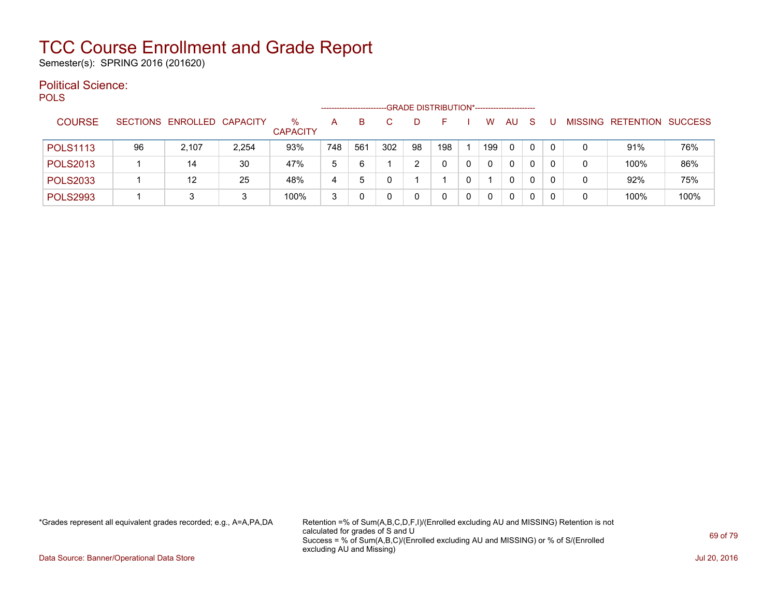Semester(s): SPRING 2016 (201620)

#### Political Science: POLS

| ິ               |    |                            |       |                      | --------------------- |     |     |    | -GRADE DISTRIBUTION*----------------------- |   |          |              |   |     |   |                   |                |
|-----------------|----|----------------------------|-------|----------------------|-----------------------|-----|-----|----|---------------------------------------------|---|----------|--------------|---|-----|---|-------------------|----------------|
| <b>COURSE</b>   |    | SECTIONS ENROLLED CAPACITY |       | %<br><b>CAPACITY</b> | А                     | B   |     |    |                                             |   | W        | AU           | S |     |   | MISSING RETENTION | <b>SUCCESS</b> |
| <b>POLS1113</b> | 96 | 2.107                      | 2,254 | 93%                  | 748                   | 561 | 302 | 98 | 198                                         |   | 199      | $\mathbf{0}$ | 0 | - 0 |   | 91%               | 76%            |
| <b>POLS2013</b> |    | 14                         | 30    | 47%                  | 5                     | 6   |     |    |                                             | 0 | $\Omega$ | $\mathbf{0}$ | 0 | -0  | 0 | 100%              | 86%            |
| <b>POLS2033</b> |    | 12                         | 25    | 48%                  | 4                     | đ   |     |    |                                             | 0 |          | $\mathbf{0}$ | 0 | - 0 |   | 92%               | 75%            |
| <b>POLS2993</b> |    | 3                          | 3     | 100%                 | 3                     |     |     |    |                                             | 0 | $\Omega$ | $\mathbf{0}$ | 0 |     |   | 100%              | 100%           |

\*Grades represent all equivalent grades recorded; e.g., A=A,PA,DA Retention =% of Sum(A,B,C,D,F,I)/(Enrolled excluding AU and MISSING) Retention is not calculated for grades of S and U Success = % of Sum(A,B,C)/(Enrolled excluding AU and MISSING) or % of S/(Enrolled excluding AU and Missing)

Data Source: Banner/Operational Data Store Jul 20, 2016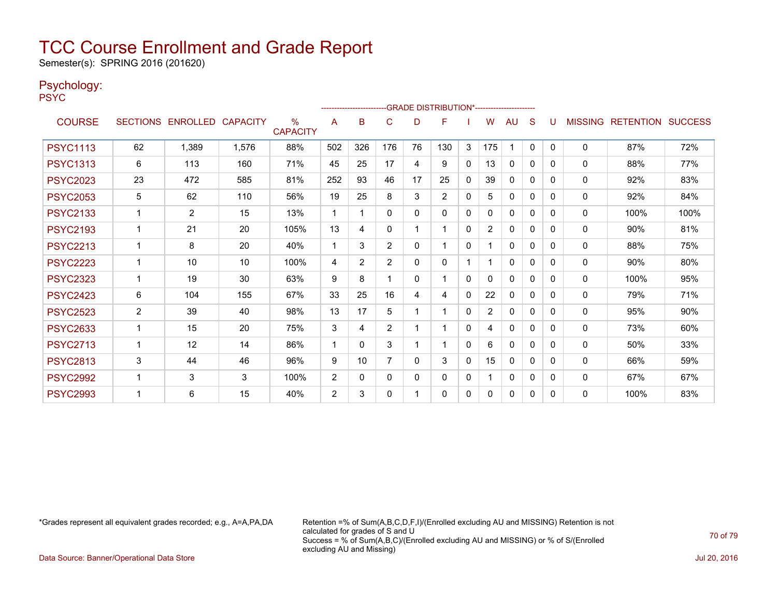Semester(s): SPRING 2016 (201620)

### Psychology:

PSYC

|                 |                |                            |       |                         |                |                |                |          | -------------------------GRADE DISTRIBUTION*---------------------- |              |                |              |              |   |                |                          |      |
|-----------------|----------------|----------------------------|-------|-------------------------|----------------|----------------|----------------|----------|--------------------------------------------------------------------|--------------|----------------|--------------|--------------|---|----------------|--------------------------|------|
| <b>COURSE</b>   |                | SECTIONS ENROLLED CAPACITY |       | $\%$<br><b>CAPACITY</b> | A              | B              | C              | D        | F                                                                  |              | W              | AU.          | S            | U | <b>MISSING</b> | <b>RETENTION SUCCESS</b> |      |
| <b>PSYC1113</b> | 62             | 1,389                      | 1,576 | 88%                     | 502            | 326            | 176            | 76       | 130                                                                | 3            | 175            |              | $\mathbf{0}$ | 0 | 0              | 87%                      | 72%  |
| <b>PSYC1313</b> | 6              | 113                        | 160   | 71%                     | 45             | 25             | 17             | 4        | 9                                                                  | $\mathbf{0}$ | 13             | 0            | 0            | 0 | $\mathbf{0}$   | 88%                      | 77%  |
| <b>PSYC2023</b> | 23             | 472                        | 585   | 81%                     | 252            | 93             | 46             | 17       | 25                                                                 | 0            | 39             | 0            | 0            | 0 | $\mathbf{0}$   | 92%                      | 83%  |
| <b>PSYC2053</b> | 5              | 62                         | 110   | 56%                     | 19             | 25             | 8              | 3        | $\overline{2}$                                                     | $\mathbf{0}$ | 5.             | 0            | 0            | 0 | $\mathbf{0}$   | 92%                      | 84%  |
| <b>PSYC2133</b> |                | 2                          | 15    | 13%                     | 1              | 1              | $\mathbf{0}$   | $\Omega$ | $\Omega$                                                           | $\mathbf{0}$ | 0              | $\mathbf{0}$ | 0            | 0 | 0              | 100%                     | 100% |
| <b>PSYC2193</b> |                | 21                         | 20    | 105%                    | 13             | 4              | $\Omega$       |          |                                                                    | $\Omega$     | $\overline{2}$ | 0            | 0            | 0 | 0              | 90%                      | 81%  |
| <b>PSYC2213</b> | 1              | 8                          | 20    | 40%                     | 1              | 3              | 2              | $\Omega$ | 1                                                                  | $\mathbf{0}$ |                | $\mathbf{0}$ | $\Omega$     | 0 | 0              | 88%                      | 75%  |
| <b>PSYC2223</b> | 1              | 10                         | 10    | 100%                    | 4              | $\overline{2}$ | 2              | 0        | 0                                                                  |              |                | $\mathbf{0}$ | 0            | 0 | 0              | 90%                      | 80%  |
| <b>PSYC2323</b> | 1              | 19                         | 30    | 63%                     | 9              | 8              |                | $\Omega$ |                                                                    | $\mathbf{0}$ | $\Omega$       | 0            | $\Omega$     | 0 | 0              | 100%                     | 95%  |
| <b>PSYC2423</b> | 6              | 104                        | 155   | 67%                     | 33             | 25             | 16             | 4        | 4                                                                  | $\mathbf{0}$ | 22             | 0            | $\Omega$     | 0 | $\mathbf{0}$   | 79%                      | 71%  |
| <b>PSYC2523</b> | $\overline{2}$ | 39                         | 40    | 98%                     | 13             | 17             | 5              |          |                                                                    | $\Omega$     | $\overline{2}$ | 0            | 0            | 0 | 0              | 95%                      | 90%  |
| <b>PSYC2633</b> |                | 15                         | 20    | 75%                     | 3              | 4              | $\overline{2}$ |          |                                                                    | $\Omega$     | 4              | 0            | $\Omega$     | 0 | 0              | 73%                      | 60%  |
| <b>PSYC2713</b> | 1              | 12                         | 14    | 86%                     | 1              | $\Omega$       | 3              |          | 1                                                                  | $\mathbf{0}$ | 6              | 0            | $\Omega$     | 0 | 0              | 50%                      | 33%  |
| <b>PSYC2813</b> | 3              | 44                         | 46    | 96%                     | 9              | 10             | $\overline{7}$ | $\Omega$ | 3                                                                  | $\mathbf{0}$ | 15             | 0            | 0            | 0 | $\mathbf{0}$   | 66%                      | 59%  |
| <b>PSYC2992</b> | 1              | 3                          | 3     | 100%                    | $\overline{2}$ | 0              | $\mathbf{0}$   | 0        | 0                                                                  | $\mathbf{0}$ |                | 0            | $\Omega$     | 0 | $\mathbf{0}$   | 67%                      | 67%  |
| <b>PSYC2993</b> |                | 6                          | 15    | 40%                     | $\overline{2}$ | 3              | $\Omega$       |          | 0                                                                  | 0            | 0              | 0            | 0            | 0 | 0              | 100%                     | 83%  |

\*Grades represent all equivalent grades recorded; e.g., A=A,PA,DA Retention =% of Sum(A,B,C,D,F,I)/(Enrolled excluding AU and MISSING) Retention is not calculated for grades of S and U Success = % of Sum(A,B,C)/(Enrolled excluding AU and MISSING) or % of S/(Enrolled excluding AU and Missing)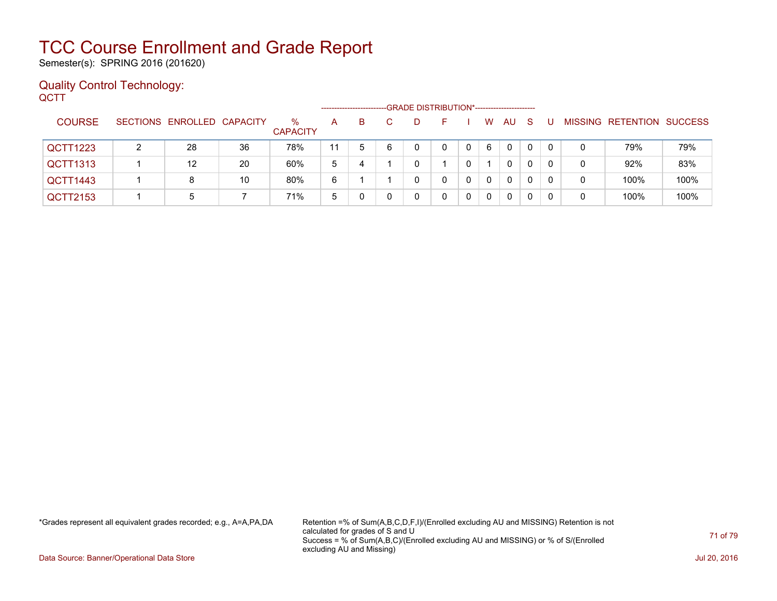Semester(s): SPRING 2016 (201620)

### Quality Control Technology: **QCTT**

|                 | -GRADE DISTRIBUTION*----------------------<br>---------------------- |    |                         |    |    |   |    |    |   |              |          |              |          |   |                           |      |
|-----------------|----------------------------------------------------------------------|----|-------------------------|----|----|---|----|----|---|--------------|----------|--------------|----------|---|---------------------------|------|
| <b>COURSE</b>   | SECTIONS ENROLLED CAPACITY                                           |    | $\%$<br><b>CAPACITY</b> | A  | B. |   | D. | н. |   | W            | AU.      | <sub>S</sub> |          |   | MISSING RETENTION SUCCESS |      |
| QCTT1223        | 28                                                                   | 36 | 78%                     | 11 | 5  | 6 |    | 0  | 0 | 6            | $\Omega$ | $\mathbf{0}$ | $\Omega$ | 0 | 79%                       | 79%  |
| <b>QCTT1313</b> | 12                                                                   | 20 | 60%                     | 5  | 4  |   |    |    |   |              | 0        | 0            |          | 0 | 92%                       | 83%  |
| QCTT1443        | 8                                                                    | 10 | 80%                     | 6  |    |   |    |    | 0 | $\mathbf{0}$ | $\Omega$ | 0            | 0        |   | 100%                      | 100% |
| QCTT2153        | 5                                                                    |    | 71%                     | 5  |    |   |    |    |   | 0            | 0        | 0            |          |   | 100%                      | 100% |

\*Grades represent all equivalent grades recorded; e.g., A=A,PA,DA Retention =% of Sum(A,B,C,D,F,I)/(Enrolled excluding AU and MISSING) Retention is not calculated for grades of S and U Success = % of Sum(A,B,C)/(Enrolled excluding AU and MISSING) or % of S/(Enrolled excluding AU and Missing)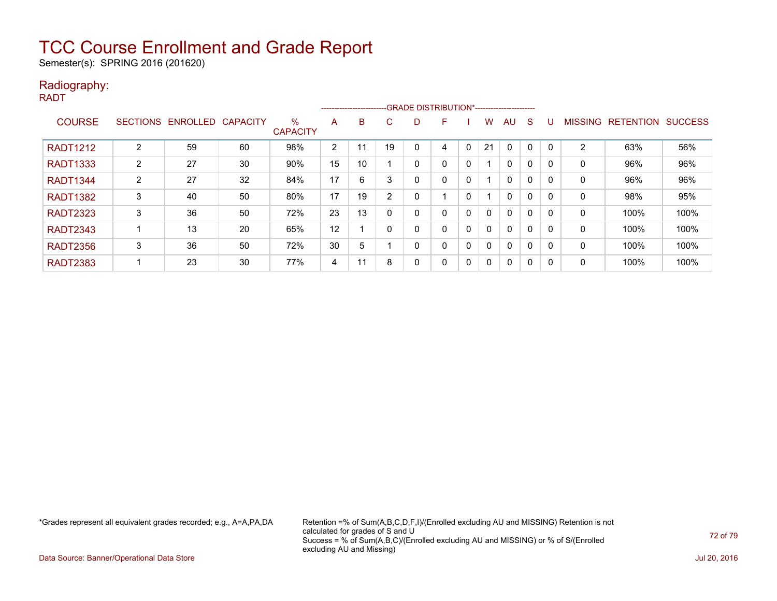Semester(s): SPRING 2016 (201620)

### Radiography: RADT

|                 |   |                            |    | -GRADE DISTRIBUTION*-----------------------<br>------------------------- |                |    |              |   |   |              |              |              |              |   |                |                          |      |
|-----------------|---|----------------------------|----|--------------------------------------------------------------------------|----------------|----|--------------|---|---|--------------|--------------|--------------|--------------|---|----------------|--------------------------|------|
| <b>COURSE</b>   |   | SECTIONS ENROLLED CAPACITY |    | $\%$                                                                     | A              | B  | C            | D | F |              | w            | AU           | <sub>S</sub> | U | <b>MISSING</b> | <b>RETENTION SUCCESS</b> |      |
|                 |   |                            |    | <b>CAPACITY</b>                                                          |                |    |              |   |   |              |              |              |              |   |                |                          |      |
| <b>RADT1212</b> | 2 | 59                         | 60 | 98%                                                                      | $\overline{2}$ |    | 19           |   |   | $\Omega$     | 21           | 0            | 0            | 0 | 2              | 63%                      | 56%  |
| <b>RADT1333</b> | 2 | 27                         | 30 | 90%                                                                      | 15             | 10 |              | 0 |   | 0            |              | 0            | 0            | 0 | 0              | 96%                      | 96%  |
| <b>RADT1344</b> | 2 | 27                         | 32 | 84%                                                                      | 17             | 6  | 3            | 0 |   | 0            |              | 0            | 0            | 0 | 0              | 96%                      | 96%  |
| <b>RADT1382</b> | 3 | 40                         | 50 | 80%                                                                      | 17             | 19 | 2            | 0 |   | 0            |              | 0            | $\Omega$     | 0 | 0              | 98%                      | 95%  |
| <b>RADT2323</b> | 3 | 36                         | 50 | 72%                                                                      | 23             | 13 | $\mathbf{0}$ | 0 |   | $\mathbf{0}$ | $\Omega$     | $\mathbf{0}$ | $\Omega$     | 0 | 0              | 100%                     | 100% |
| <b>RADT2343</b> |   | 13                         | 20 | 65%                                                                      | 12             |    | $\mathbf{0}$ | 0 |   | $\mathbf{0}$ |              | $\mathbf{0}$ | $\mathbf{0}$ | 0 | 0              | 100%                     | 100% |
| <b>RADT2356</b> | 3 | 36                         | 50 | 72%                                                                      | 30             | 5  |              | 0 |   | 0            | $\Omega$     | $\mathbf{0}$ | $\mathbf{0}$ | 0 | 0              | 100%                     | 100% |
| <b>RADT2383</b> |   | 23                         | 30 | 77%                                                                      | 4              | 11 | 8            | 0 |   | 0            | $\mathbf{0}$ | $\mathbf{0}$ | 0            | 0 | 0              | 100%                     | 100% |

\*Grades represent all equivalent grades recorded; e.g., A=A,PA,DA Retention =% of Sum(A,B,C,D,F,I)/(Enrolled excluding AU and MISSING) Retention is not calculated for grades of S and U Success = % of Sum(A,B,C)/(Enrolled excluding AU and MISSING) or % of S/(Enrolled excluding AU and Missing)

Data Source: Banner/Operational Data Store Jul 20, 2016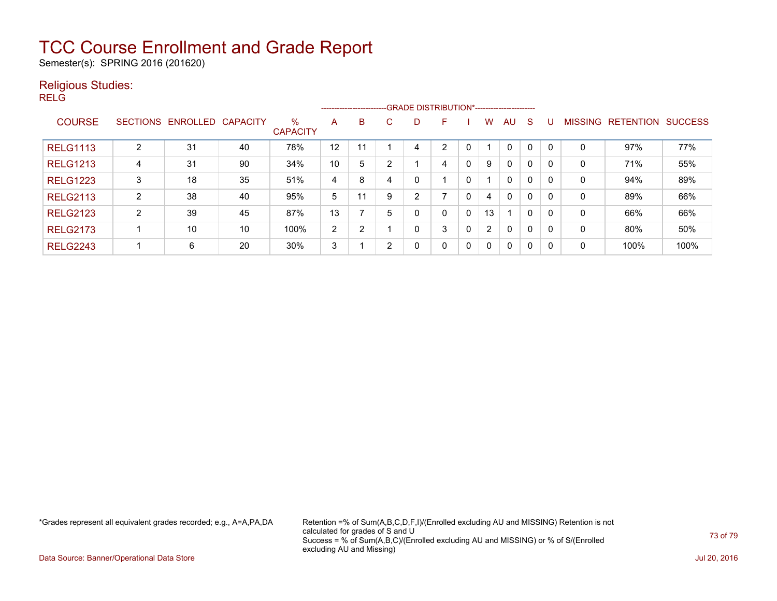Semester(s): SPRING 2016 (201620)

### Religious Studies:

RELG

|                 |                 |          |          | --------------------------GRADE DISTRIBUTION*----------------------- |                |    |                |   |              |              |                |              |          |  |                |                  |                |
|-----------------|-----------------|----------|----------|----------------------------------------------------------------------|----------------|----|----------------|---|--------------|--------------|----------------|--------------|----------|--|----------------|------------------|----------------|
| <b>COURSE</b>   | <b>SECTIONS</b> | ENROLLED | CAPACITY | $\%$<br><b>CAPACITY</b>                                              | A              | B  | C              | D | F            |              | W              | AU.          | S        |  | <b>MISSING</b> | <b>RETENTION</b> | <b>SUCCESS</b> |
| <b>RELG1113</b> | っ               | 31       | 40       | 78%                                                                  | 12             | 11 |                | 4 | ົ            |              |                | $\mathbf{0}$ | $\Omega$ |  | 0              | 97%              | 77%            |
| <b>RELG1213</b> | 4               | 31       | 90       | 34%                                                                  | 10             | 5  | C              |   | 4            | 0            | 9              | $\Omega$     | 0        |  | 0              | 71%              | 55%            |
| <b>RELG1223</b> | 3               | 18       | 35       | 51%                                                                  | 4              | 8  | 4              | 0 |              | 0            |                | $\mathbf{0}$ | 0        |  | 0              | 94%              | 89%            |
| <b>RELG2113</b> | າ               | 38       | 40       | 95%                                                                  | 5              | 11 | 9              | 2 |              | 0            | 4              | $\Omega$     | 0        |  | 0              | 89%              | 66%            |
| <b>RELG2123</b> | າ               | 39       | 45       | 87%                                                                  | 13             |    | 5              | 0 | $\Omega$     | 0            | 13             |              | 0        |  | 0              | 66%              | 66%            |
| <b>RELG2173</b> |                 | 10       | 10       | 100%                                                                 | $\overline{2}$ | ົ  |                | 0 | 3            | 0            | $\overline{2}$ | $\Omega$     | 0        |  | 0              | 80%              | 50%            |
| <b>RELG2243</b> |                 | 6        | 20       | 30%                                                                  | 3              |    | $\overline{2}$ | 0 | $\mathbf{0}$ | $\mathbf{0}$ | $\mathbf{0}$   | $\Omega$     | 0        |  | 0              | 100%             | 100%           |

\*Grades represent all equivalent grades recorded; e.g., A=A,PA,DA Retention =% of Sum(A,B,C,D,F,I)/(Enrolled excluding AU and MISSING) Retention is not calculated for grades of S and U Success = % of Sum(A,B,C)/(Enrolled excluding AU and MISSING) or % of S/(Enrolled excluding AU and Missing)

Data Source: Banner/Operational Data Store Jul 20, 2016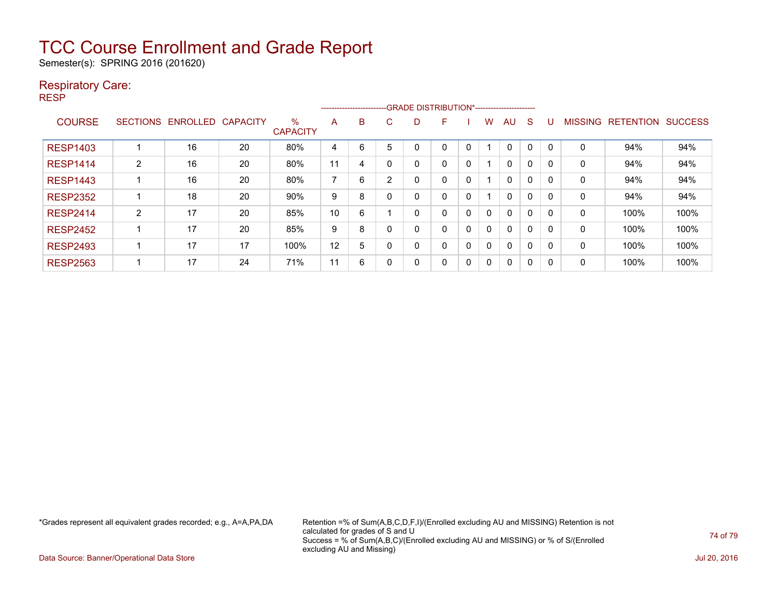Semester(s): SPRING 2016 (201620)

### Respiratory Care:

RESP

|                 |                 |                 |                 |                         | -- GRADE DISTRIBUTION*-----------------------<br>------------------------ |   |   |   |   |              |   |          |          |          |                |                  |                |
|-----------------|-----------------|-----------------|-----------------|-------------------------|---------------------------------------------------------------------------|---|---|---|---|--------------|---|----------|----------|----------|----------------|------------------|----------------|
| <b>COURSE</b>   | <b>SECTIONS</b> | <b>ENROLLED</b> | <b>CAPACITY</b> | $\%$<br><b>CAPACITY</b> | A                                                                         | B | C | D | F |              | w | AU       | S        |          | <b>MISSING</b> | <b>RETENTION</b> | <b>SUCCESS</b> |
| <b>RESP1403</b> |                 | 16              | 20              | 80%                     | 4                                                                         | 6 | 5 | 0 | 0 | 0            |   | 0        | 0        | 0        | 0              | 94%              | 94%            |
| <b>RESP1414</b> | 2               | 16              | 20              | 80%                     | 11                                                                        | 4 |   | 0 | 0 | 0            |   | $\Omega$ | 0        | 0        | 0              | 94%              | 94%            |
| <b>RESP1443</b> |                 | 16              | 20              | 80%                     | ⇁                                                                         | 6 | 2 | 0 | 0 | 0            |   | $\Omega$ | $\Omega$ | $\Omega$ | 0              | 94%              | 94%            |
| <b>RESP2352</b> |                 | 18              | 20              | 90%                     | 9                                                                         | 8 |   | 0 | 0 | 0            |   | $\Omega$ | 0        | 0        | 0              | 94%              | 94%            |
| <b>RESP2414</b> | $\overline{2}$  | 17              | 20              | 85%                     | 10                                                                        | 6 |   | 0 | 0 | 0            | 0 | $\Omega$ | $\Omega$ | 0        | 0              | 100%             | 100%           |
| <b>RESP2452</b> |                 | 17              | 20              | 85%                     | 9                                                                         | 8 |   | 0 | 0 | 0            | 0 | $\Omega$ | 0        | 0        | 0              | 100%             | 100%           |
| <b>RESP2493</b> |                 | 17              | 17              | 100%                    | 12                                                                        | 5 |   | 0 | 0 | $\mathbf{0}$ | 0 | 0        | 0        | 0        | 0              | 100%             | 100%           |
| <b>RESP2563</b> |                 | 17              | 24              | 71%                     | 11                                                                        | 6 |   | 0 | 0 | 0            | 0 | $\Omega$ | 0        | 0        | 0              | 100%             | 100%           |

\*Grades represent all equivalent grades recorded; e.g., A=A,PA,DA Retention =% of Sum(A,B,C,D,F,I)/(Enrolled excluding AU and MISSING) Retention is not calculated for grades of S and U Success = % of Sum(A,B,C)/(Enrolled excluding AU and MISSING) or % of S/(Enrolled excluding AU and Missing)

Data Source: Banner/Operational Data Store Jul 20, 2016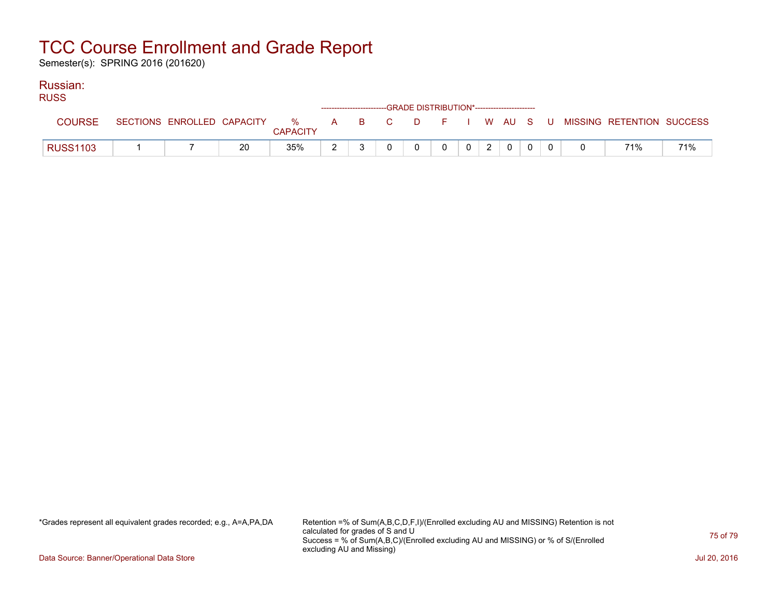Semester(s): SPRING 2016 (201620)

### Russian:

| <b>RUSS</b>     |  |    |                 |  | ------------------------GRADE DISTRIBUTION*----------------------- |   |                |                |              |  |                                                                               |     |
|-----------------|--|----|-----------------|--|--------------------------------------------------------------------|---|----------------|----------------|--------------|--|-------------------------------------------------------------------------------|-----|
| <b>COURSE</b>   |  |    | <b>CAPACITY</b> |  |                                                                    |   |                |                |              |  | SECTIONS ENROLLED CAPACITY 3 % A B C D F I W AU S U MISSING RETENTION SUCCESS |     |
| <b>RUSS1103</b> |  | 20 | 35%             |  | $\Omega$                                                           | 0 | 0 <sup>1</sup> | 2 <sup>1</sup> | $\mathbf{0}$ |  | 71%                                                                           | 71% |

\*Grades represent all equivalent grades recorded; e.g., A=A,PA,DA Retention =% of Sum(A,B,C,D,F,I)/(Enrolled excluding AU and MISSING) Retention is not calculated for grades of S and U Success = % of Sum(A,B,C)/(Enrolled excluding AU and MISSING) or % of S/(Enrolled excluding AU and Missing)

Data Source: Banner/Operational Data Store Jul 20, 2016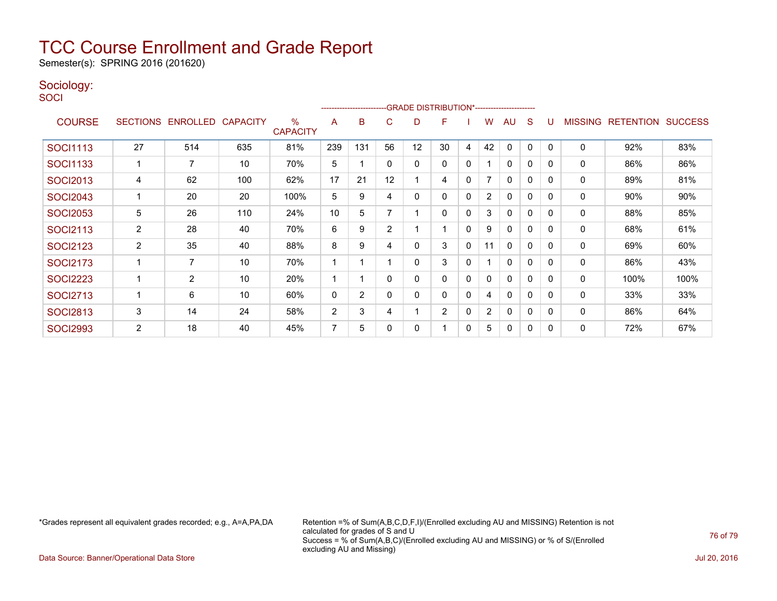Semester(s): SPRING 2016 (201620)

### Sociology:

**SOCI** 

| -------------------------GRADE                DISTRIBUTION*--------------------- |                |                   |                 |                         |     |                |                |    |                |              |                |              |              |          |                |                  |                |
|----------------------------------------------------------------------------------|----------------|-------------------|-----------------|-------------------------|-----|----------------|----------------|----|----------------|--------------|----------------|--------------|--------------|----------|----------------|------------------|----------------|
| <b>COURSE</b>                                                                    |                | SECTIONS ENROLLED | <b>CAPACITY</b> | $\%$<br><b>CAPACITY</b> | A   | B              | C              | D  | F              |              | w              | AU           | S            |          | <b>MISSING</b> | <b>RETENTION</b> | <b>SUCCESS</b> |
| <b>SOCI1113</b>                                                                  | 27             | 514               | 635             | 81%                     | 239 | 131            | 56             | 12 | 30             | 4            | 42             | $\mathbf{0}$ | 0            | $\Omega$ | 0              | 92%              | 83%            |
| SOCI1133                                                                         |                | 7                 | 10              | 70%                     | 5   |                | 0              | 0  | 0              | 0            |                | $\mathbf{0}$ | 0            | $\Omega$ | 0              | 86%              | 86%            |
| <b>SOCI2013</b>                                                                  | 4              | 62                | 100             | 62%                     | 17  | 21             | 12             |    | 4              | 0            | 7              | $\mathbf{0}$ | $\mathbf{0}$ | $\Omega$ | 0              | 89%              | 81%            |
| <b>SOCI2043</b>                                                                  |                | 20                | 20              | 100%                    | 5   | 9              | 4              | 0  | 0              | 0            | $\overline{2}$ | $\mathbf{0}$ | 0            | $\Omega$ | 0              | 90%              | 90%            |
| <b>SOCI2053</b>                                                                  | 5              | 26                | 110             | 24%                     | 10  | 5              |                |    | 0              | 0            | 3              | 0            | $\mathbf{0}$ | $\Omega$ | 0              | 88%              | 85%            |
| <b>SOCI2113</b>                                                                  | $\overline{2}$ | 28                | 40              | 70%                     | 6   | 9              | $\overline{2}$ |    |                | $\mathbf{0}$ | 9              | $\mathbf{0}$ | $\mathbf{0}$ | $\Omega$ | 0              | 68%              | 61%            |
| <b>SOCI2123</b>                                                                  | $\overline{c}$ | 35                | 40              | 88%                     | 8   | 9              | 4              | 0  | 3              | 0            | 11             | $\mathbf{0}$ | $\mathbf{0}$ | 0        | $\mathbf 0$    | 69%              | 60%            |
| <b>SOCI2173</b>                                                                  |                | 7                 | 10              | 70%                     |     |                |                | 0  | 3              | 0            |                | $\mathbf{0}$ | $\mathbf{0}$ | $\Omega$ | 0              | 86%              | 43%            |
| <b>SOCI2223</b>                                                                  |                | $\overline{2}$    | 10              | 20%                     |     |                | O              | 0  | 0              | $\mathbf{0}$ | 0              | $\mathbf{0}$ | $\mathbf{0}$ | $\Omega$ | $\mathbf 0$    | 100%             | 100%           |
| <b>SOCI2713</b>                                                                  |                | 6                 | 10              | 60%                     | 0   | $\overline{2}$ |                | 0  | 0              | 0            | 4              | $\mathbf{0}$ | $\mathbf{0}$ | $\Omega$ | 0              | 33%              | 33%            |
| <b>SOCI2813</b>                                                                  | 3              | 14                | 24              | 58%                     | 2   | 3              | 4              |    | $\overline{2}$ | 0            | $\overline{2}$ | $\mathbf{0}$ | 0            | $\Omega$ | 0              | 86%              | 64%            |
| <b>SOCI2993</b>                                                                  | $\overline{2}$ | 18                | 40              | 45%                     | 7   | 5              |                | 0  |                | 0            | 5              | $\mathbf{0}$ | 0            | $\Omega$ | 0              | 72%              | 67%            |

\*Grades represent all equivalent grades recorded; e.g., A=A,PA,DA Retention =% of Sum(A,B,C,D,F,I)/(Enrolled excluding AU and MISSING) Retention is not calculated for grades of S and U Success = % of Sum(A,B,C)/(Enrolled excluding AU and MISSING) or % of S/(Enrolled excluding AU and Missing)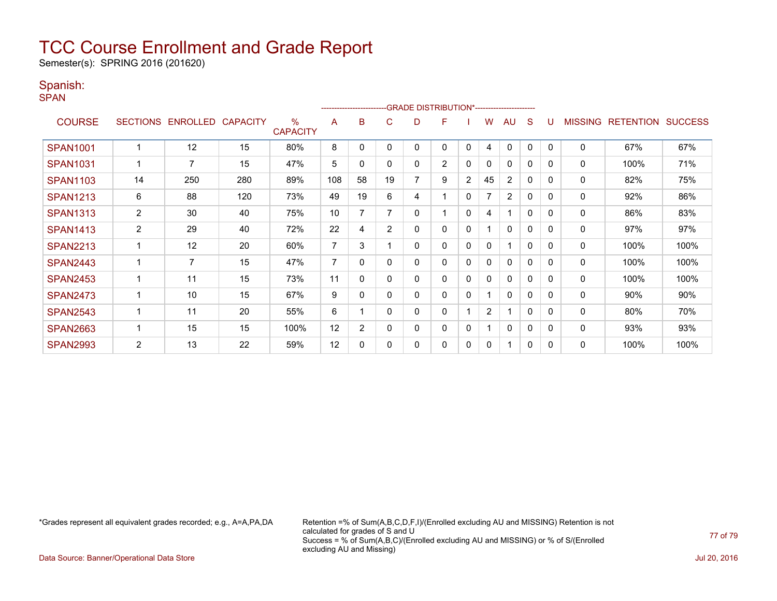Semester(s): SPRING 2016 (201620)

### Spanish:

SPAN

|                 | ------------------------GRADE                DISTRIBUTION*---------------------- |                   |                 |                         |                |                |    |   |                |              |                |                |              |                |                |                  |                |
|-----------------|----------------------------------------------------------------------------------|-------------------|-----------------|-------------------------|----------------|----------------|----|---|----------------|--------------|----------------|----------------|--------------|----------------|----------------|------------------|----------------|
| <b>COURSE</b>   |                                                                                  | SECTIONS ENROLLED | <b>CAPACITY</b> | $\%$<br><b>CAPACITY</b> | A              | в              | C. | D | F              |              | w              | AU             | S            |                | <b>MISSING</b> | <b>RETENTION</b> | <b>SUCCESS</b> |
| <b>SPAN1001</b> |                                                                                  | 12                | 15              | 80%                     | 8              | 0              | 0  | 0 | 0              | 0            | 4              | $\mathbf{0}$   | 0            | $\Omega$       | $\mathbf 0$    | 67%              | 67%            |
| <b>SPAN1031</b> |                                                                                  | $\overline{7}$    | 15              | 47%                     | 5              | 0              | 0  | 0 | $\overline{2}$ | $\mathbf{0}$ | 0              | $\mathbf{0}$   | $\mathbf{0}$ | 0              | 0              | 100%             | 71%            |
| <b>SPAN1103</b> | 14                                                                               | 250               | 280             | 89%                     | 108            | 58             | 19 | 7 | 9              | 2            | 45             | $\overline{2}$ | 0            | $\Omega$       | 0              | 82%              | 75%            |
| <b>SPAN1213</b> | 6                                                                                | 88                | 120             | 73%                     | 49             | 19             | 6  | 4 |                | 0            |                | $\overline{2}$ | 0            | $\Omega$       | 0              | 92%              | 86%            |
| <b>SPAN1313</b> | $\overline{c}$                                                                   | 30                | 40              | 75%                     | 10             | 7              |    | 0 |                | 0            | 4              | 1              | 0            | $\Omega$       | 0              | 86%              | 83%            |
| <b>SPAN1413</b> | $\overline{c}$                                                                   | 29                | 40              | 72%                     | 22             | 4              | 2  | 0 | 0              | $\mathbf{0}$ |                | $\mathbf{0}$   | $\mathbf{0}$ | $\overline{0}$ | 0              | 97%              | 97%            |
| <b>SPAN2213</b> |                                                                                  | 12                | 20              | 60%                     | $\overline{7}$ | 3              |    | 0 | 0              | 0            | 0              |                | $\mathbf{0}$ | $\Omega$       | 0              | 100%             | 100%           |
| <b>SPAN2443</b> |                                                                                  | 7                 | 15              | 47%                     | $\overline{7}$ | 0              | 0  | 0 | 0              | 0            | 0              | 0              | $\mathbf{0}$ | $\Omega$       | 0              | 100%             | 100%           |
| <b>SPAN2453</b> |                                                                                  | 11                | 15              | 73%                     | 11             | 0              | 0  | 0 | 0              | 0            | 0              | $\mathbf{0}$   | 0            | $\Omega$       | $\mathbf 0$    | 100%             | 100%           |
| <b>SPAN2473</b> |                                                                                  | 10                | 15              | 67%                     | 9              | 0              | 0  | 0 | 0              | 0            |                | $\mathbf{0}$   | 0            | $\Omega$       | $\mathbf 0$    | 90%              | 90%            |
| <b>SPAN2543</b> |                                                                                  | 11                | 20              | 55%                     | 6              |                | 0  | 0 | 0              |              | $\overline{2}$ | 1              | $\mathbf{0}$ | $\Omega$       | 0              | 80%              | 70%            |
| <b>SPAN2663</b> |                                                                                  | 15                | 15              | 100%                    | 12             | $\overline{2}$ | 0  | 0 | 0              | 0            |                | $\mathbf{0}$   | 0            | $\mathbf{0}$   | $\mathbf 0$    | 93%              | 93%            |
| <b>SPAN2993</b> | 2                                                                                | 13                | 22              | 59%                     | 12             | $\Omega$       | 0  | 0 | 0              | $\mathbf{0}$ | 0              | 1              | 0            | $\mathbf{0}$   | 0              | 100%             | 100%           |

\*Grades represent all equivalent grades recorded; e.g., A=A,PA,DA Retention =% of Sum(A,B,C,D,F,I)/(Enrolled excluding AU and MISSING) Retention is not calculated for grades of S and U Success = % of Sum(A,B,C)/(Enrolled excluding AU and MISSING) or % of S/(Enrolled excluding AU and Missing)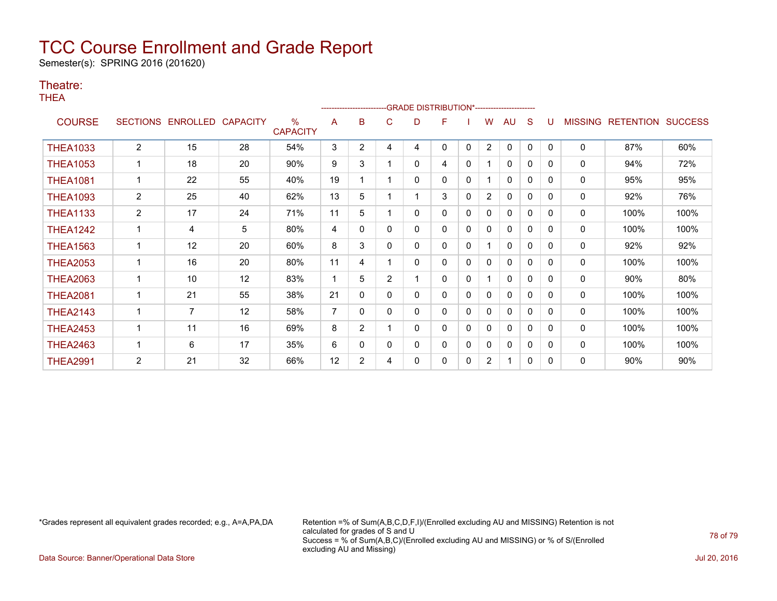Semester(s): SPRING 2016 (201620)

### Theatre:

THEA

|                 |                 |                 |                 |                                  | -GRADE DISTRIBUTION*----------------------<br>------------------------ |                |                |   |   |              |                |              |              |          |                |                  |                |
|-----------------|-----------------|-----------------|-----------------|----------------------------------|------------------------------------------------------------------------|----------------|----------------|---|---|--------------|----------------|--------------|--------------|----------|----------------|------------------|----------------|
| <b>COURSE</b>   | <b>SECTIONS</b> | <b>ENROLLED</b> | <b>CAPACITY</b> | $\frac{0}{0}$<br><b>CAPACITY</b> | A                                                                      | в              | С              | D | F |              | w              | AU           | S            |          | <b>MISSING</b> | <b>RETENTION</b> | <b>SUCCESS</b> |
| <b>THEA1033</b> | $\overline{2}$  | 15              | 28              | 54%                              | 3                                                                      | $\overline{2}$ | 4              | 4 | 0 | $\mathbf{0}$ | $\overline{2}$ | $\mathbf{0}$ | $\mathbf{0}$ | $\Omega$ | $\mathbf 0$    | 87%              | 60%            |
| <b>THEA1053</b> |                 | 18              | 20              | 90%                              | 9                                                                      | 3              |                | 0 | 4 | 0            |                | 0            | 0            | 0        | 0              | 94%              | 72%            |
| <b>THEA1081</b> |                 | 22              | 55              | 40%                              | 19                                                                     |                |                | 0 | 0 | $\mathbf{0}$ |                | $\mathbf{0}$ | 0            | $\Omega$ | 0              | 95%              | 95%            |
| <b>THEA1093</b> | $\overline{2}$  | 25              | 40              | 62%                              | 13                                                                     | 5              |                |   | 3 | $\mathbf{0}$ | $\overline{2}$ | $\mathbf{0}$ | $\mathbf{0}$ | $\Omega$ | 0              | 92%              | 76%            |
| <b>THEA1133</b> | $\overline{2}$  | 17              | 24              | 71%                              | 11                                                                     | 5              |                | 0 | 0 | 0            | 0              | 0            | $\mathbf{0}$ | $\Omega$ | 0              | 100%             | 100%           |
| <b>THEA1242</b> |                 | 4               | 5               | 80%                              | 4                                                                      | 0              | 0              | 0 | 0 | 0            | 0              | $\mathbf{0}$ | $\mathbf{0}$ | $\Omega$ | 0              | 100%             | 100%           |
| <b>THEA1563</b> | $\mathbf{1}$    | 12              | 20              | 60%                              | 8                                                                      | 3              | 0              | 0 | 0 | $\mathbf{0}$ |                | 0            | 0            | $\Omega$ | $\mathbf 0$    | 92%              | 92%            |
| <b>THEA2053</b> |                 | 16              | 20              | 80%                              | 11                                                                     | 4              |                | 0 | 0 | 0            | 0              | 0            | 0            | $\Omega$ | 0              | 100%             | 100%           |
| <b>THEA2063</b> |                 | 10              | 12              | 83%                              |                                                                        | 5              | $\overline{2}$ |   | 0 | $\mathbf{0}$ |                | $\mathbf{0}$ | 0            | $\Omega$ | $\mathbf 0$    | 90%              | 80%            |
| <b>THEA2081</b> | 1               | 21              | 55              | 38%                              | 21                                                                     | 0              | 0              | 0 | 0 | $\mathbf{0}$ | 0              | 0            | $\mathbf{0}$ | 0        | 0              | 100%             | 100%           |
| <b>THEA2143</b> | $\mathbf{1}$    | 7               | 12              | 58%                              | $\overline{7}$                                                         | 0              | 0              | 0 | 0 | $\mathbf{0}$ | 0              | $\mathbf{0}$ | $\mathbf 0$  | $\Omega$ | 0              | 100%             | 100%           |
| <b>THEA2453</b> |                 | 11              | 16              | 69%                              | 8                                                                      | $\overline{2}$ |                | 0 | 0 | 0            | 0              | $\mathbf{0}$ | $\Omega$     | $\Omega$ | $\mathbf 0$    | 100%             | 100%           |
| <b>THEA2463</b> |                 | 6               | 17              | 35%                              | 6                                                                      | 0              | 0              | 0 | 0 | 0            | 0              | 0            | 0            | 0        | 0              | 100%             | 100%           |
| <b>THEA2991</b> | 2               | 21              | 32              | 66%                              | 12                                                                     | $\overline{2}$ | 4              | 0 | 0 | 0            | $\overline{2}$ | 1            | $\mathbf{0}$ | $\Omega$ | 0              | 90%              | 90%            |

\*Grades represent all equivalent grades recorded; e.g., A=A,PA,DA Retention =% of Sum(A,B,C,D,F,I)/(Enrolled excluding AU and MISSING) Retention is not calculated for grades of S and U Success = % of Sum(A,B,C)/(Enrolled excluding AU and MISSING) or % of S/(Enrolled excluding AU and Missing)